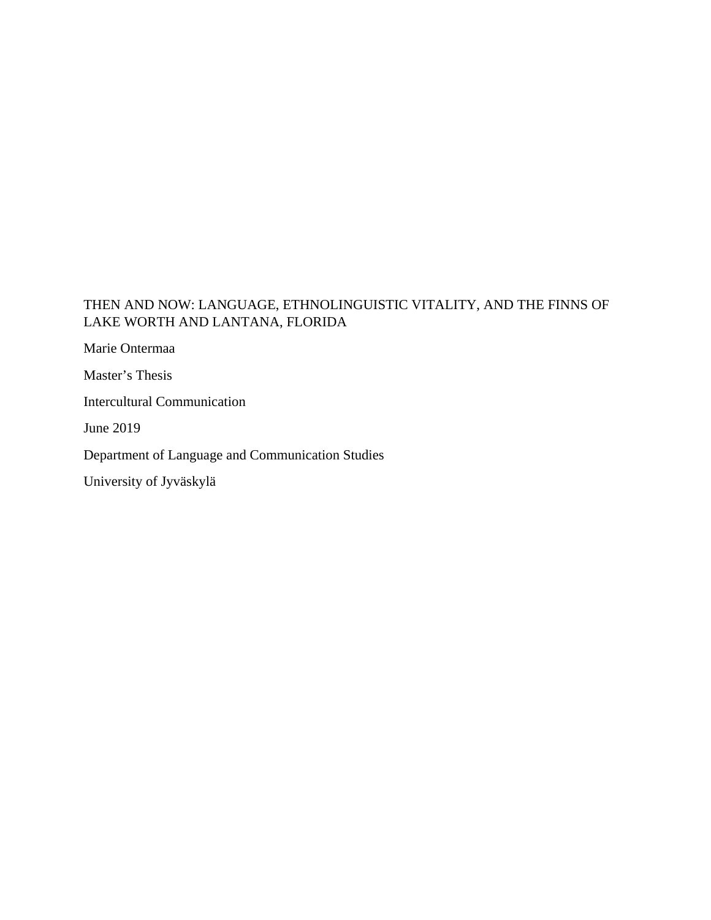# THEN AND NOW: LANGUAGE, ETHNOLINGUISTIC VITALITY, AND THE FINNS OF LAKE WORTH AND LANTANA, FLORIDA

Marie Ontermaa

Master's Thesis

Intercultural Communication

June 2019

Department of Language and Communication Studies

University of Jyväskylä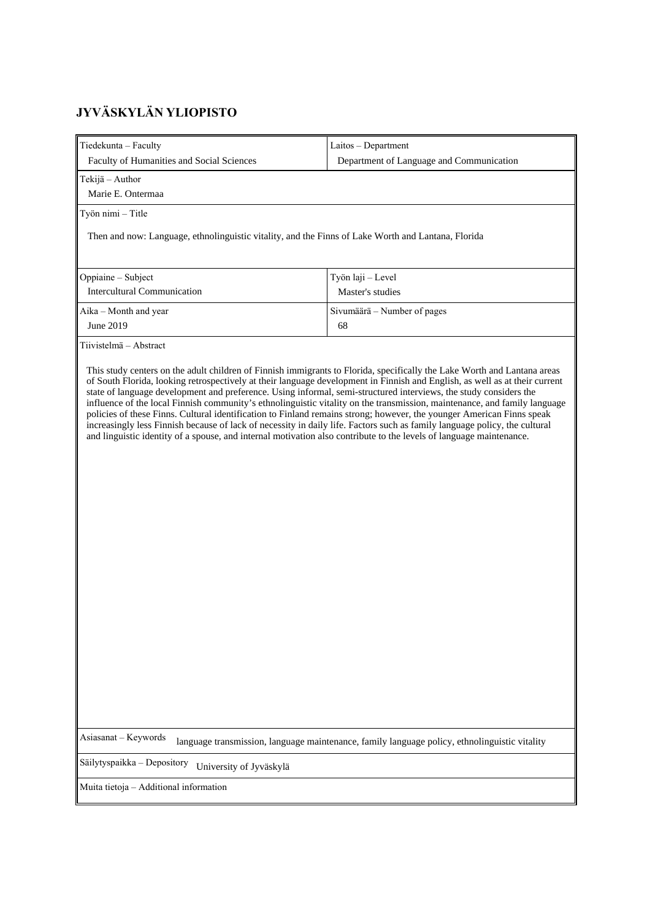# **JYVÄSKYLÄN YLIOPISTO**

| Tiedekunta - Faculty                                                                                                                                                                                                                                                                                                                                                                                                                                                                                                                                                                                                                                                                                                                                                               | Laitos - Department                                                                                                                                                                                                        |
|------------------------------------------------------------------------------------------------------------------------------------------------------------------------------------------------------------------------------------------------------------------------------------------------------------------------------------------------------------------------------------------------------------------------------------------------------------------------------------------------------------------------------------------------------------------------------------------------------------------------------------------------------------------------------------------------------------------------------------------------------------------------------------|----------------------------------------------------------------------------------------------------------------------------------------------------------------------------------------------------------------------------|
| Faculty of Humanities and Social Sciences                                                                                                                                                                                                                                                                                                                                                                                                                                                                                                                                                                                                                                                                                                                                          | Department of Language and Communication                                                                                                                                                                                   |
|                                                                                                                                                                                                                                                                                                                                                                                                                                                                                                                                                                                                                                                                                                                                                                                    |                                                                                                                                                                                                                            |
| Tekijä – Author<br>Marie E. Ontermaa                                                                                                                                                                                                                                                                                                                                                                                                                                                                                                                                                                                                                                                                                                                                               |                                                                                                                                                                                                                            |
|                                                                                                                                                                                                                                                                                                                                                                                                                                                                                                                                                                                                                                                                                                                                                                                    |                                                                                                                                                                                                                            |
| Työn nimi - Title                                                                                                                                                                                                                                                                                                                                                                                                                                                                                                                                                                                                                                                                                                                                                                  |                                                                                                                                                                                                                            |
| Then and now: Language, ethnolinguistic vitality, and the Finns of Lake Worth and Lantana, Florida                                                                                                                                                                                                                                                                                                                                                                                                                                                                                                                                                                                                                                                                                 |                                                                                                                                                                                                                            |
| Oppiaine - Subject                                                                                                                                                                                                                                                                                                                                                                                                                                                                                                                                                                                                                                                                                                                                                                 | Työn laji - Level                                                                                                                                                                                                          |
| <b>Intercultural Communication</b>                                                                                                                                                                                                                                                                                                                                                                                                                                                                                                                                                                                                                                                                                                                                                 | Master's studies                                                                                                                                                                                                           |
| Aika – Month and year                                                                                                                                                                                                                                                                                                                                                                                                                                                                                                                                                                                                                                                                                                                                                              | Sivumäärä - Number of pages                                                                                                                                                                                                |
| June 2019                                                                                                                                                                                                                                                                                                                                                                                                                                                                                                                                                                                                                                                                                                                                                                          | 68                                                                                                                                                                                                                         |
| Tiivistelmä - Abstract                                                                                                                                                                                                                                                                                                                                                                                                                                                                                                                                                                                                                                                                                                                                                             |                                                                                                                                                                                                                            |
| This study centers on the adult children of Finnish immigrants to Florida, specifically the Lake Worth and Lantana areas<br>of South Florida, looking retrospectively at their language development in Finnish and English, as well as at their current<br>state of language development and preference. Using informal, semi-structured interviews, the study considers the<br>policies of these Finns. Cultural identification to Finland remains strong; however, the younger American Finns speak<br>increasingly less Finnish because of lack of necessity in daily life. Factors such as family language policy, the cultural<br>and linguistic identity of a spouse, and internal motivation also contribute to the levels of language maintenance.<br>Asiasanat - Keywords | influence of the local Finnish community's ethnolinguistic vitality on the transmission, maintenance, and family language<br>language transmission, language maintenance, family language policy, ethnolinguistic vitality |
| Säilytyspaikka - Depository                                                                                                                                                                                                                                                                                                                                                                                                                                                                                                                                                                                                                                                                                                                                                        |                                                                                                                                                                                                                            |
| University of Jyväskylä                                                                                                                                                                                                                                                                                                                                                                                                                                                                                                                                                                                                                                                                                                                                                            |                                                                                                                                                                                                                            |
| Muita tietoja – Additional information                                                                                                                                                                                                                                                                                                                                                                                                                                                                                                                                                                                                                                                                                                                                             |                                                                                                                                                                                                                            |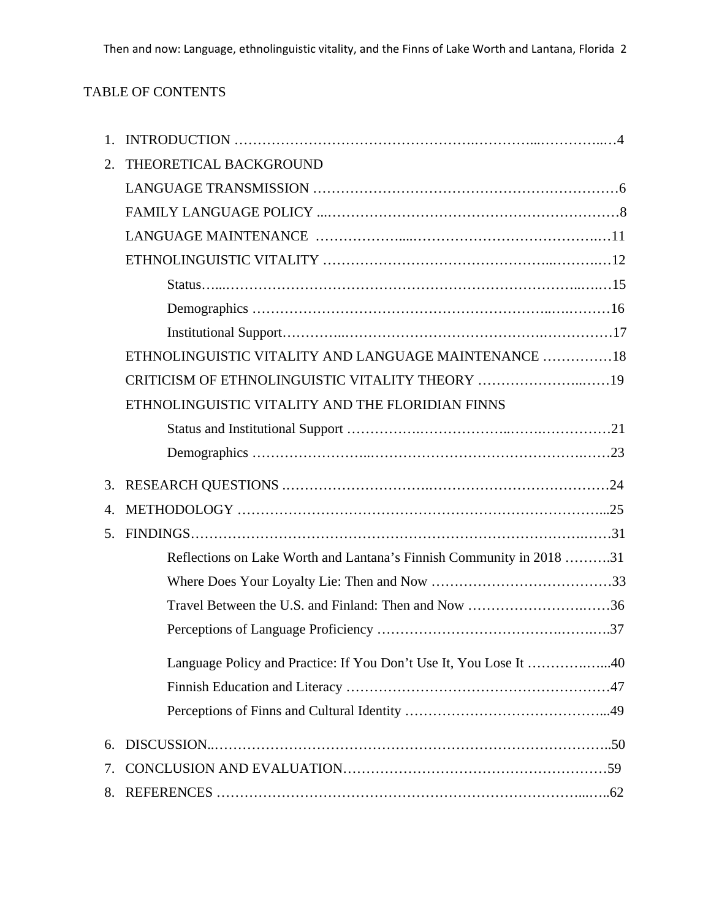# TABLE OF CONTENTS

| $\mathbf{1}$ . |                                                                      |
|----------------|----------------------------------------------------------------------|
| 2.             | THEORETICAL BACKGROUND                                               |
|                |                                                                      |
|                |                                                                      |
|                |                                                                      |
|                |                                                                      |
|                |                                                                      |
|                |                                                                      |
|                |                                                                      |
|                | ETHNOLINGUISTIC VITALITY AND LANGUAGE MAINTENANCE 18                 |
|                | CRITICISM OF ETHNOLINGUISTIC VITALITY THEORY 19                      |
|                | ETHNOLINGUISTIC VITALITY AND THE FLORIDIAN FINNS                     |
|                |                                                                      |
|                |                                                                      |
|                |                                                                      |
| 3.             |                                                                      |
| 4.             |                                                                      |
| 5.             |                                                                      |
|                | Reflections on Lake Worth and Lantana's Finnish Community in 2018 31 |
|                |                                                                      |
|                | Travel Between the U.S. and Finland: Then and Now 36                 |
|                |                                                                      |
|                | Language Policy and Practice: If You Don't Use It, You Lose It 40    |
|                |                                                                      |
|                |                                                                      |
| 6.             |                                                                      |
| 7.             |                                                                      |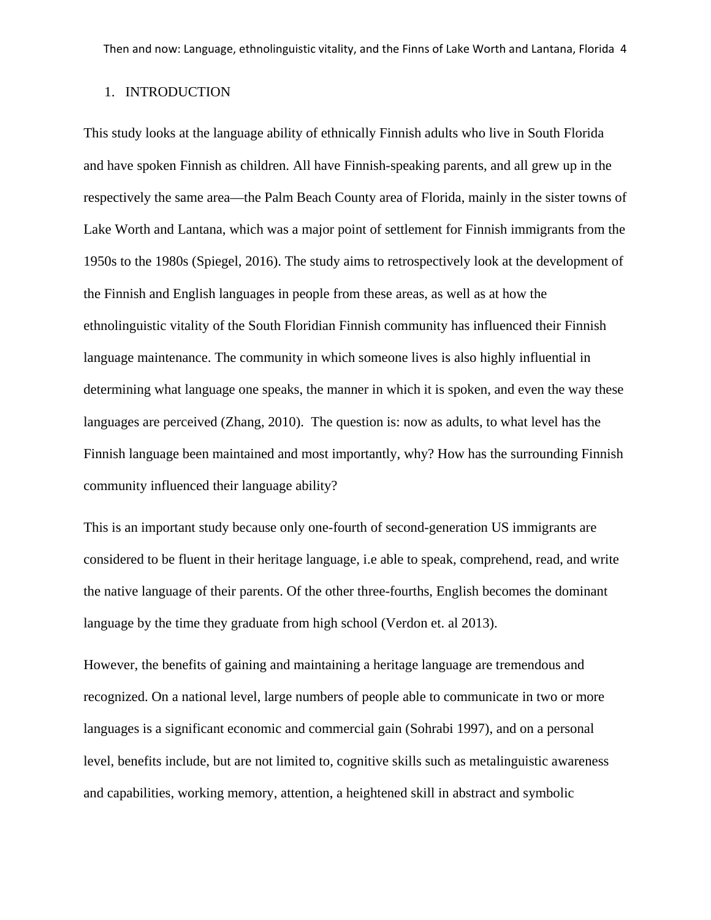#### 1. INTRODUCTION

This study looks at the language ability of ethnically Finnish adults who live in South Florida and have spoken Finnish as children. All have Finnish-speaking parents, and all grew up in the respectively the same area—the Palm Beach County area of Florida, mainly in the sister towns of Lake Worth and Lantana, which was a major point of settlement for Finnish immigrants from the 1950s to the 1980s (Spiegel, 2016). The study aims to retrospectively look at the development of the Finnish and English languages in people from these areas, as well as at how the ethnolinguistic vitality of the South Floridian Finnish community has influenced their Finnish language maintenance. The community in which someone lives is also highly influential in determining what language one speaks, the manner in which it is spoken, and even the way these languages are perceived (Zhang, 2010). The question is: now as adults, to what level has the Finnish language been maintained and most importantly, why? How has the surrounding Finnish community influenced their language ability?

This is an important study because only one-fourth of second-generation US immigrants are considered to be fluent in their heritage language, i.e able to speak, comprehend, read, and write the native language of their parents. Of the other three-fourths, English becomes the dominant language by the time they graduate from high school (Verdon et. al 2013).

However, the benefits of gaining and maintaining a heritage language are tremendous and recognized. On a national level, large numbers of people able to communicate in two or more languages is a significant economic and commercial gain (Sohrabi 1997), and on a personal level, benefits include, but are not limited to, cognitive skills such as metalinguistic awareness and capabilities, working memory, attention, a heightened skill in abstract and symbolic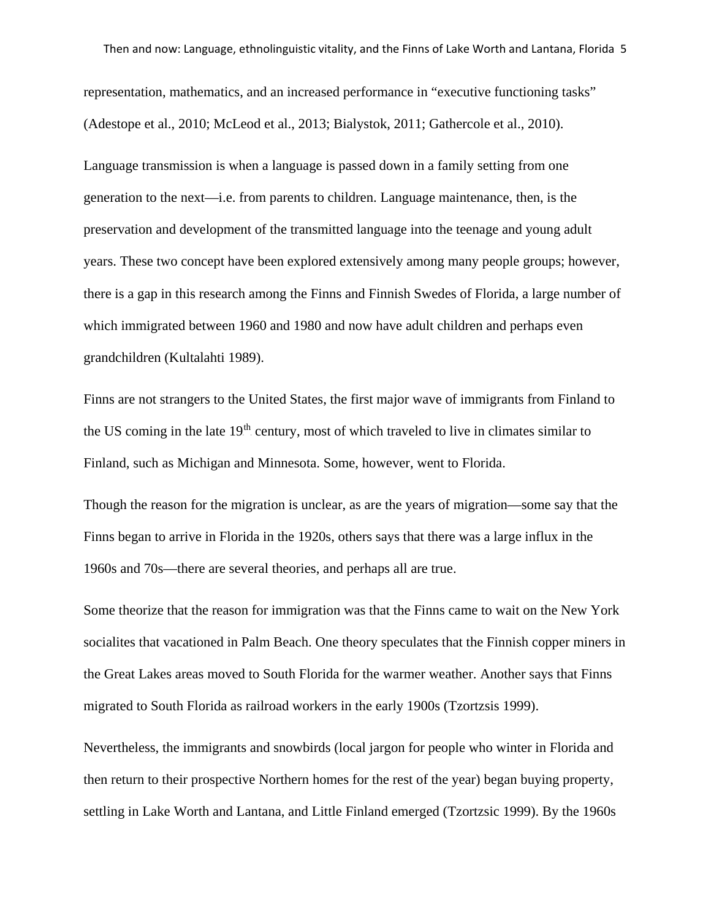representation, mathematics, and an increased performance in "executive functioning tasks" (Adestope et al., 2010; McLeod et al., 2013; Bialystok, 2011; Gathercole et al., 2010).

Language transmission is when a language is passed down in a family setting from one generation to the next—i.e. from parents to children. Language maintenance, then, is the preservation and development of the transmitted language into the teenage and young adult years. These two concept have been explored extensively among many people groups; however, there is a gap in this research among the Finns and Finnish Swedes of Florida, a large number of which immigrated between 1960 and 1980 and now have adult children and perhaps even grandchildren (Kultalahti 1989).

Finns are not strangers to the United States, the first major wave of immigrants from Finland to the US coming in the late 19<sup>th</sup> century, most of which traveled to live in climates similar to Finland, such as Michigan and Minnesota. Some, however, went to Florida.

Though the reason for the migration is unclear, as are the years of migration—some say that the Finns began to arrive in Florida in the 1920s, others says that there was a large influx in the 1960s and 70s—there are several theories, and perhaps all are true.

Some theorize that the reason for immigration was that the Finns came to wait on the New York socialites that vacationed in Palm Beach. One theory speculates that the Finnish copper miners in the Great Lakes areas moved to South Florida for the warmer weather. Another says that Finns migrated to South Florida as railroad workers in the early 1900s (Tzortzsis 1999).

Nevertheless, the immigrants and snowbirds (local jargon for people who winter in Florida and then return to their prospective Northern homes for the rest of the year) began buying property, settling in Lake Worth and Lantana, and Little Finland emerged (Tzortzsic 1999). By the 1960s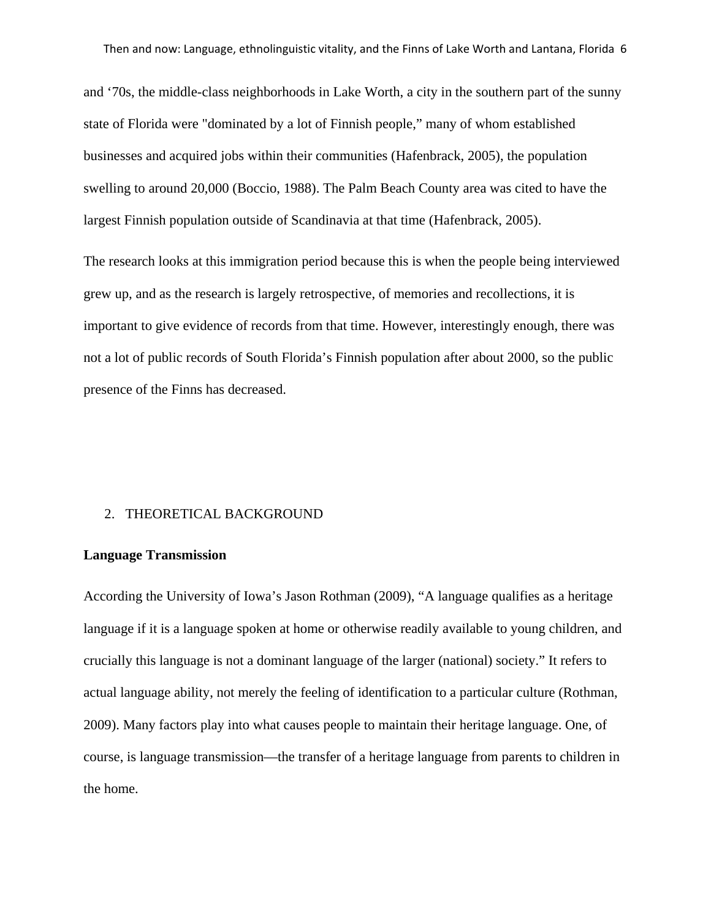and '70s, the middle-class neighborhoods in Lake Worth, a city in the southern part of the sunny state of Florida were "dominated by a lot of Finnish people," many of whom established businesses and acquired jobs within their communities (Hafenbrack, 2005), the population swelling to around 20,000 (Boccio, 1988). The Palm Beach County area was cited to have the largest Finnish population outside of Scandinavia at that time (Hafenbrack, 2005).

The research looks at this immigration period because this is when the people being interviewed grew up, and as the research is largely retrospective, of memories and recollections, it is important to give evidence of records from that time. However, interestingly enough, there was not a lot of public records of South Florida's Finnish population after about 2000, so the public presence of the Finns has decreased.

#### 2. THEORETICAL BACKGROUND

# **Language Transmission**

According the University of Iowa's Jason Rothman (2009), "A language qualifies as a heritage language if it is a language spoken at home or otherwise readily available to young children, and crucially this language is not a dominant language of the larger (national) society." It refers to actual language ability, not merely the feeling of identification to a particular culture (Rothman, 2009). Many factors play into what causes people to maintain their heritage language. One, of course, is language transmission—the transfer of a heritage language from parents to children in the home.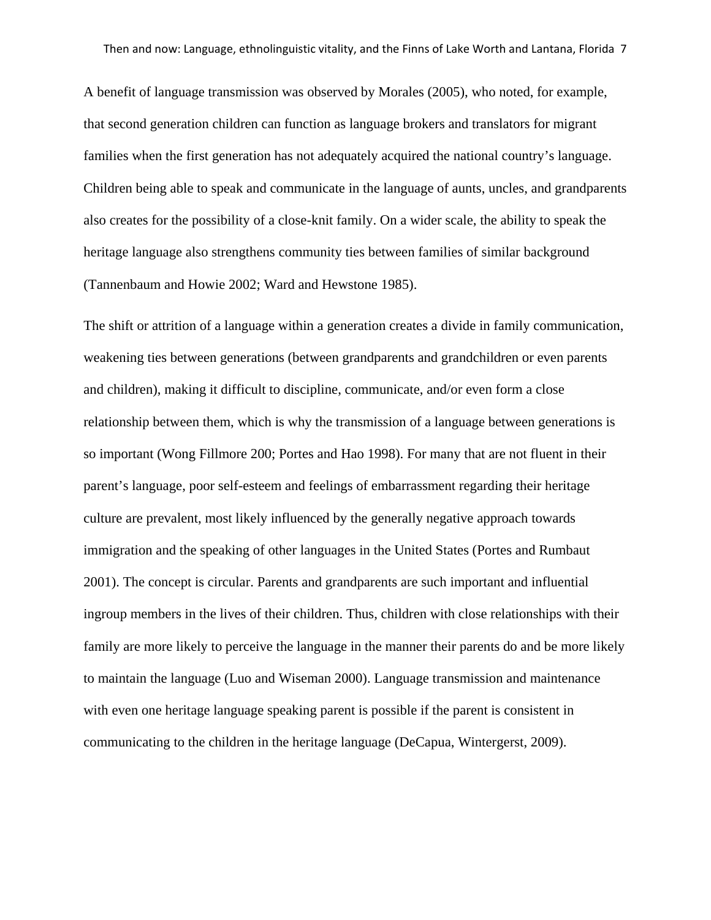A benefit of language transmission was observed by Morales (2005), who noted, for example, that second generation children can function as language brokers and translators for migrant families when the first generation has not adequately acquired the national country's language. Children being able to speak and communicate in the language of aunts, uncles, and grandparents also creates for the possibility of a close-knit family. On a wider scale, the ability to speak the heritage language also strengthens community ties between families of similar background (Tannenbaum and Howie 2002; Ward and Hewstone 1985).

The shift or attrition of a language within a generation creates a divide in family communication, weakening ties between generations (between grandparents and grandchildren or even parents and children), making it difficult to discipline, communicate, and/or even form a close relationship between them, which is why the transmission of a language between generations is so important (Wong Fillmore 200; Portes and Hao 1998). For many that are not fluent in their parent's language, poor self-esteem and feelings of embarrassment regarding their heritage culture are prevalent, most likely influenced by the generally negative approach towards immigration and the speaking of other languages in the United States (Portes and Rumbaut 2001). The concept is circular. Parents and grandparents are such important and influential ingroup members in the lives of their children. Thus, children with close relationships with their family are more likely to perceive the language in the manner their parents do and be more likely to maintain the language (Luo and Wiseman 2000). Language transmission and maintenance with even one heritage language speaking parent is possible if the parent is consistent in communicating to the children in the heritage language (DeCapua, Wintergerst, 2009).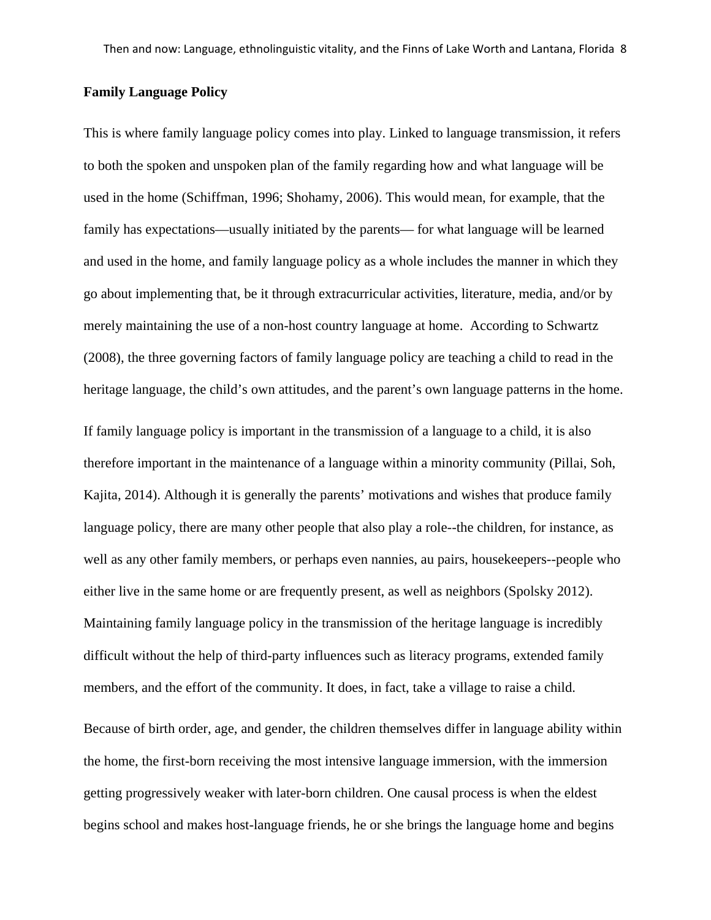#### **Family Language Policy**

This is where family language policy comes into play. Linked to language transmission, it refers to both the spoken and unspoken plan of the family regarding how and what language will be used in the home (Schiffman, 1996; Shohamy, 2006). This would mean, for example, that the family has expectations—usually initiated by the parents— for what language will be learned and used in the home, and family language policy as a whole includes the manner in which they go about implementing that, be it through extracurricular activities, literature, media, and/or by merely maintaining the use of a non-host country language at home. According to Schwartz (2008), the three governing factors of family language policy are teaching a child to read in the heritage language, the child's own attitudes, and the parent's own language patterns in the home.

If family language policy is important in the transmission of a language to a child, it is also therefore important in the maintenance of a language within a minority community (Pillai, Soh, Kajita, 2014). Although it is generally the parents' motivations and wishes that produce family language policy, there are many other people that also play a role--the children, for instance, as well as any other family members, or perhaps even nannies, au pairs, housekeepers--people who either live in the same home or are frequently present, as well as neighbors (Spolsky 2012). Maintaining family language policy in the transmission of the heritage language is incredibly difficult without the help of third-party influences such as literacy programs, extended family members, and the effort of the community. It does, in fact, take a village to raise a child.

Because of birth order, age, and gender, the children themselves differ in language ability within the home, the first-born receiving the most intensive language immersion, with the immersion getting progressively weaker with later-born children. One causal process is when the eldest begins school and makes host-language friends, he or she brings the language home and begins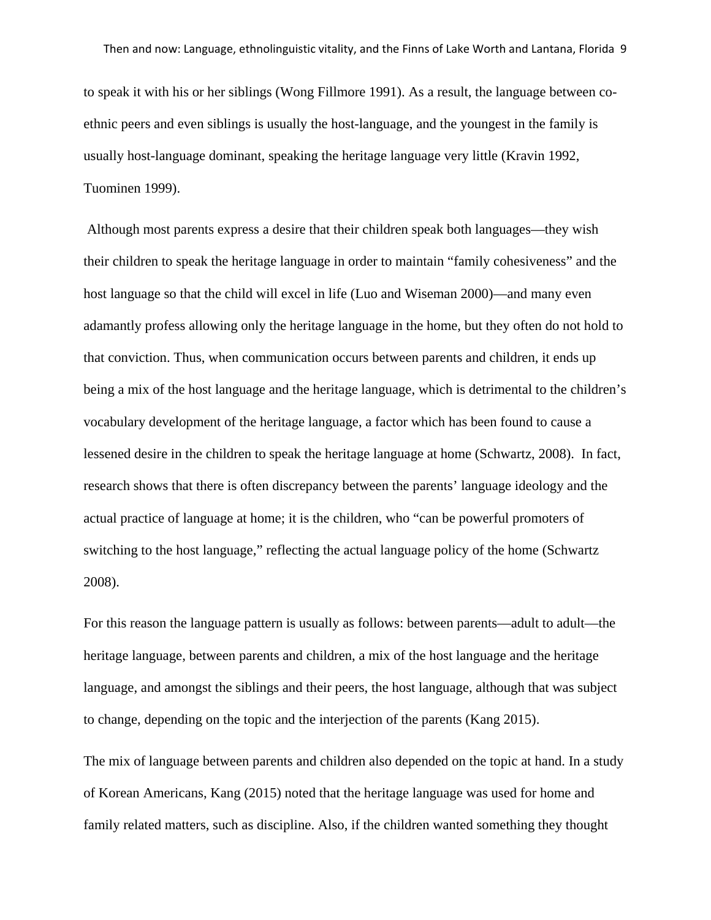to speak it with his or her siblings (Wong Fillmore 1991). As a result, the language between coethnic peers and even siblings is usually the host-language, and the youngest in the family is usually host-language dominant, speaking the heritage language very little (Kravin 1992, Tuominen 1999).

Although most parents express a desire that their children speak both languages—they wish their children to speak the heritage language in order to maintain "family cohesiveness" and the host language so that the child will excel in life (Luo and Wiseman 2000)—and many even adamantly profess allowing only the heritage language in the home, but they often do not hold to that conviction. Thus, when communication occurs between parents and children, it ends up being a mix of the host language and the heritage language, which is detrimental to the children's vocabulary development of the heritage language, a factor which has been found to cause a lessened desire in the children to speak the heritage language at home (Schwartz, 2008). In fact, research shows that there is often discrepancy between the parents' language ideology and the actual practice of language at home; it is the children, who "can be powerful promoters of switching to the host language," reflecting the actual language policy of the home (Schwartz 2008).

For this reason the language pattern is usually as follows: between parents—adult to adult—the heritage language, between parents and children, a mix of the host language and the heritage language, and amongst the siblings and their peers, the host language, although that was subject to change, depending on the topic and the interjection of the parents (Kang 2015).

The mix of language between parents and children also depended on the topic at hand. In a study of Korean Americans, Kang (2015) noted that the heritage language was used for home and family related matters, such as discipline. Also, if the children wanted something they thought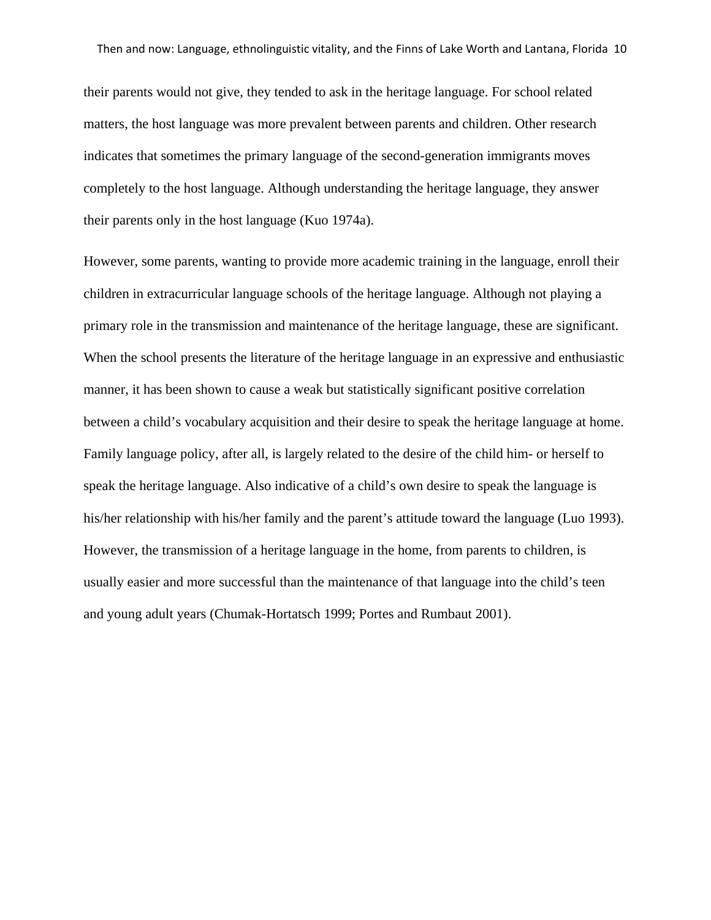their parents would not give, they tended to ask in the heritage language. For school related matters, the host language was more prevalent between parents and children. Other research indicates that sometimes the primary language of the second-generation immigrants moves completely to the host language. Although understanding the heritage language, they answer their parents only in the host language (Kuo 1974a).

However, some parents, wanting to provide more academic training in the language, enroll their children in extracurricular language schools of the heritage language. Although not playing a primary role in the transmission and maintenance of the heritage language, these are significant. When the school presents the literature of the heritage language in an expressive and enthusiastic manner, it has been shown to cause a weak but statistically significant positive correlation between a child's vocabulary acquisition and their desire to speak the heritage language at home. Family language policy, after all, is largely related to the desire of the child him- or herself to speak the heritage language. Also indicative of a child's own desire to speak the language is his/her relationship with his/her family and the parent's attitude toward the language (Luo 1993). However, the transmission of a heritage language in the home, from parents to children, is usually easier and more successful than the maintenance of that language into the child's teen and young adult years (Chumak-Hortatsch 1999; Portes and Rumbaut 2001).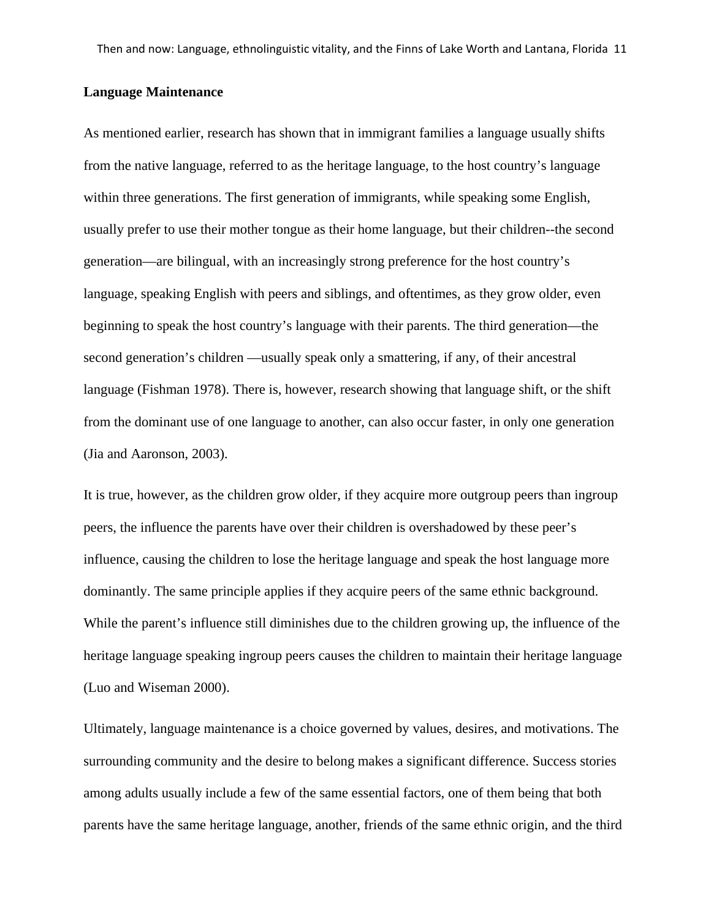#### **Language Maintenance**

As mentioned earlier, research has shown that in immigrant families a language usually shifts from the native language, referred to as the heritage language, to the host country's language within three generations. The first generation of immigrants, while speaking some English, usually prefer to use their mother tongue as their home language, but their children--the second generation—are bilingual, with an increasingly strong preference for the host country's language, speaking English with peers and siblings, and oftentimes, as they grow older, even beginning to speak the host country's language with their parents. The third generation—the second generation's children —usually speak only a smattering, if any, of their ancestral language (Fishman 1978). There is, however, research showing that language shift, or the shift from the dominant use of one language to another, can also occur faster, in only one generation (Jia and Aaronson, 2003).

It is true, however, as the children grow older, if they acquire more outgroup peers than ingroup peers, the influence the parents have over their children is overshadowed by these peer's influence, causing the children to lose the heritage language and speak the host language more dominantly. The same principle applies if they acquire peers of the same ethnic background. While the parent's influence still diminishes due to the children growing up, the influence of the heritage language speaking ingroup peers causes the children to maintain their heritage language (Luo and Wiseman 2000).

Ultimately, language maintenance is a choice governed by values, desires, and motivations. The surrounding community and the desire to belong makes a significant difference. Success stories among adults usually include a few of the same essential factors, one of them being that both parents have the same heritage language, another, friends of the same ethnic origin, and the third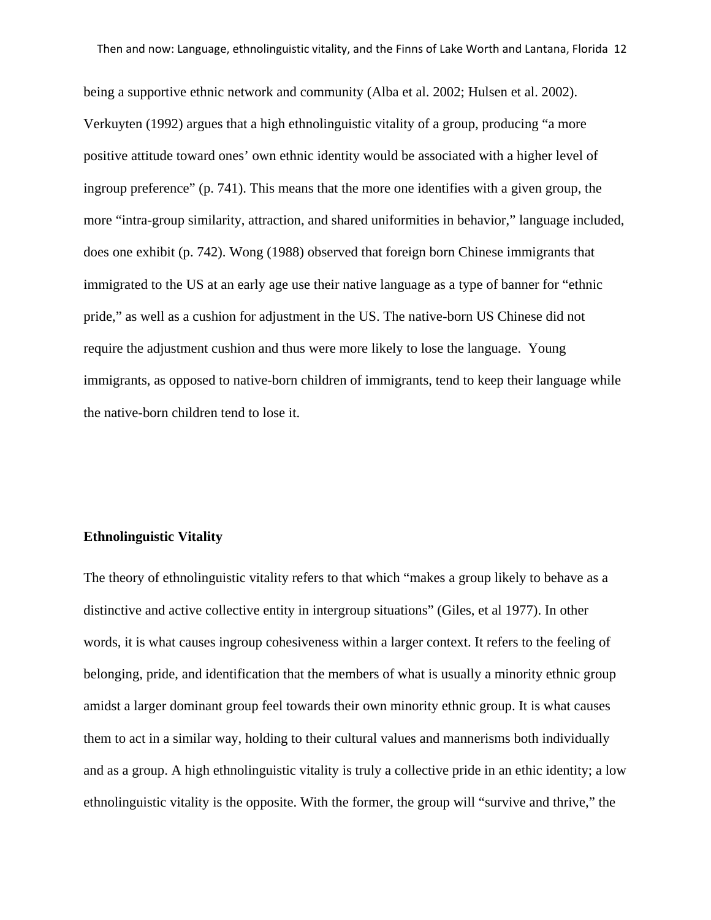being a supportive ethnic network and community (Alba et al. 2002; Hulsen et al. 2002). Verkuyten (1992) argues that a high ethnolinguistic vitality of a group, producing "a more positive attitude toward ones' own ethnic identity would be associated with a higher level of ingroup preference" (p. 741). This means that the more one identifies with a given group, the more "intra-group similarity, attraction, and shared uniformities in behavior," language included, does one exhibit (p. 742). Wong (1988) observed that foreign born Chinese immigrants that immigrated to the US at an early age use their native language as a type of banner for "ethnic pride," as well as a cushion for adjustment in the US. The native-born US Chinese did not require the adjustment cushion and thus were more likely to lose the language. Young immigrants, as opposed to native-born children of immigrants, tend to keep their language while the native-born children tend to lose it.

# **Ethnolinguistic Vitality**

The theory of ethnolinguistic vitality refers to that which "makes a group likely to behave as a distinctive and active collective entity in intergroup situations" (Giles, et al 1977). In other words, it is what causes ingroup cohesiveness within a larger context. It refers to the feeling of belonging, pride, and identification that the members of what is usually a minority ethnic group amidst a larger dominant group feel towards their own minority ethnic group. It is what causes them to act in a similar way, holding to their cultural values and mannerisms both individually and as a group. A high ethnolinguistic vitality is truly a collective pride in an ethic identity; a low ethnolinguistic vitality is the opposite. With the former, the group will "survive and thrive," the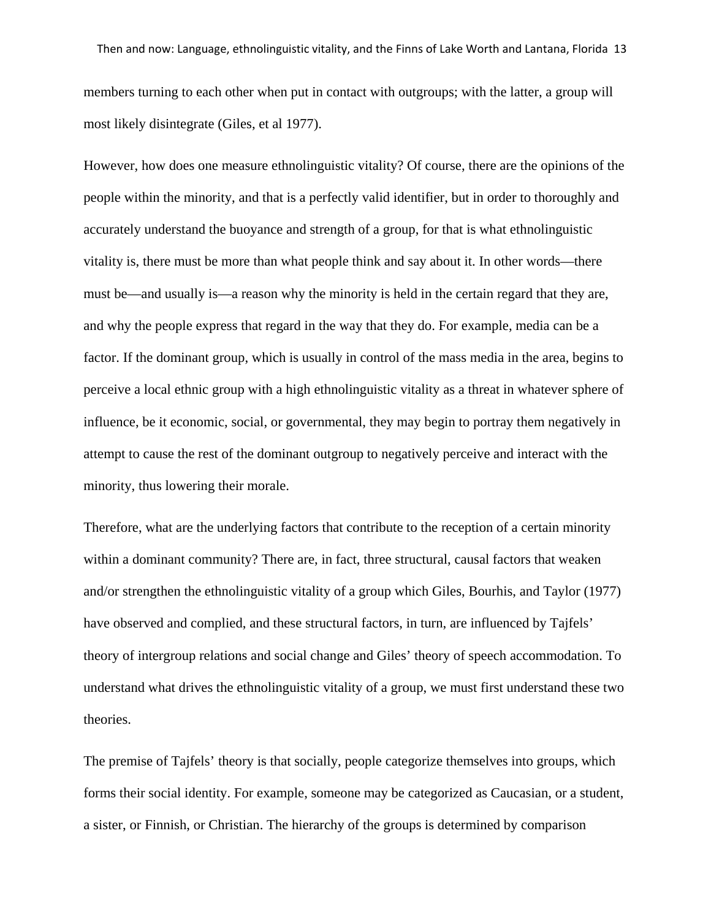members turning to each other when put in contact with outgroups; with the latter, a group will most likely disintegrate (Giles, et al 1977).

However, how does one measure ethnolinguistic vitality? Of course, there are the opinions of the people within the minority, and that is a perfectly valid identifier, but in order to thoroughly and accurately understand the buoyance and strength of a group, for that is what ethnolinguistic vitality is, there must be more than what people think and say about it. In other words—there must be—and usually is—a reason why the minority is held in the certain regard that they are, and why the people express that regard in the way that they do. For example, media can be a factor. If the dominant group, which is usually in control of the mass media in the area, begins to perceive a local ethnic group with a high ethnolinguistic vitality as a threat in whatever sphere of influence, be it economic, social, or governmental, they may begin to portray them negatively in attempt to cause the rest of the dominant outgroup to negatively perceive and interact with the minority, thus lowering their morale.

Therefore, what are the underlying factors that contribute to the reception of a certain minority within a dominant community? There are, in fact, three structural, causal factors that weaken and/or strengthen the ethnolinguistic vitality of a group which Giles, Bourhis, and Taylor (1977) have observed and complied, and these structural factors, in turn, are influenced by Tajfels' theory of intergroup relations and social change and Giles' theory of speech accommodation. To understand what drives the ethnolinguistic vitality of a group, we must first understand these two theories.

The premise of Tajfels' theory is that socially, people categorize themselves into groups, which forms their social identity. For example, someone may be categorized as Caucasian, or a student, a sister, or Finnish, or Christian. The hierarchy of the groups is determined by comparison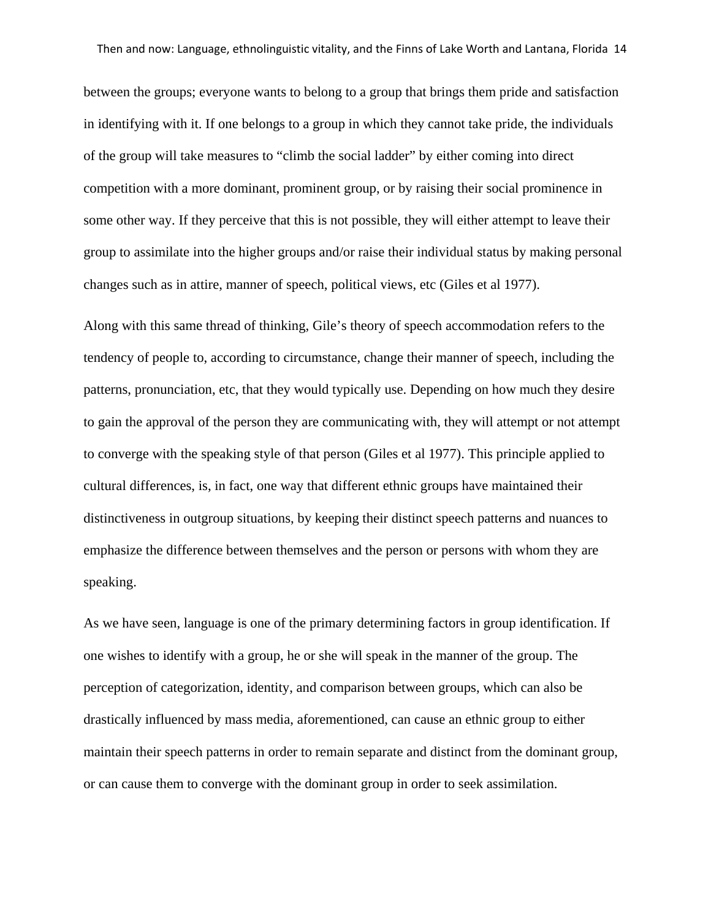between the groups; everyone wants to belong to a group that brings them pride and satisfaction in identifying with it. If one belongs to a group in which they cannot take pride, the individuals of the group will take measures to "climb the social ladder" by either coming into direct competition with a more dominant, prominent group, or by raising their social prominence in some other way. If they perceive that this is not possible, they will either attempt to leave their group to assimilate into the higher groups and/or raise their individual status by making personal changes such as in attire, manner of speech, political views, etc (Giles et al 1977).

Along with this same thread of thinking, Gile's theory of speech accommodation refers to the tendency of people to, according to circumstance, change their manner of speech, including the patterns, pronunciation, etc, that they would typically use. Depending on how much they desire to gain the approval of the person they are communicating with, they will attempt or not attempt to converge with the speaking style of that person (Giles et al 1977). This principle applied to cultural differences, is, in fact, one way that different ethnic groups have maintained their distinctiveness in outgroup situations, by keeping their distinct speech patterns and nuances to emphasize the difference between themselves and the person or persons with whom they are speaking.

As we have seen, language is one of the primary determining factors in group identification. If one wishes to identify with a group, he or she will speak in the manner of the group. The perception of categorization, identity, and comparison between groups, which can also be drastically influenced by mass media, aforementioned, can cause an ethnic group to either maintain their speech patterns in order to remain separate and distinct from the dominant group, or can cause them to converge with the dominant group in order to seek assimilation.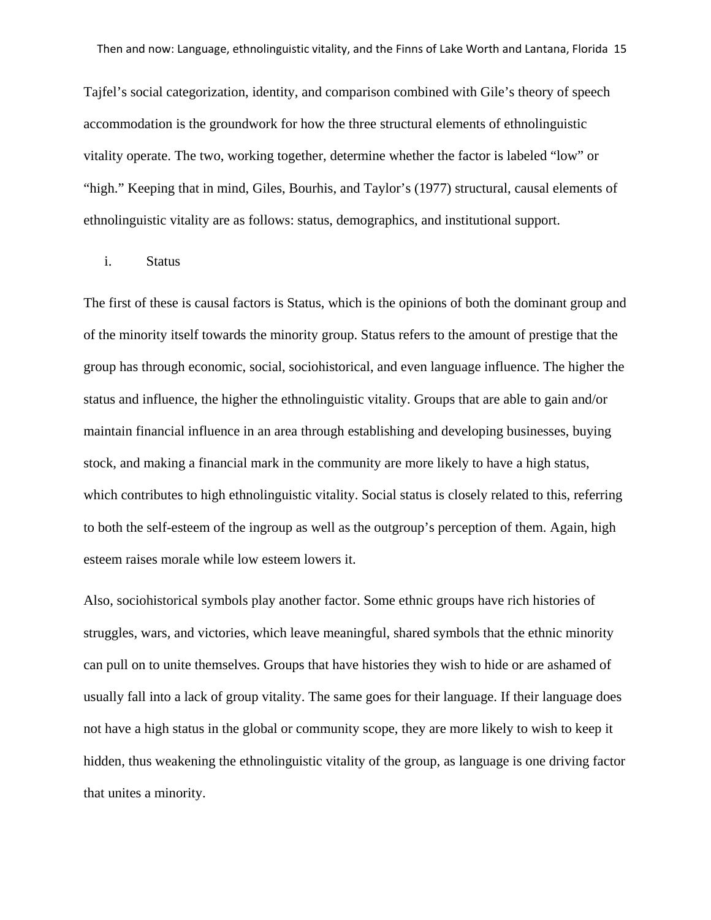Tajfel's social categorization, identity, and comparison combined with Gile's theory of speech accommodation is the groundwork for how the three structural elements of ethnolinguistic vitality operate. The two, working together, determine whether the factor is labeled "low" or "high." Keeping that in mind, Giles, Bourhis, and Taylor's (1977) structural, causal elements of ethnolinguistic vitality are as follows: status, demographics, and institutional support.

#### i. Status

The first of these is causal factors is Status, which is the opinions of both the dominant group and of the minority itself towards the minority group. Status refers to the amount of prestige that the group has through economic, social, sociohistorical, and even language influence. The higher the status and influence, the higher the ethnolinguistic vitality. Groups that are able to gain and/or maintain financial influence in an area through establishing and developing businesses, buying stock, and making a financial mark in the community are more likely to have a high status, which contributes to high ethnolinguistic vitality. Social status is closely related to this, referring to both the self-esteem of the ingroup as well as the outgroup's perception of them. Again, high esteem raises morale while low esteem lowers it.

Also, sociohistorical symbols play another factor. Some ethnic groups have rich histories of struggles, wars, and victories, which leave meaningful, shared symbols that the ethnic minority can pull on to unite themselves. Groups that have histories they wish to hide or are ashamed of usually fall into a lack of group vitality. The same goes for their language. If their language does not have a high status in the global or community scope, they are more likely to wish to keep it hidden, thus weakening the ethnolinguistic vitality of the group, as language is one driving factor that unites a minority.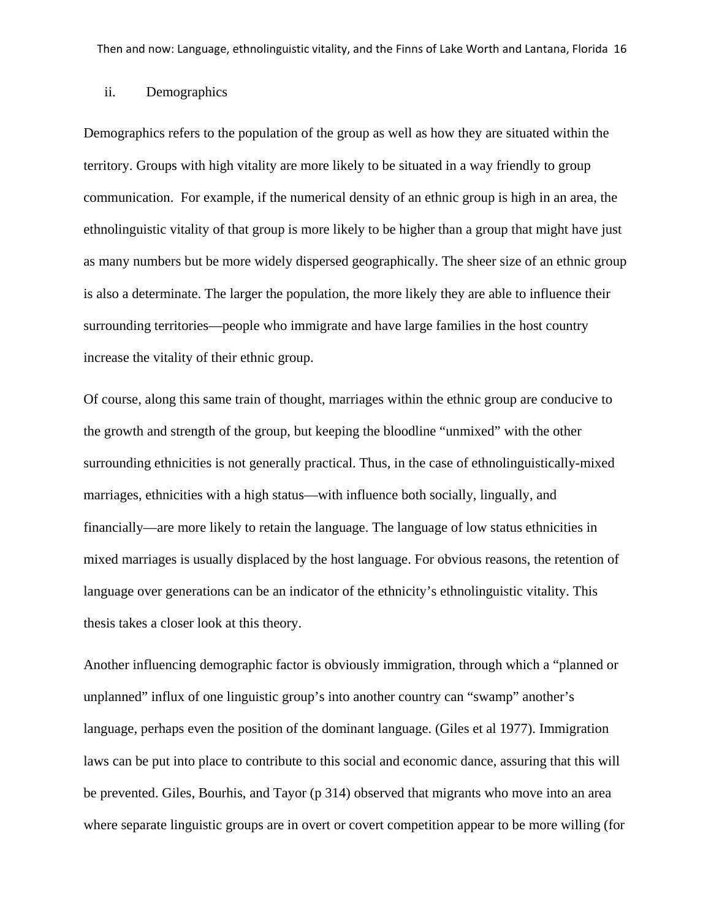# ii. Demographics

Demographics refers to the population of the group as well as how they are situated within the territory. Groups with high vitality are more likely to be situated in a way friendly to group communication. For example, if the numerical density of an ethnic group is high in an area, the ethnolinguistic vitality of that group is more likely to be higher than a group that might have just as many numbers but be more widely dispersed geographically. The sheer size of an ethnic group is also a determinate. The larger the population, the more likely they are able to influence their surrounding territories—people who immigrate and have large families in the host country increase the vitality of their ethnic group.

Of course, along this same train of thought, marriages within the ethnic group are conducive to the growth and strength of the group, but keeping the bloodline "unmixed" with the other surrounding ethnicities is not generally practical. Thus, in the case of ethnolinguistically-mixed marriages, ethnicities with a high status—with influence both socially, lingually, and financially—are more likely to retain the language. The language of low status ethnicities in mixed marriages is usually displaced by the host language. For obvious reasons, the retention of language over generations can be an indicator of the ethnicity's ethnolinguistic vitality. This thesis takes a closer look at this theory.

Another influencing demographic factor is obviously immigration, through which a "planned or unplanned" influx of one linguistic group's into another country can "swamp" another's language, perhaps even the position of the dominant language. (Giles et al 1977). Immigration laws can be put into place to contribute to this social and economic dance, assuring that this will be prevented. Giles, Bourhis, and Tayor (p 314) observed that migrants who move into an area where separate linguistic groups are in overt or covert competition appear to be more willing (for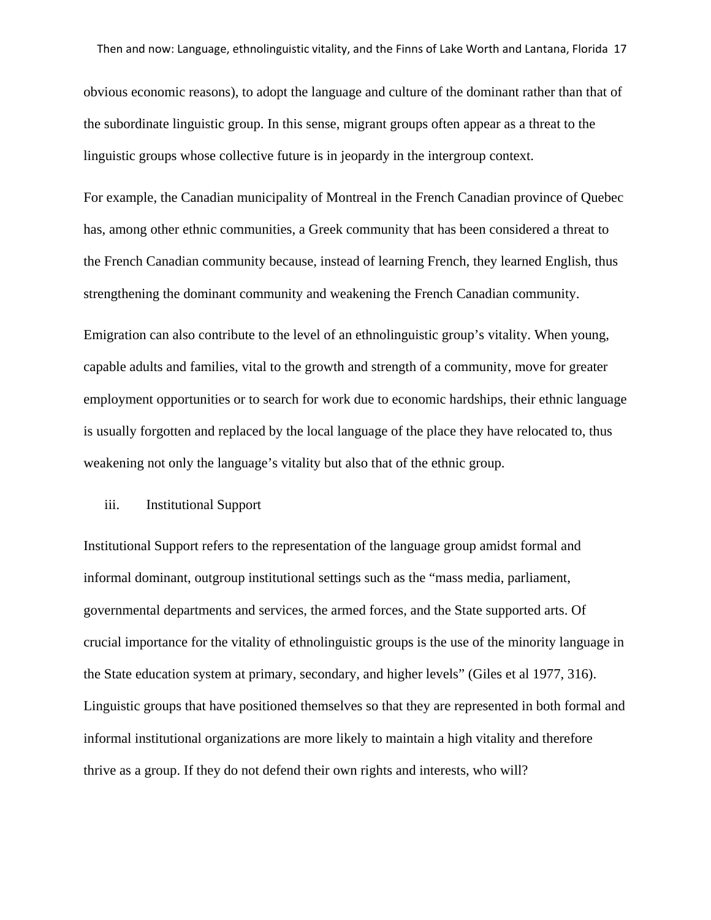obvious economic reasons), to adopt the language and culture of the dominant rather than that of the subordinate linguistic group. In this sense, migrant groups often appear as a threat to the linguistic groups whose collective future is in jeopardy in the intergroup context.

For example, the Canadian municipality of Montreal in the French Canadian province of Quebec has, among other ethnic communities, a Greek community that has been considered a threat to the French Canadian community because, instead of learning French, they learned English, thus strengthening the dominant community and weakening the French Canadian community.

Emigration can also contribute to the level of an ethnolinguistic group's vitality. When young, capable adults and families, vital to the growth and strength of a community, move for greater employment opportunities or to search for work due to economic hardships, their ethnic language is usually forgotten and replaced by the local language of the place they have relocated to, thus weakening not only the language's vitality but also that of the ethnic group.

# iii. Institutional Support

Institutional Support refers to the representation of the language group amidst formal and informal dominant, outgroup institutional settings such as the "mass media, parliament, governmental departments and services, the armed forces, and the State supported arts. Of crucial importance for the vitality of ethnolinguistic groups is the use of the minority language in the State education system at primary, secondary, and higher levels" (Giles et al 1977, 316). Linguistic groups that have positioned themselves so that they are represented in both formal and informal institutional organizations are more likely to maintain a high vitality and therefore thrive as a group. If they do not defend their own rights and interests, who will?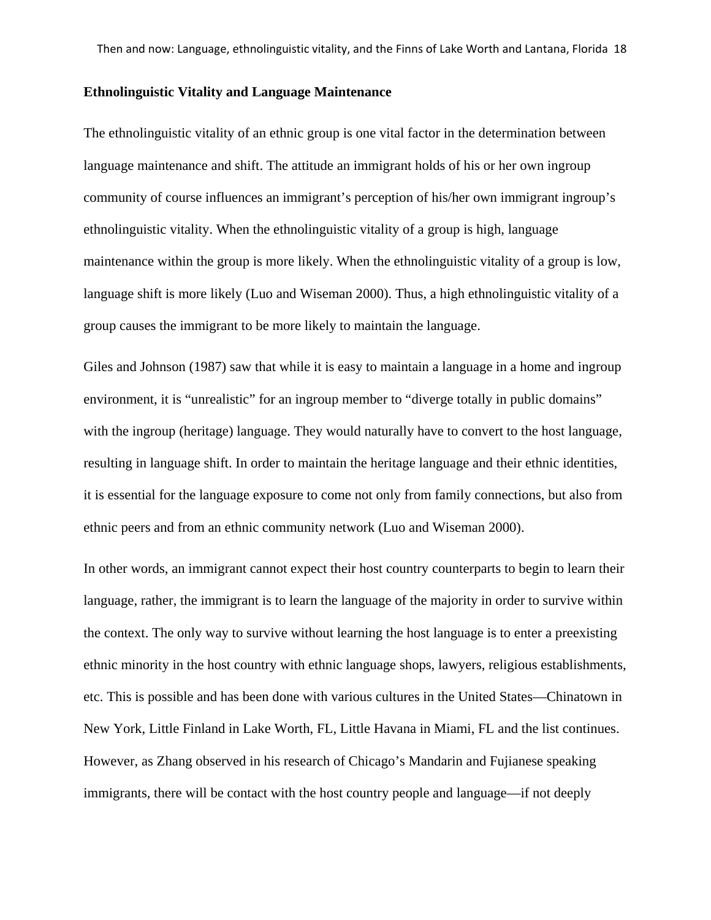#### **Ethnolinguistic Vitality and Language Maintenance**

The ethnolinguistic vitality of an ethnic group is one vital factor in the determination between language maintenance and shift. The attitude an immigrant holds of his or her own ingroup community of course influences an immigrant's perception of his/her own immigrant ingroup's ethnolinguistic vitality. When the ethnolinguistic vitality of a group is high, language maintenance within the group is more likely. When the ethnolinguistic vitality of a group is low, language shift is more likely (Luo and Wiseman 2000). Thus, a high ethnolinguistic vitality of a group causes the immigrant to be more likely to maintain the language.

Giles and Johnson (1987) saw that while it is easy to maintain a language in a home and ingroup environment, it is "unrealistic" for an ingroup member to "diverge totally in public domains" with the ingroup (heritage) language. They would naturally have to convert to the host language, resulting in language shift. In order to maintain the heritage language and their ethnic identities, it is essential for the language exposure to come not only from family connections, but also from ethnic peers and from an ethnic community network (Luo and Wiseman 2000).

In other words, an immigrant cannot expect their host country counterparts to begin to learn their language, rather, the immigrant is to learn the language of the majority in order to survive within the context. The only way to survive without learning the host language is to enter a preexisting ethnic minority in the host country with ethnic language shops, lawyers, religious establishments, etc. This is possible and has been done with various cultures in the United States—Chinatown in New York, Little Finland in Lake Worth, FL, Little Havana in Miami, FL and the list continues. However, as Zhang observed in his research of Chicago's Mandarin and Fujianese speaking immigrants, there will be contact with the host country people and language—if not deeply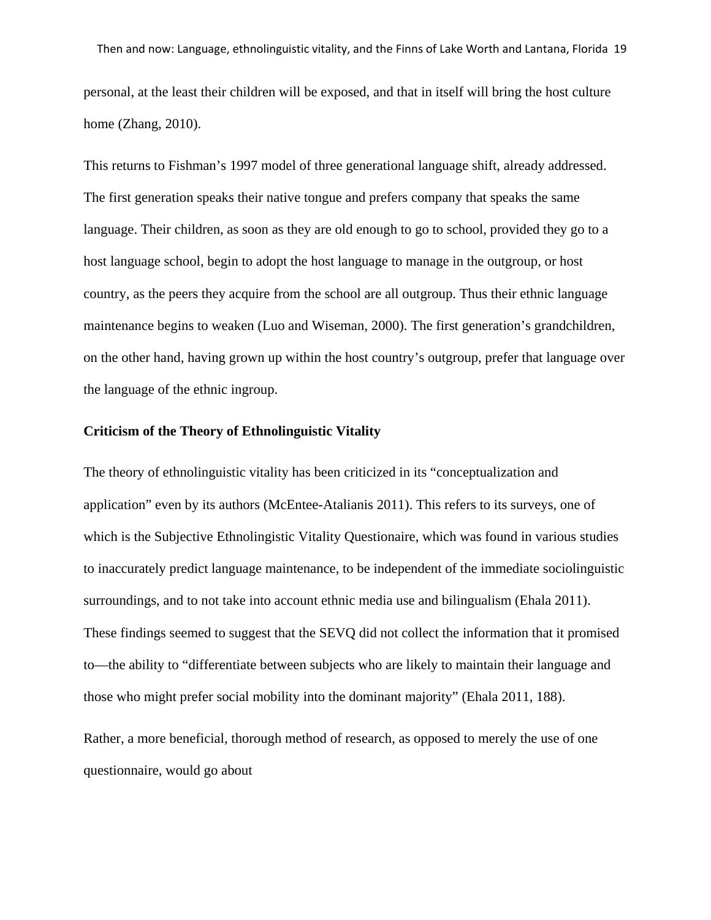personal, at the least their children will be exposed, and that in itself will bring the host culture home (Zhang, 2010).

This returns to Fishman's 1997 model of three generational language shift, already addressed. The first generation speaks their native tongue and prefers company that speaks the same language. Their children, as soon as they are old enough to go to school, provided they go to a host language school, begin to adopt the host language to manage in the outgroup, or host country, as the peers they acquire from the school are all outgroup. Thus their ethnic language maintenance begins to weaken (Luo and Wiseman, 2000). The first generation's grandchildren, on the other hand, having grown up within the host country's outgroup, prefer that language over the language of the ethnic ingroup.

# **Criticism of the Theory of Ethnolinguistic Vitality**

The theory of ethnolinguistic vitality has been criticized in its "conceptualization and application" even by its authors (McEntee-Atalianis 2011). This refers to its surveys, one of which is the Subjective Ethnolingistic Vitality Questionaire, which was found in various studies to inaccurately predict language maintenance, to be independent of the immediate sociolinguistic surroundings, and to not take into account ethnic media use and bilingualism (Ehala 2011). These findings seemed to suggest that the SEVQ did not collect the information that it promised to—the ability to "differentiate between subjects who are likely to maintain their language and those who might prefer social mobility into the dominant majority" (Ehala 2011, 188).

Rather, a more beneficial, thorough method of research, as opposed to merely the use of one questionnaire, would go about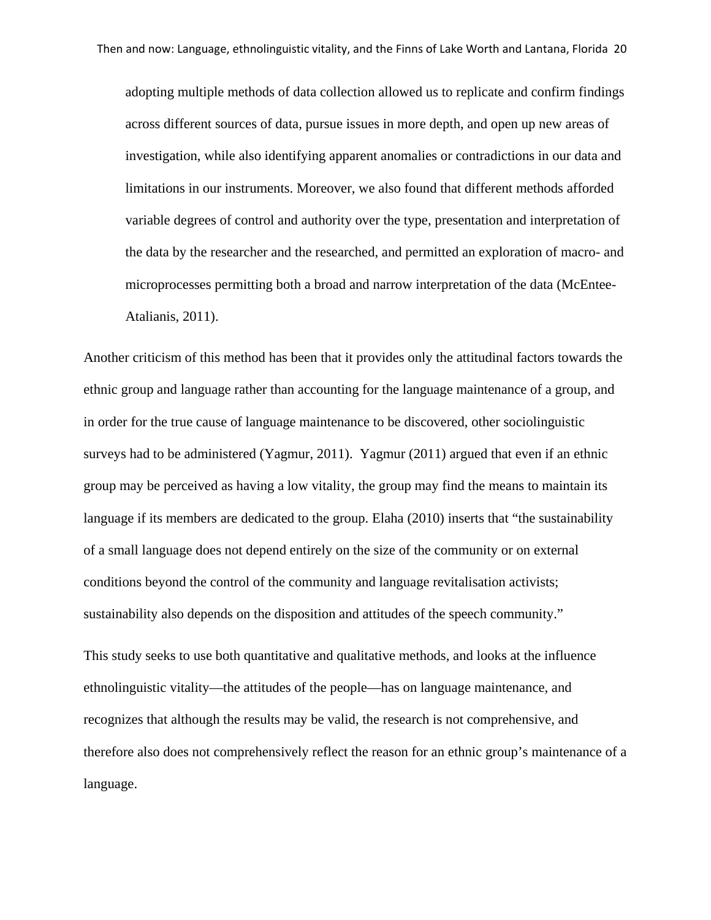adopting multiple methods of data collection allowed us to replicate and confirm findings across different sources of data, pursue issues in more depth, and open up new areas of investigation, while also identifying apparent anomalies or contradictions in our data and limitations in our instruments. Moreover, we also found that different methods afforded variable degrees of control and authority over the type, presentation and interpretation of the data by the researcher and the researched, and permitted an exploration of macro- and microprocesses permitting both a broad and narrow interpretation of the data (McEntee-Atalianis, 2011).

Another criticism of this method has been that it provides only the attitudinal factors towards the ethnic group and language rather than accounting for the language maintenance of a group, and in order for the true cause of language maintenance to be discovered, other sociolinguistic surveys had to be administered (Yagmur, 2011). Yagmur (2011) argued that even if an ethnic group may be perceived as having a low vitality, the group may find the means to maintain its language if its members are dedicated to the group. Elaha (2010) inserts that "the sustainability of a small language does not depend entirely on the size of the community or on external conditions beyond the control of the community and language revitalisation activists; sustainability also depends on the disposition and attitudes of the speech community."

This study seeks to use both quantitative and qualitative methods, and looks at the influence ethnolinguistic vitality—the attitudes of the people—has on language maintenance, and recognizes that although the results may be valid, the research is not comprehensive, and therefore also does not comprehensively reflect the reason for an ethnic group's maintenance of a language.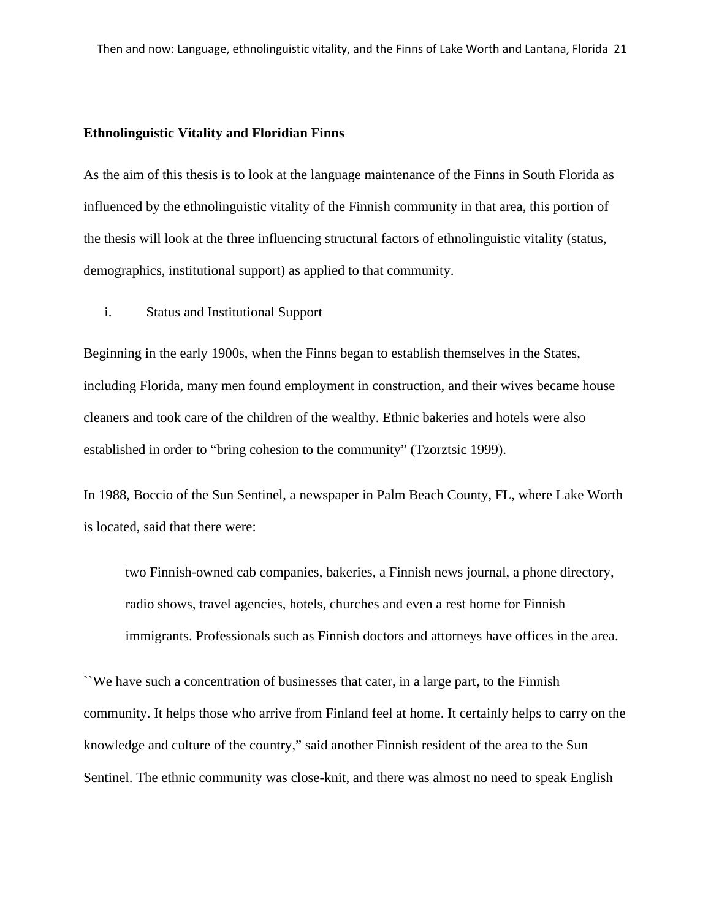#### **Ethnolinguistic Vitality and Floridian Finns**

As the aim of this thesis is to look at the language maintenance of the Finns in South Florida as influenced by the ethnolinguistic vitality of the Finnish community in that area, this portion of the thesis will look at the three influencing structural factors of ethnolinguistic vitality (status, demographics, institutional support) as applied to that community.

i. Status and Institutional Support

Beginning in the early 1900s, when the Finns began to establish themselves in the States, including Florida, many men found employment in construction, and their wives became house cleaners and took care of the children of the wealthy. Ethnic bakeries and hotels were also established in order to "bring cohesion to the community" (Tzorztsic 1999).

In 1988, Boccio of the Sun Sentinel, a newspaper in Palm Beach County, FL, where Lake Worth is located, said that there were:

two Finnish-owned cab companies, bakeries, a Finnish news journal, a phone directory, radio shows, travel agencies, hotels, churches and even a rest home for Finnish immigrants. Professionals such as Finnish doctors and attorneys have offices in the area.

``We have such a concentration of businesses that cater, in a large part, to the Finnish community. It helps those who arrive from Finland feel at home. It certainly helps to carry on the knowledge and culture of the country," said another Finnish resident of the area to the Sun Sentinel. The ethnic community was close-knit, and there was almost no need to speak English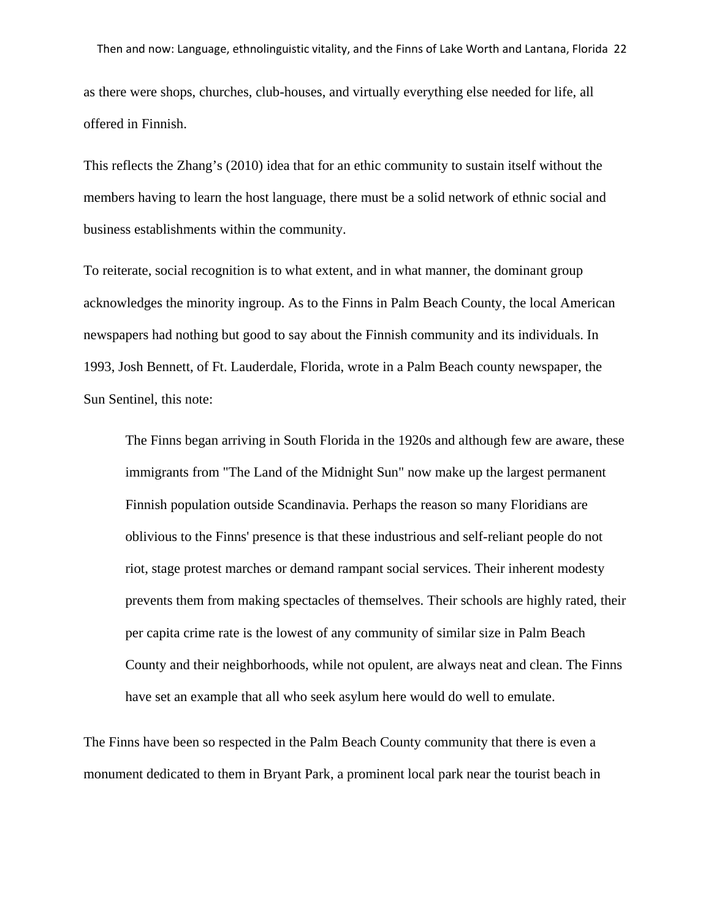as there were shops, churches, club-houses, and virtually everything else needed for life, all offered in Finnish.

This reflects the Zhang's (2010) idea that for an ethic community to sustain itself without the members having to learn the host language, there must be a solid network of ethnic social and business establishments within the community.

To reiterate, social recognition is to what extent, and in what manner, the dominant group acknowledges the minority ingroup. As to the Finns in Palm Beach County, the local American newspapers had nothing but good to say about the Finnish community and its individuals. In 1993, Josh Bennett, of Ft. Lauderdale, Florida, wrote in a Palm Beach county newspaper, the Sun Sentinel, this note:

The Finns began arriving in South Florida in the 1920s and although few are aware, these immigrants from "The Land of the Midnight Sun" now make up the largest permanent Finnish population outside Scandinavia. Perhaps the reason so many Floridians are oblivious to the Finns' presence is that these industrious and self-reliant people do not riot, stage protest marches or demand rampant social services. Their inherent modesty prevents them from making spectacles of themselves. Their schools are highly rated, their per capita crime rate is the lowest of any community of similar size in Palm Beach County and their neighborhoods, while not opulent, are always neat and clean. The Finns have set an example that all who seek asylum here would do well to emulate.

The Finns have been so respected in the Palm Beach County community that there is even a monument dedicated to them in Bryant Park, a prominent local park near the tourist beach in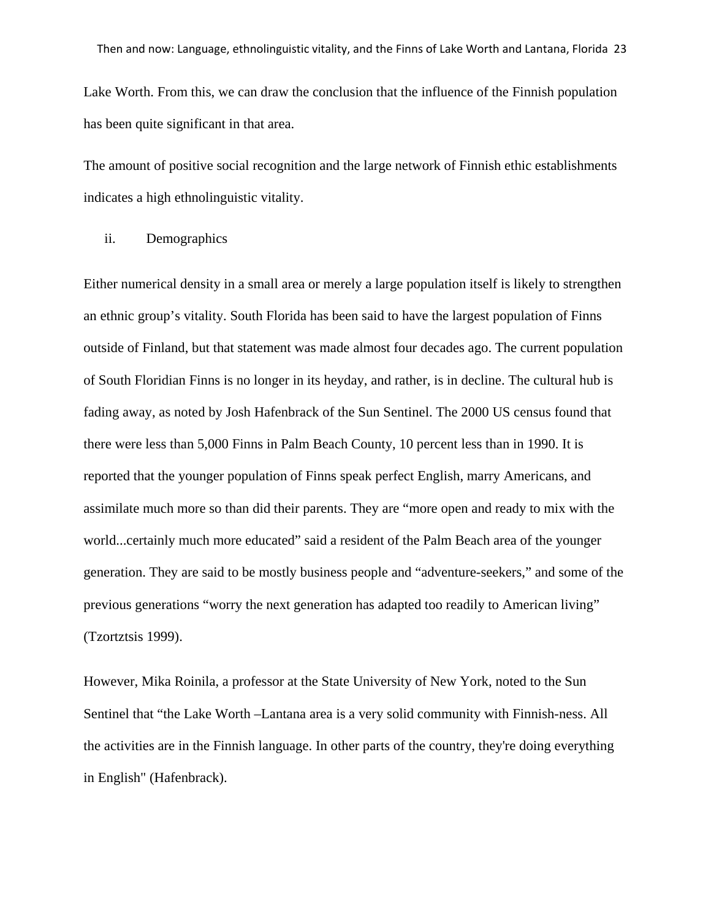Lake Worth. From this, we can draw the conclusion that the influence of the Finnish population has been quite significant in that area.

The amount of positive social recognition and the large network of Finnish ethic establishments indicates a high ethnolinguistic vitality.

# ii. Demographics

Either numerical density in a small area or merely a large population itself is likely to strengthen an ethnic group's vitality. South Florida has been said to have the largest population of Finns outside of Finland, but that statement was made almost four decades ago. The current population of South Floridian Finns is no longer in its heyday, and rather, is in decline. The cultural hub is fading away, as noted by Josh Hafenbrack of the Sun Sentinel. The 2000 US census found that there were less than 5,000 Finns in Palm Beach County, 10 percent less than in 1990. It is reported that the younger population of Finns speak perfect English, marry Americans, and assimilate much more so than did their parents. They are "more open and ready to mix with the world...certainly much more educated" said a resident of the Palm Beach area of the younger generation. They are said to be mostly business people and "adventure-seekers," and some of the previous generations "worry the next generation has adapted too readily to American living" (Tzortztsis 1999).

However, Mika Roinila, a professor at the State University of New York, noted to the Sun Sentinel that "the Lake Worth –Lantana area is a very solid community with Finnish-ness. All the activities are in the Finnish language. In other parts of the country, they're doing everything in English" (Hafenbrack).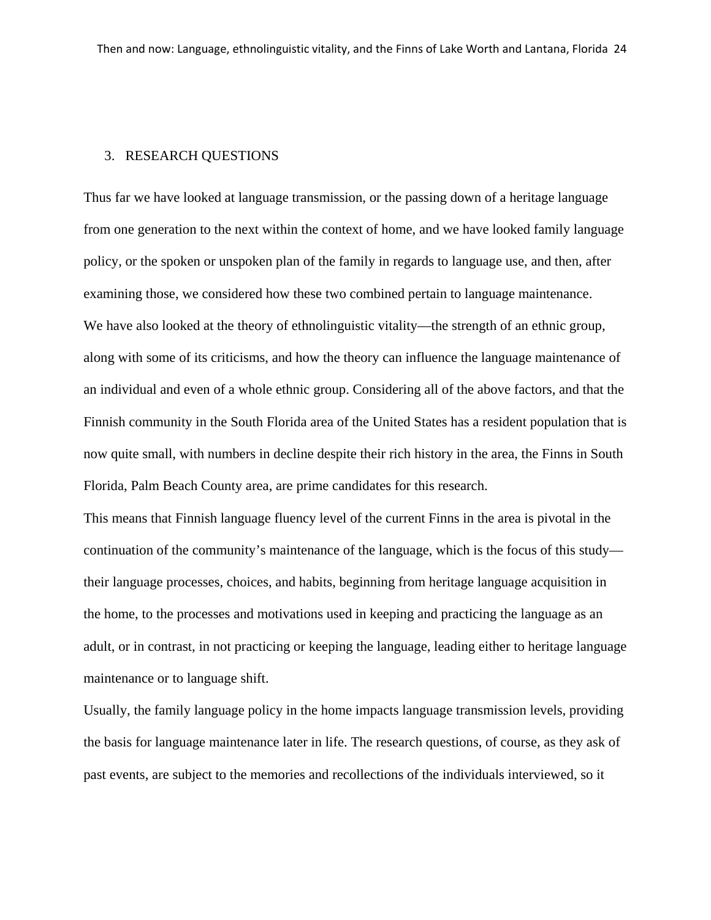# 3. RESEARCH QUESTIONS

Thus far we have looked at language transmission, or the passing down of a heritage language from one generation to the next within the context of home, and we have looked family language policy, or the spoken or unspoken plan of the family in regards to language use, and then, after examining those, we considered how these two combined pertain to language maintenance. We have also looked at the theory of ethnolinguistic vitality—the strength of an ethnic group, along with some of its criticisms, and how the theory can influence the language maintenance of an individual and even of a whole ethnic group. Considering all of the above factors, and that the Finnish community in the South Florida area of the United States has a resident population that is now quite small, with numbers in decline despite their rich history in the area, the Finns in South Florida, Palm Beach County area, are prime candidates for this research.

This means that Finnish language fluency level of the current Finns in the area is pivotal in the continuation of the community's maintenance of the language, which is the focus of this study their language processes, choices, and habits, beginning from heritage language acquisition in the home, to the processes and motivations used in keeping and practicing the language as an adult, or in contrast, in not practicing or keeping the language, leading either to heritage language maintenance or to language shift.

Usually, the family language policy in the home impacts language transmission levels, providing the basis for language maintenance later in life. The research questions, of course, as they ask of past events, are subject to the memories and recollections of the individuals interviewed, so it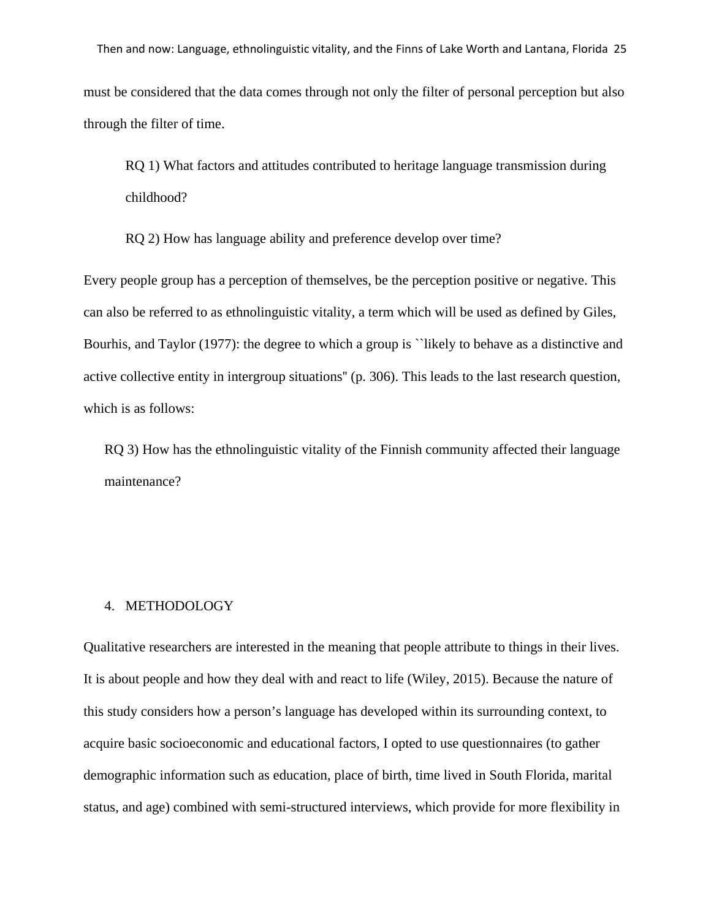Then and now: Language, ethnolinguistic vitality, and the Finns of Lake Worth and Lantana, Florida 25

must be considered that the data comes through not only the filter of personal perception but also through the filter of time.

RQ 1) What factors and attitudes contributed to heritage language transmission during childhood?

RQ 2) How has language ability and preference develop over time?

Every people group has a perception of themselves, be the perception positive or negative. This can also be referred to as ethnolinguistic vitality, a term which will be used as defined by Giles, Bourhis, and Taylor (1977): the degree to which a group is "likely to behave as a distinctive and active collective entity in intergroup situations'' (p. 306). This leads to the last research question, which is as follows:

RQ 3) How has the ethnolinguistic vitality of the Finnish community affected their language maintenance?

#### 4. METHODOLOGY

Qualitative researchers are interested in the meaning that people attribute to things in their lives. It is about people and how they deal with and react to life (Wiley, 2015). Because the nature of this study considers how a person's language has developed within its surrounding context, to acquire basic socioeconomic and educational factors, I opted to use questionnaires (to gather demographic information such as education, place of birth, time lived in South Florida, marital status, and age) combined with semi-structured interviews, which provide for more flexibility in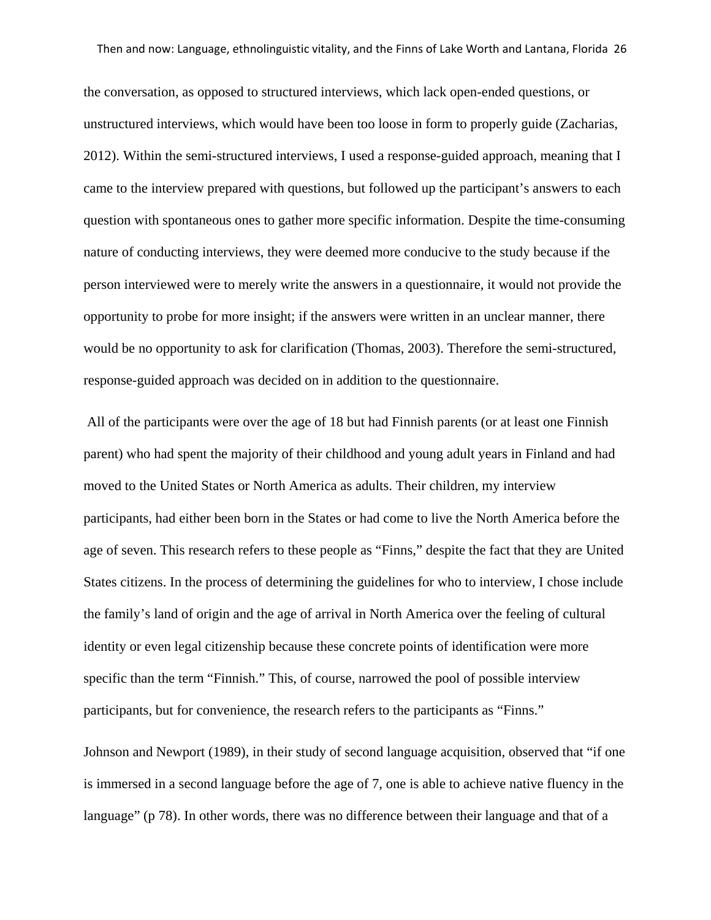the conversation, as opposed to structured interviews, which lack open-ended questions, or unstructured interviews, which would have been too loose in form to properly guide (Zacharias, 2012). Within the semi-structured interviews, I used a response-guided approach, meaning that I came to the interview prepared with questions, but followed up the participant's answers to each question with spontaneous ones to gather more specific information. Despite the time-consuming nature of conducting interviews, they were deemed more conducive to the study because if the person interviewed were to merely write the answers in a questionnaire, it would not provide the opportunity to probe for more insight; if the answers were written in an unclear manner, there would be no opportunity to ask for clarification (Thomas, 2003). Therefore the semi-structured, response-guided approach was decided on in addition to the questionnaire.

All of the participants were over the age of 18 but had Finnish parents (or at least one Finnish parent) who had spent the majority of their childhood and young adult years in Finland and had moved to the United States or North America as adults. Their children, my interview participants, had either been born in the States or had come to live the North America before the age of seven. This research refers to these people as "Finns," despite the fact that they are United States citizens. In the process of determining the guidelines for who to interview, I chose include the family's land of origin and the age of arrival in North America over the feeling of cultural identity or even legal citizenship because these concrete points of identification were more specific than the term "Finnish." This, of course, narrowed the pool of possible interview participants, but for convenience, the research refers to the participants as "Finns."

Johnson and Newport (1989), in their study of second language acquisition, observed that "if one is immersed in a second language before the age of 7, one is able to achieve native fluency in the language" (p 78). In other words, there was no difference between their language and that of a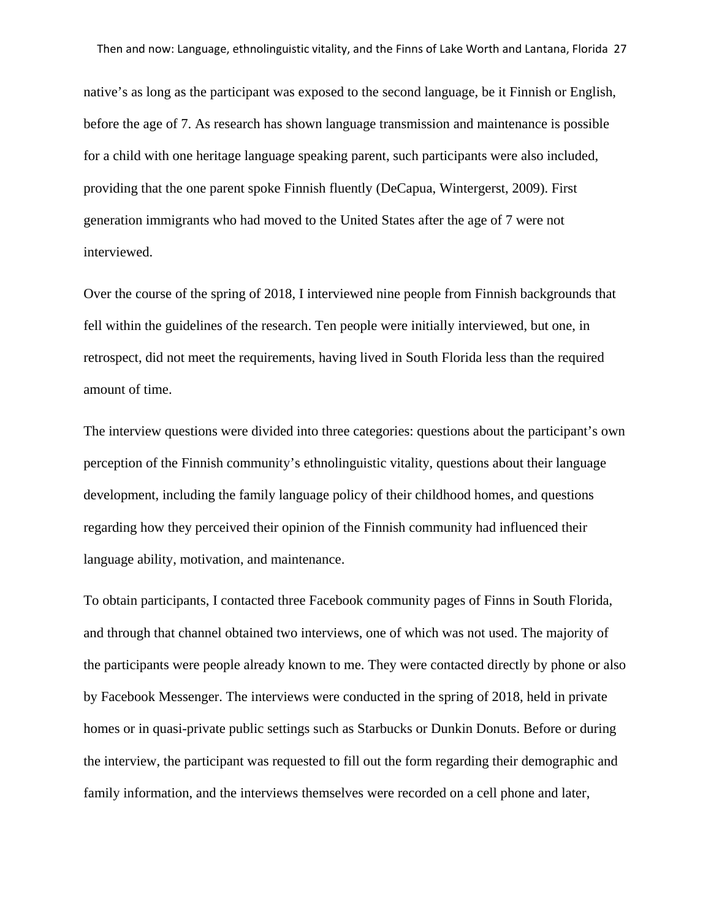native's as long as the participant was exposed to the second language, be it Finnish or English, before the age of 7. As research has shown language transmission and maintenance is possible for a child with one heritage language speaking parent, such participants were also included, providing that the one parent spoke Finnish fluently (DeCapua, Wintergerst, 2009). First generation immigrants who had moved to the United States after the age of 7 were not interviewed.

Over the course of the spring of 2018, I interviewed nine people from Finnish backgrounds that fell within the guidelines of the research. Ten people were initially interviewed, but one, in retrospect, did not meet the requirements, having lived in South Florida less than the required amount of time.

The interview questions were divided into three categories: questions about the participant's own perception of the Finnish community's ethnolinguistic vitality, questions about their language development, including the family language policy of their childhood homes, and questions regarding how they perceived their opinion of the Finnish community had influenced their language ability, motivation, and maintenance.

To obtain participants, I contacted three Facebook community pages of Finns in South Florida, and through that channel obtained two interviews, one of which was not used. The majority of the participants were people already known to me. They were contacted directly by phone or also by Facebook Messenger. The interviews were conducted in the spring of 2018, held in private homes or in quasi-private public settings such as Starbucks or Dunkin Donuts. Before or during the interview, the participant was requested to fill out the form regarding their demographic and family information, and the interviews themselves were recorded on a cell phone and later,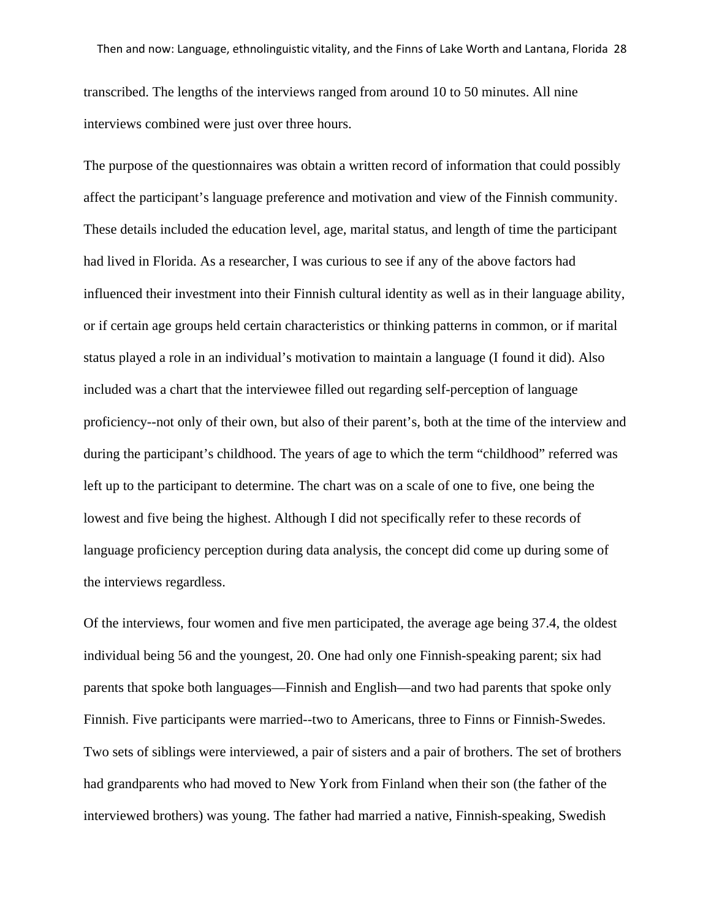transcribed. The lengths of the interviews ranged from around 10 to 50 minutes. All nine interviews combined were just over three hours.

The purpose of the questionnaires was obtain a written record of information that could possibly affect the participant's language preference and motivation and view of the Finnish community. These details included the education level, age, marital status, and length of time the participant had lived in Florida. As a researcher, I was curious to see if any of the above factors had influenced their investment into their Finnish cultural identity as well as in their language ability, or if certain age groups held certain characteristics or thinking patterns in common, or if marital status played a role in an individual's motivation to maintain a language (I found it did). Also included was a chart that the interviewee filled out regarding self-perception of language proficiency--not only of their own, but also of their parent's, both at the time of the interview and during the participant's childhood. The years of age to which the term "childhood" referred was left up to the participant to determine. The chart was on a scale of one to five, one being the lowest and five being the highest. Although I did not specifically refer to these records of language proficiency perception during data analysis, the concept did come up during some of the interviews regardless.

Of the interviews, four women and five men participated, the average age being 37.4, the oldest individual being 56 and the youngest, 20. One had only one Finnish-speaking parent; six had parents that spoke both languages—Finnish and English—and two had parents that spoke only Finnish. Five participants were married--two to Americans, three to Finns or Finnish-Swedes. Two sets of siblings were interviewed, a pair of sisters and a pair of brothers. The set of brothers had grandparents who had moved to New York from Finland when their son (the father of the interviewed brothers) was young. The father had married a native, Finnish-speaking, Swedish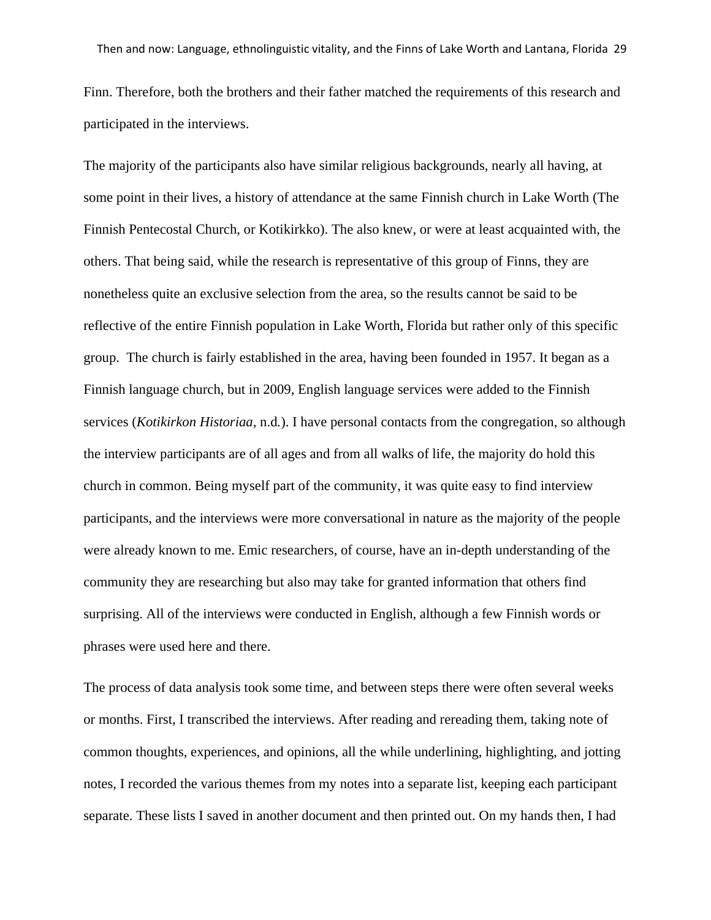Finn. Therefore, both the brothers and their father matched the requirements of this research and participated in the interviews.

The majority of the participants also have similar religious backgrounds, nearly all having, at some point in their lives, a history of attendance at the same Finnish church in Lake Worth (The Finnish Pentecostal Church, or Kotikirkko). The also knew, or were at least acquainted with, the others. That being said, while the research is representative of this group of Finns, they are nonetheless quite an exclusive selection from the area, so the results cannot be said to be reflective of the entire Finnish population in Lake Worth, Florida but rather only of this specific group. The church is fairly established in the area, having been founded in 1957. It began as a Finnish language church, but in 2009, English language services were added to the Finnish services (*Kotikirkon Historiaa,* n.d*.*). I have personal contacts from the congregation, so although the interview participants are of all ages and from all walks of life, the majority do hold this church in common. Being myself part of the community, it was quite easy to find interview participants, and the interviews were more conversational in nature as the majority of the people were already known to me. Emic researchers, of course, have an in-depth understanding of the community they are researching but also may take for granted information that others find surprising. All of the interviews were conducted in English, although a few Finnish words or phrases were used here and there.

The process of data analysis took some time, and between steps there were often several weeks or months. First, I transcribed the interviews. After reading and rereading them, taking note of common thoughts, experiences, and opinions, all the while underlining, highlighting, and jotting notes, I recorded the various themes from my notes into a separate list, keeping each participant separate. These lists I saved in another document and then printed out. On my hands then, I had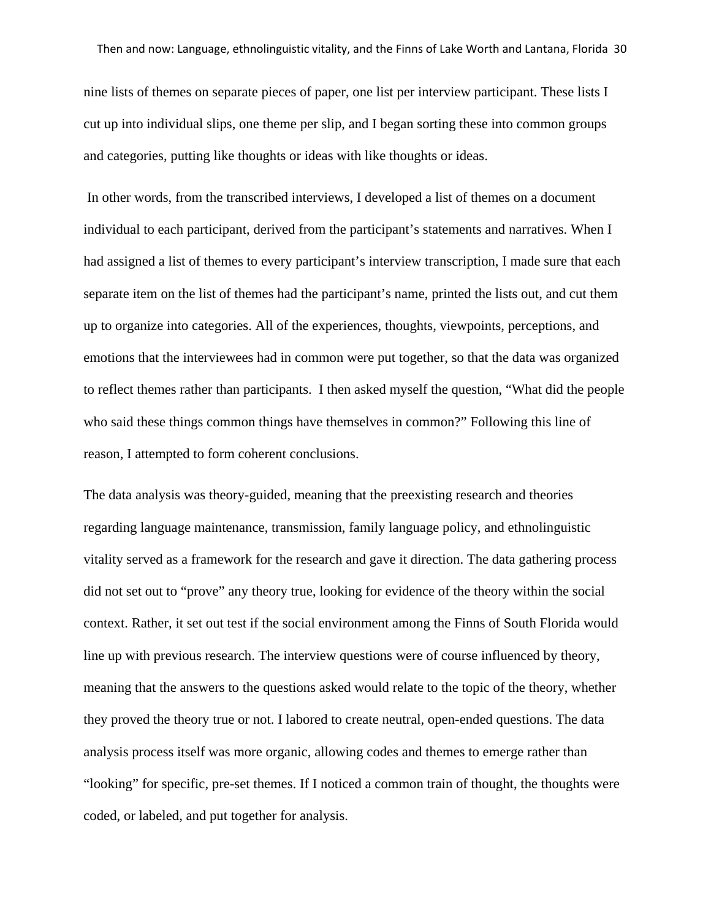nine lists of themes on separate pieces of paper, one list per interview participant. These lists I cut up into individual slips, one theme per slip, and I began sorting these into common groups and categories, putting like thoughts or ideas with like thoughts or ideas.

In other words, from the transcribed interviews, I developed a list of themes on a document individual to each participant, derived from the participant's statements and narratives. When I had assigned a list of themes to every participant's interview transcription, I made sure that each separate item on the list of themes had the participant's name, printed the lists out, and cut them up to organize into categories. All of the experiences, thoughts, viewpoints, perceptions, and emotions that the interviewees had in common were put together, so that the data was organized to reflect themes rather than participants. I then asked myself the question, "What did the people who said these things common things have themselves in common?" Following this line of reason, I attempted to form coherent conclusions.

The data analysis was theory-guided, meaning that the preexisting research and theories regarding language maintenance, transmission, family language policy, and ethnolinguistic vitality served as a framework for the research and gave it direction. The data gathering process did not set out to "prove" any theory true, looking for evidence of the theory within the social context. Rather, it set out test if the social environment among the Finns of South Florida would line up with previous research. The interview questions were of course influenced by theory, meaning that the answers to the questions asked would relate to the topic of the theory, whether they proved the theory true or not. I labored to create neutral, open-ended questions. The data analysis process itself was more organic, allowing codes and themes to emerge rather than "looking" for specific, pre-set themes. If I noticed a common train of thought, the thoughts were coded, or labeled, and put together for analysis.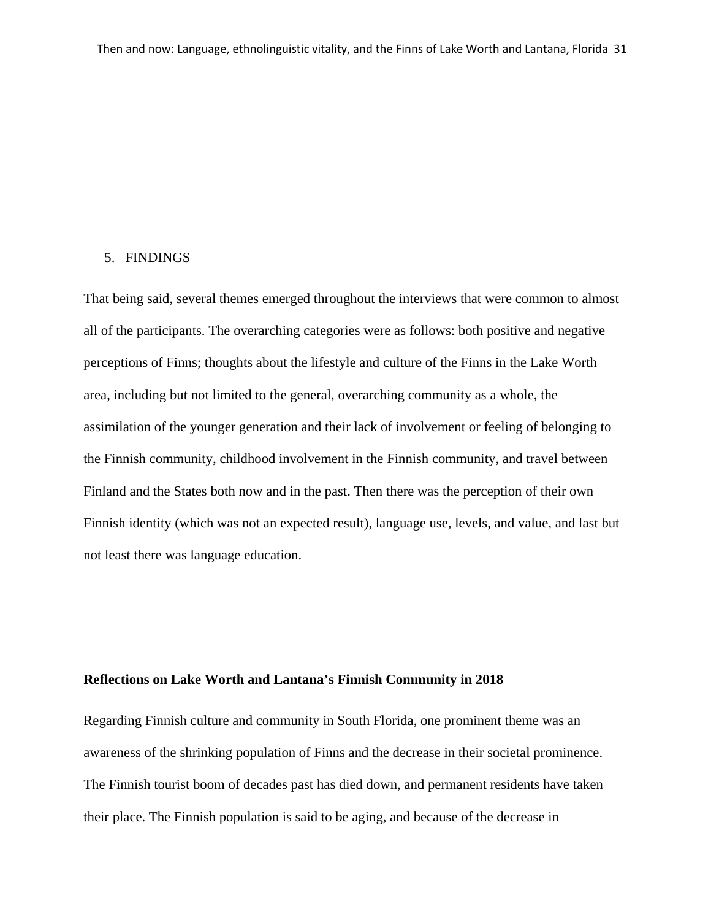#### 5. FINDINGS

That being said, several themes emerged throughout the interviews that were common to almost all of the participants. The overarching categories were as follows: both positive and negative perceptions of Finns; thoughts about the lifestyle and culture of the Finns in the Lake Worth area, including but not limited to the general, overarching community as a whole, the assimilation of the younger generation and their lack of involvement or feeling of belonging to the Finnish community, childhood involvement in the Finnish community, and travel between Finland and the States both now and in the past. Then there was the perception of their own Finnish identity (which was not an expected result), language use, levels, and value, and last but not least there was language education.

# **Reflections on Lake Worth and Lantana's Finnish Community in 2018**

Regarding Finnish culture and community in South Florida, one prominent theme was an awareness of the shrinking population of Finns and the decrease in their societal prominence. The Finnish tourist boom of decades past has died down, and permanent residents have taken their place. The Finnish population is said to be aging, and because of the decrease in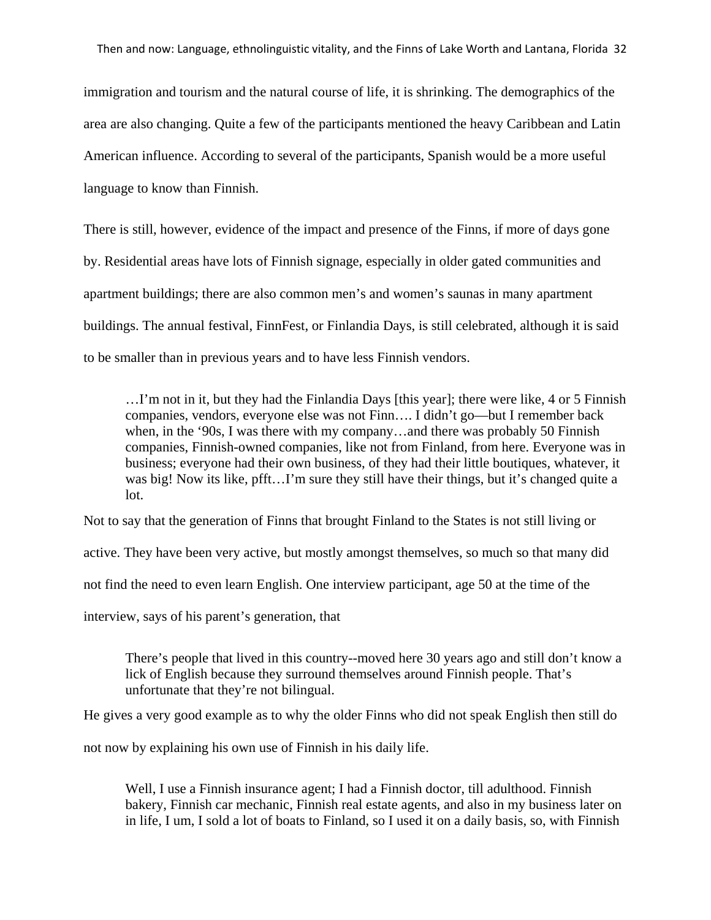immigration and tourism and the natural course of life, it is shrinking. The demographics of the area are also changing. Quite a few of the participants mentioned the heavy Caribbean and Latin American influence. According to several of the participants, Spanish would be a more useful language to know than Finnish.

There is still, however, evidence of the impact and presence of the Finns, if more of days gone by. Residential areas have lots of Finnish signage, especially in older gated communities and apartment buildings; there are also common men's and women's saunas in many apartment buildings. The annual festival, FinnFest, or Finlandia Days, is still celebrated, although it is said to be smaller than in previous years and to have less Finnish vendors.

…I'm not in it, but they had the Finlandia Days [this year]; there were like, 4 or 5 Finnish companies, vendors, everyone else was not Finn…. I didn't go—but I remember back when, in the '90s, I was there with my company…and there was probably 50 Finnish companies, Finnish-owned companies, like not from Finland, from here. Everyone was in business; everyone had their own business, of they had their little boutiques, whatever, it was big! Now its like, pfft…I'm sure they still have their things, but it's changed quite a lot.

Not to say that the generation of Finns that brought Finland to the States is not still living or

active. They have been very active, but mostly amongst themselves, so much so that many did

not find the need to even learn English. One interview participant, age 50 at the time of the

interview, says of his parent's generation, that

There's people that lived in this country--moved here 30 years ago and still don't know a lick of English because they surround themselves around Finnish people. That's unfortunate that they're not bilingual.

He gives a very good example as to why the older Finns who did not speak English then still do

not now by explaining his own use of Finnish in his daily life.

Well, I use a Finnish insurance agent; I had a Finnish doctor, till adulthood. Finnish bakery, Finnish car mechanic, Finnish real estate agents, and also in my business later on in life, I um, I sold a lot of boats to Finland, so I used it on a daily basis, so, with Finnish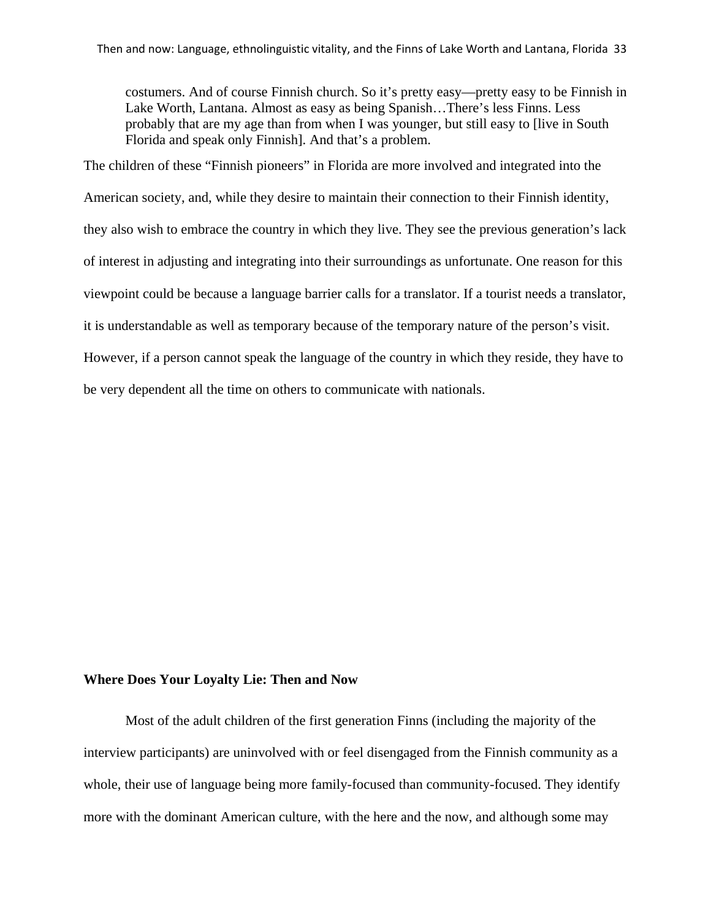costumers. And of course Finnish church. So it's pretty easy—pretty easy to be Finnish in Lake Worth, Lantana. Almost as easy as being Spanish…There's less Finns. Less probably that are my age than from when I was younger, but still easy to [live in South Florida and speak only Finnish]. And that's a problem.

The children of these "Finnish pioneers" in Florida are more involved and integrated into the

American society, and, while they desire to maintain their connection to their Finnish identity,

they also wish to embrace the country in which they live. They see the previous generation's lack

of interest in adjusting and integrating into their surroundings as unfortunate. One reason for this

viewpoint could be because a language barrier calls for a translator. If a tourist needs a translator,

it is understandable as well as temporary because of the temporary nature of the person's visit.

However, if a person cannot speak the language of the country in which they reside, they have to be very dependent all the time on others to communicate with nationals.

# **Where Does Your Loyalty Lie: Then and Now**

Most of the adult children of the first generation Finns (including the majority of the interview participants) are uninvolved with or feel disengaged from the Finnish community as a whole, their use of language being more family-focused than community-focused. They identify more with the dominant American culture, with the here and the now, and although some may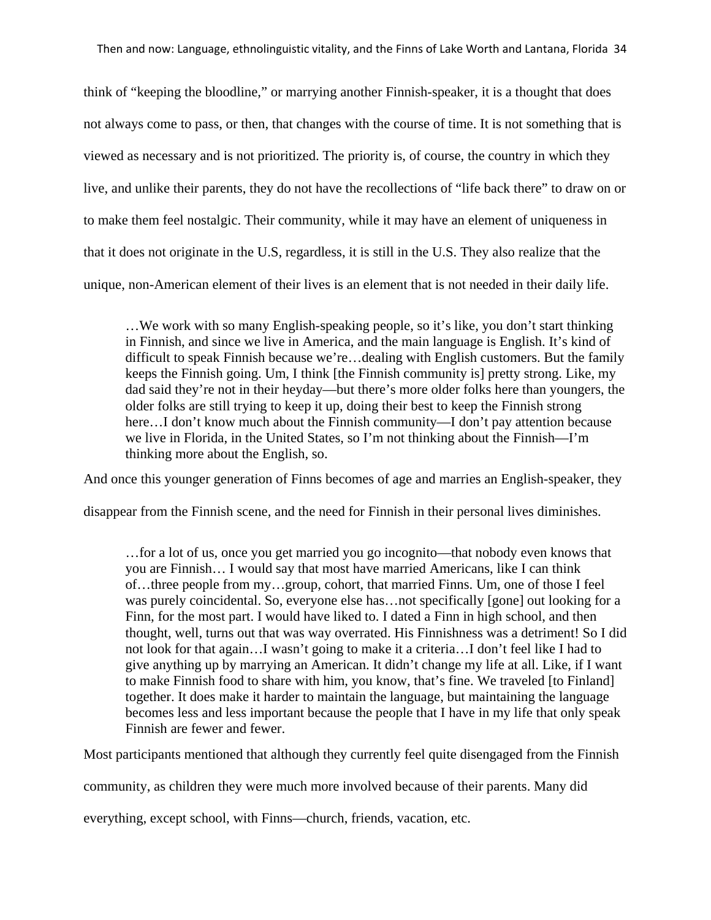think of "keeping the bloodline," or marrying another Finnish-speaker, it is a thought that does not always come to pass, or then, that changes with the course of time. It is not something that is viewed as necessary and is not prioritized. The priority is, of course, the country in which they live, and unlike their parents, they do not have the recollections of "life back there" to draw on or to make them feel nostalgic. Their community, while it may have an element of uniqueness in that it does not originate in the U.S, regardless, it is still in the U.S. They also realize that the unique, non-American element of their lives is an element that is not needed in their daily life.

…We work with so many English-speaking people, so it's like, you don't start thinking in Finnish, and since we live in America, and the main language is English. It's kind of difficult to speak Finnish because we're…dealing with English customers. But the family keeps the Finnish going. Um, I think [the Finnish community is] pretty strong. Like, my dad said they're not in their heyday—but there's more older folks here than youngers, the older folks are still trying to keep it up, doing their best to keep the Finnish strong here...I don't know much about the Finnish community—I don't pay attention because we live in Florida, in the United States, so I'm not thinking about the Finnish—I'm thinking more about the English, so.

And once this younger generation of Finns becomes of age and marries an English-speaker, they

disappear from the Finnish scene, and the need for Finnish in their personal lives diminishes.

…for a lot of us, once you get married you go incognito—that nobody even knows that you are Finnish… I would say that most have married Americans, like I can think of…three people from my…group, cohort, that married Finns. Um, one of those I feel was purely coincidental. So, everyone else has…not specifically [gone] out looking for a Finn, for the most part. I would have liked to. I dated a Finn in high school, and then thought, well, turns out that was way overrated. His Finnishness was a detriment! So I did not look for that again…I wasn't going to make it a criteria…I don't feel like I had to give anything up by marrying an American. It didn't change my life at all. Like, if I want to make Finnish food to share with him, you know, that's fine. We traveled [to Finland] together. It does make it harder to maintain the language, but maintaining the language becomes less and less important because the people that I have in my life that only speak Finnish are fewer and fewer.

Most participants mentioned that although they currently feel quite disengaged from the Finnish

community, as children they were much more involved because of their parents. Many did

everything, except school, with Finns—church, friends, vacation, etc.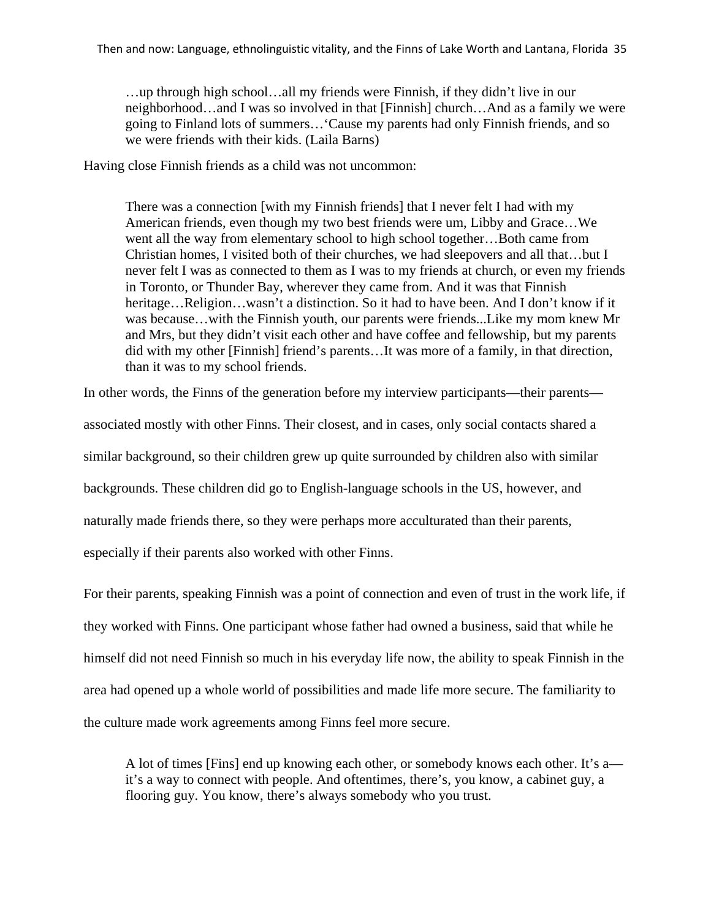…up through high school…all my friends were Finnish, if they didn't live in our neighborhood…and I was so involved in that [Finnish] church…And as a family we were going to Finland lots of summers…'Cause my parents had only Finnish friends, and so we were friends with their kids. (Laila Barns)

Having close Finnish friends as a child was not uncommon:

There was a connection [with my Finnish friends] that I never felt I had with my American friends, even though my two best friends were um, Libby and Grace…We went all the way from elementary school to high school together…Both came from Christian homes, I visited both of their churches, we had sleepovers and all that…but I never felt I was as connected to them as I was to my friends at church, or even my friends in Toronto, or Thunder Bay, wherever they came from. And it was that Finnish heritage…Religion…wasn't a distinction. So it had to have been. And I don't know if it was because…with the Finnish youth, our parents were friends...Like my mom knew Mr and Mrs, but they didn't visit each other and have coffee and fellowship, but my parents did with my other [Finnish] friend's parents…It was more of a family, in that direction, than it was to my school friends.

In other words, the Finns of the generation before my interview participants—their parents associated mostly with other Finns. Their closest, and in cases, only social contacts shared a similar background, so their children grew up quite surrounded by children also with similar backgrounds. These children did go to English-language schools in the US, however, and naturally made friends there, so they were perhaps more acculturated than their parents, especially if their parents also worked with other Finns.

For their parents, speaking Finnish was a point of connection and even of trust in the work life, if they worked with Finns. One participant whose father had owned a business, said that while he himself did not need Finnish so much in his everyday life now, the ability to speak Finnish in the area had opened up a whole world of possibilities and made life more secure. The familiarity to the culture made work agreements among Finns feel more secure.

A lot of times [Fins] end up knowing each other, or somebody knows each other. It's a it's a way to connect with people. And oftentimes, there's, you know, a cabinet guy, a flooring guy. You know, there's always somebody who you trust.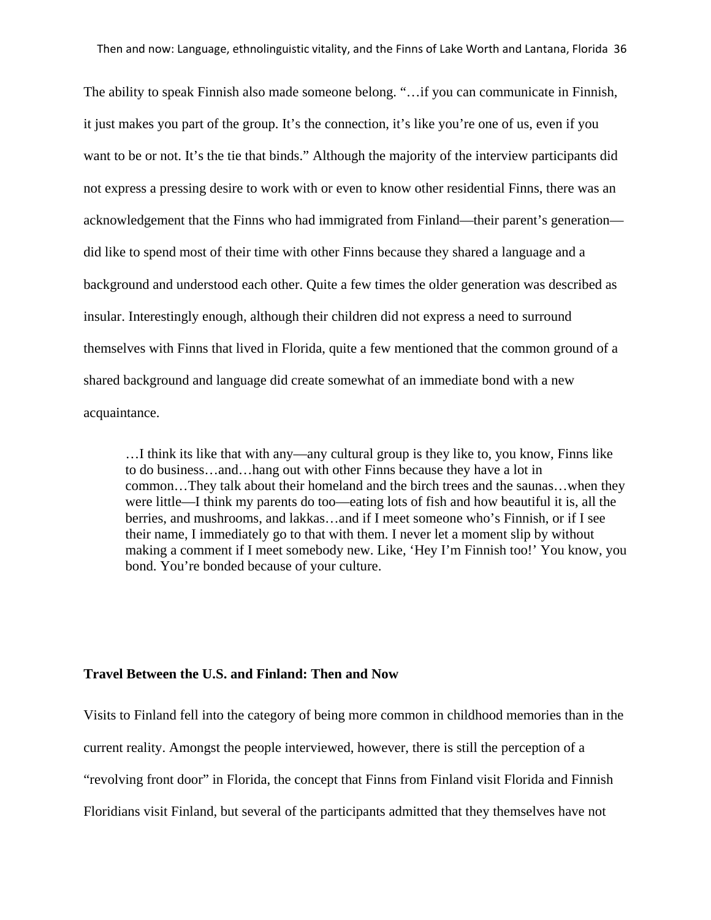The ability to speak Finnish also made someone belong. "…if you can communicate in Finnish, it just makes you part of the group. It's the connection, it's like you're one of us, even if you want to be or not. It's the tie that binds." Although the majority of the interview participants did not express a pressing desire to work with or even to know other residential Finns, there was an acknowledgement that the Finns who had immigrated from Finland—their parent's generation did like to spend most of their time with other Finns because they shared a language and a background and understood each other. Quite a few times the older generation was described as insular. Interestingly enough, although their children did not express a need to surround themselves with Finns that lived in Florida, quite a few mentioned that the common ground of a shared background and language did create somewhat of an immediate bond with a new acquaintance.

…I think its like that with any—any cultural group is they like to, you know, Finns like to do business…and…hang out with other Finns because they have a lot in common…They talk about their homeland and the birch trees and the saunas…when they were little—I think my parents do too—eating lots of fish and how beautiful it is, all the berries, and mushrooms, and lakkas…and if I meet someone who's Finnish, or if I see their name, I immediately go to that with them. I never let a moment slip by without making a comment if I meet somebody new. Like, 'Hey I'm Finnish too!' You know, you bond. You're bonded because of your culture.

# **Travel Between the U.S. and Finland: Then and Now**

Visits to Finland fell into the category of being more common in childhood memories than in the

current reality. Amongst the people interviewed, however, there is still the perception of a

"revolving front door" in Florida, the concept that Finns from Finland visit Florida and Finnish

Floridians visit Finland, but several of the participants admitted that they themselves have not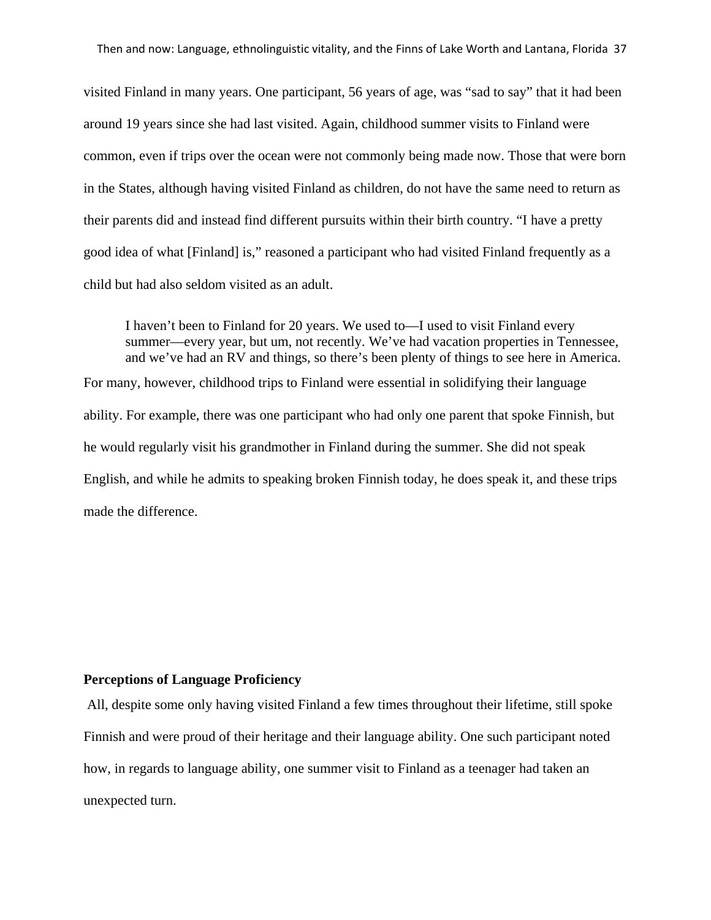visited Finland in many years. One participant, 56 years of age, was "sad to say" that it had been around 19 years since she had last visited. Again, childhood summer visits to Finland were common, even if trips over the ocean were not commonly being made now. Those that were born in the States, although having visited Finland as children, do not have the same need to return as their parents did and instead find different pursuits within their birth country. "I have a pretty good idea of what [Finland] is," reasoned a participant who had visited Finland frequently as a child but had also seldom visited as an adult.

I haven't been to Finland for 20 years. We used to—I used to visit Finland every summer—every year, but um, not recently. We've had vacation properties in Tennessee, and we've had an RV and things, so there's been plenty of things to see here in America. For many, however, childhood trips to Finland were essential in solidifying their language ability. For example, there was one participant who had only one parent that spoke Finnish, but he would regularly visit his grandmother in Finland during the summer. She did not speak English, and while he admits to speaking broken Finnish today, he does speak it, and these trips made the difference.

#### **Perceptions of Language Proficiency**

All, despite some only having visited Finland a few times throughout their lifetime, still spoke Finnish and were proud of their heritage and their language ability. One such participant noted how, in regards to language ability, one summer visit to Finland as a teenager had taken an unexpected turn.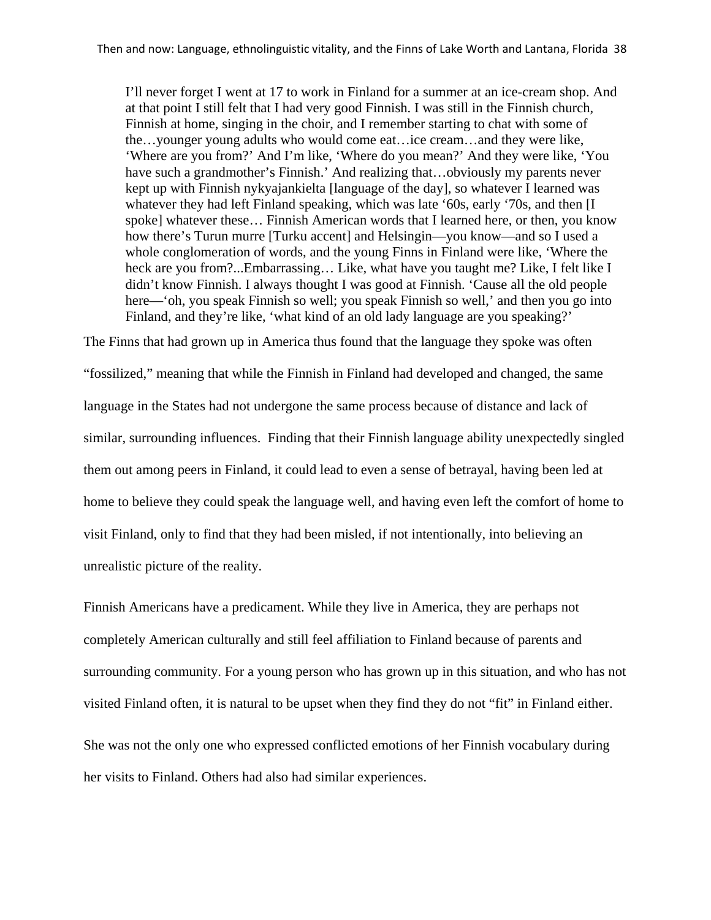I'll never forget I went at 17 to work in Finland for a summer at an ice-cream shop. And at that point I still felt that I had very good Finnish. I was still in the Finnish church, Finnish at home, singing in the choir, and I remember starting to chat with some of the…younger young adults who would come eat…ice cream…and they were like, 'Where are you from?' And I'm like, 'Where do you mean?' And they were like, 'You have such a grandmother's Finnish.' And realizing that...obviously my parents never kept up with Finnish nykyajankielta [language of the day], so whatever I learned was whatever they had left Finland speaking, which was late '60s, early '70s, and then [I spoke] whatever these… Finnish American words that I learned here, or then, you know how there's Turun murre [Turku accent] and Helsingin—you know—and so I used a whole conglomeration of words, and the young Finns in Finland were like, 'Where the heck are you from?...Embarrassing… Like, what have you taught me? Like, I felt like I didn't know Finnish. I always thought I was good at Finnish. 'Cause all the old people here—'oh, you speak Finnish so well; you speak Finnish so well,' and then you go into Finland, and they're like, 'what kind of an old lady language are you speaking?'

The Finns that had grown up in America thus found that the language they spoke was often "fossilized," meaning that while the Finnish in Finland had developed and changed, the same language in the States had not undergone the same process because of distance and lack of similar, surrounding influences. Finding that their Finnish language ability unexpectedly singled them out among peers in Finland, it could lead to even a sense of betrayal, having been led at home to believe they could speak the language well, and having even left the comfort of home to visit Finland, only to find that they had been misled, if not intentionally, into believing an unrealistic picture of the reality.

Finnish Americans have a predicament. While they live in America, they are perhaps not completely American culturally and still feel affiliation to Finland because of parents and surrounding community. For a young person who has grown up in this situation, and who has not visited Finland often, it is natural to be upset when they find they do not "fit" in Finland either.

She was not the only one who expressed conflicted emotions of her Finnish vocabulary during her visits to Finland. Others had also had similar experiences.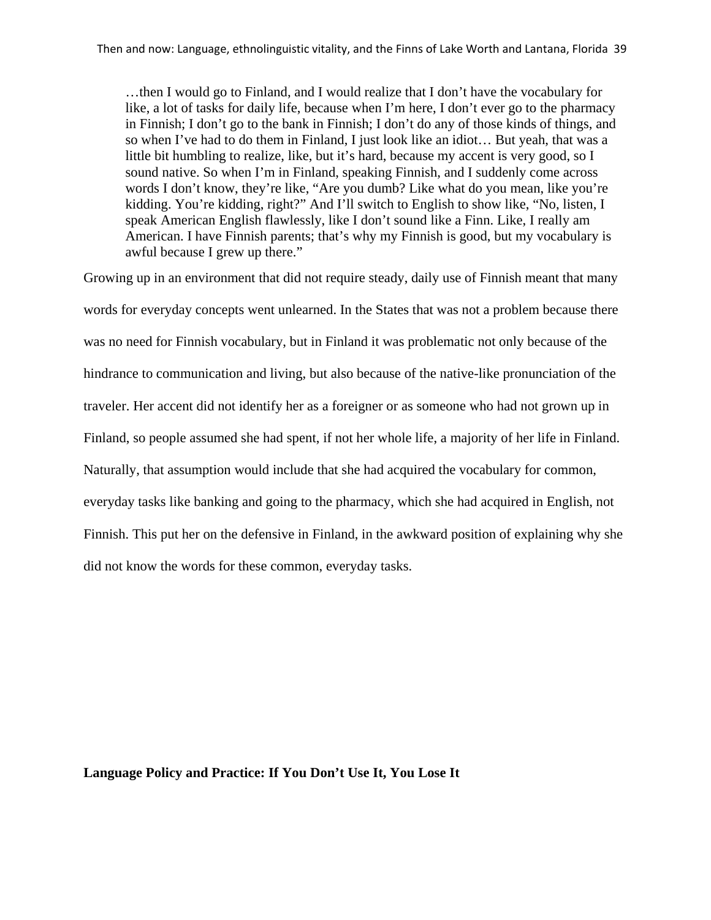…then I would go to Finland, and I would realize that I don't have the vocabulary for like, a lot of tasks for daily life, because when I'm here, I don't ever go to the pharmacy in Finnish; I don't go to the bank in Finnish; I don't do any of those kinds of things, and so when I've had to do them in Finland, I just look like an idiot… But yeah, that was a little bit humbling to realize, like, but it's hard, because my accent is very good, so I sound native. So when I'm in Finland, speaking Finnish, and I suddenly come across words I don't know, they're like, "Are you dumb? Like what do you mean, like you're kidding. You're kidding, right?" And I'll switch to English to show like, "No, listen, I speak American English flawlessly, like I don't sound like a Finn. Like, I really am American. I have Finnish parents; that's why my Finnish is good, but my vocabulary is awful because I grew up there."

Growing up in an environment that did not require steady, daily use of Finnish meant that many words for everyday concepts went unlearned. In the States that was not a problem because there was no need for Finnish vocabulary, but in Finland it was problematic not only because of the hindrance to communication and living, but also because of the native-like pronunciation of the traveler. Her accent did not identify her as a foreigner or as someone who had not grown up in Finland, so people assumed she had spent, if not her whole life, a majority of her life in Finland. Naturally, that assumption would include that she had acquired the vocabulary for common, everyday tasks like banking and going to the pharmacy, which she had acquired in English, not Finnish. This put her on the defensive in Finland, in the awkward position of explaining why she did not know the words for these common, everyday tasks.

#### **Language Policy and Practice: If You Don't Use It, You Lose It**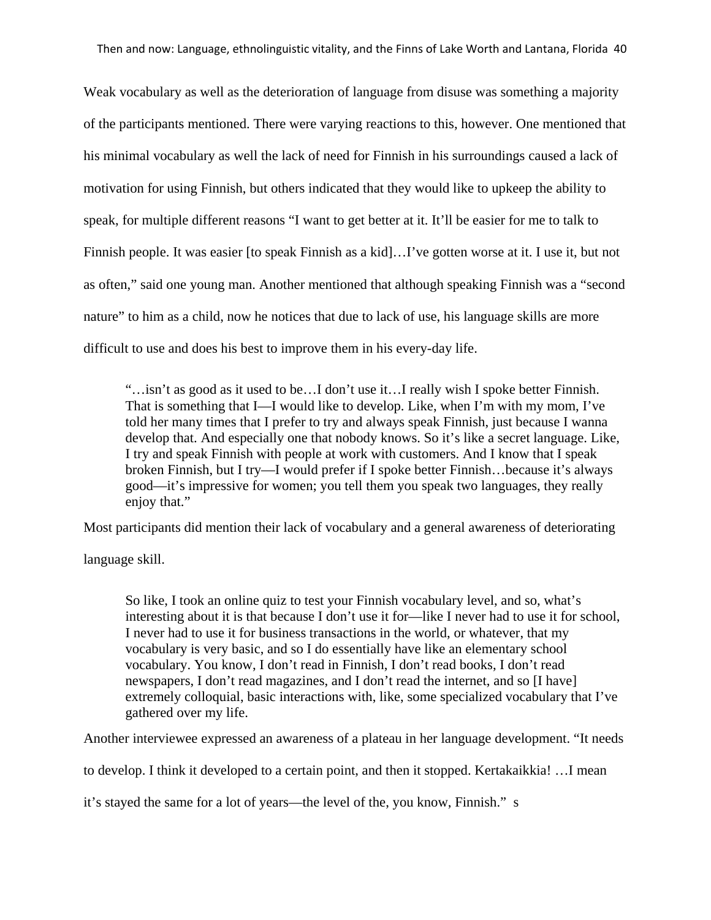Weak vocabulary as well as the deterioration of language from disuse was something a majority of the participants mentioned. There were varying reactions to this, however. One mentioned that his minimal vocabulary as well the lack of need for Finnish in his surroundings caused a lack of motivation for using Finnish, but others indicated that they would like to upkeep the ability to speak, for multiple different reasons "I want to get better at it. It'll be easier for me to talk to Finnish people. It was easier [to speak Finnish as a kid]…I've gotten worse at it. I use it, but not as often," said one young man. Another mentioned that although speaking Finnish was a "second nature" to him as a child, now he notices that due to lack of use, his language skills are more difficult to use and does his best to improve them in his every-day life.

"…isn't as good as it used to be…I don't use it…I really wish I spoke better Finnish. That is something that I—I would like to develop. Like, when I'm with my mom, I've told her many times that I prefer to try and always speak Finnish, just because I wanna develop that. And especially one that nobody knows. So it's like a secret language. Like, I try and speak Finnish with people at work with customers. And I know that I speak broken Finnish, but I try—I would prefer if I spoke better Finnish…because it's always good—it's impressive for women; you tell them you speak two languages, they really enjoy that."

Most participants did mention their lack of vocabulary and a general awareness of deteriorating

language skill.

So like, I took an online quiz to test your Finnish vocabulary level, and so, what's interesting about it is that because I don't use it for—like I never had to use it for school, I never had to use it for business transactions in the world, or whatever, that my vocabulary is very basic, and so I do essentially have like an elementary school vocabulary. You know, I don't read in Finnish, I don't read books, I don't read newspapers, I don't read magazines, and I don't read the internet, and so [I have] extremely colloquial, basic interactions with, like, some specialized vocabulary that I've gathered over my life.

Another interviewee expressed an awareness of a plateau in her language development. "It needs

to develop. I think it developed to a certain point, and then it stopped. Kertakaikkia! …I mean

it's stayed the same for a lot of years—the level of the, you know, Finnish." s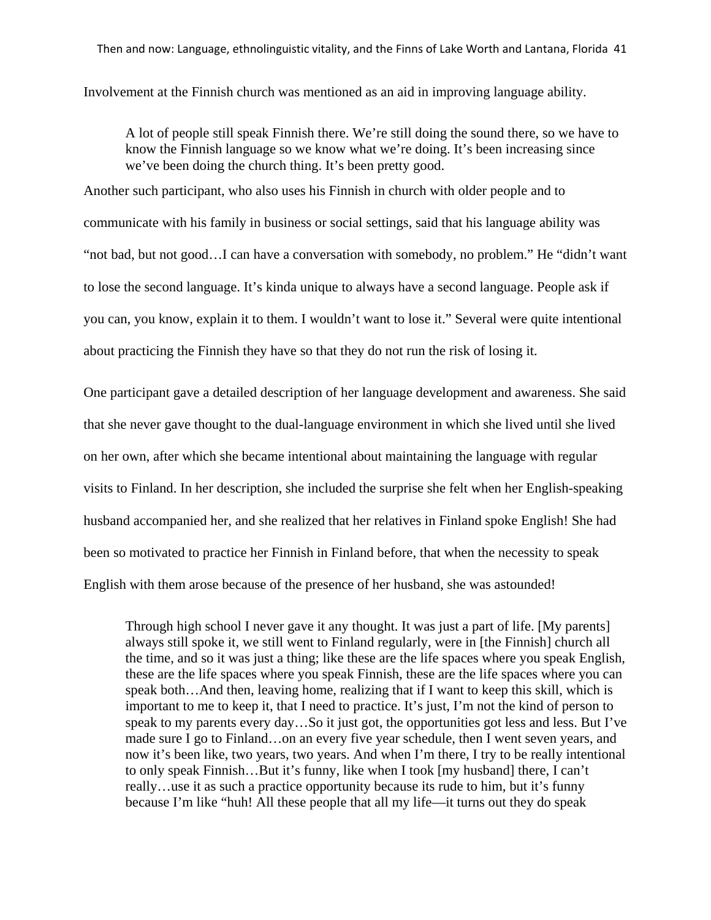Involvement at the Finnish church was mentioned as an aid in improving language ability.

A lot of people still speak Finnish there. We're still doing the sound there, so we have to know the Finnish language so we know what we're doing. It's been increasing since we've been doing the church thing. It's been pretty good.

Another such participant, who also uses his Finnish in church with older people and to communicate with his family in business or social settings, said that his language ability was "not bad, but not good…I can have a conversation with somebody, no problem." He "didn't want to lose the second language. It's kinda unique to always have a second language. People ask if you can, you know, explain it to them. I wouldn't want to lose it." Several were quite intentional about practicing the Finnish they have so that they do not run the risk of losing it.

One participant gave a detailed description of her language development and awareness. She said that she never gave thought to the dual-language environment in which she lived until she lived on her own, after which she became intentional about maintaining the language with regular visits to Finland. In her description, she included the surprise she felt when her English-speaking husband accompanied her, and she realized that her relatives in Finland spoke English! She had been so motivated to practice her Finnish in Finland before, that when the necessity to speak English with them arose because of the presence of her husband, she was astounded!

Through high school I never gave it any thought. It was just a part of life. [My parents] always still spoke it, we still went to Finland regularly, were in [the Finnish] church all the time, and so it was just a thing; like these are the life spaces where you speak English, these are the life spaces where you speak Finnish, these are the life spaces where you can speak both…And then, leaving home, realizing that if I want to keep this skill, which is important to me to keep it, that I need to practice. It's just, I'm not the kind of person to speak to my parents every day…So it just got, the opportunities got less and less. But I've made sure I go to Finland…on an every five year schedule, then I went seven years, and now it's been like, two years, two years. And when I'm there, I try to be really intentional to only speak Finnish…But it's funny, like when I took [my husband] there, I can't really…use it as such a practice opportunity because its rude to him, but it's funny because I'm like "huh! All these people that all my life—it turns out they do speak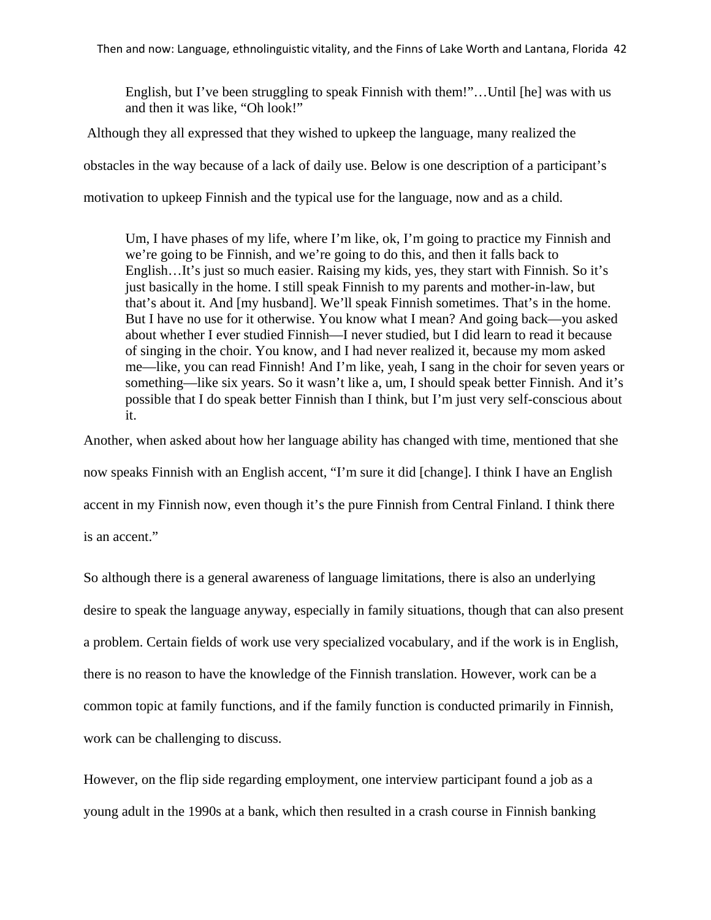English, but I've been struggling to speak Finnish with them!"…Until [he] was with us and then it was like, "Oh look!"

Although they all expressed that they wished to upkeep the language, many realized the

obstacles in the way because of a lack of daily use. Below is one description of a participant's

motivation to upkeep Finnish and the typical use for the language, now and as a child.

Um, I have phases of my life, where I'm like, ok, I'm going to practice my Finnish and we're going to be Finnish, and we're going to do this, and then it falls back to English…It's just so much easier. Raising my kids, yes, they start with Finnish. So it's just basically in the home. I still speak Finnish to my parents and mother-in-law, but that's about it. And [my husband]. We'll speak Finnish sometimes. That's in the home. But I have no use for it otherwise. You know what I mean? And going back—you asked about whether I ever studied Finnish—I never studied, but I did learn to read it because of singing in the choir. You know, and I had never realized it, because my mom asked me—like, you can read Finnish! And I'm like, yeah, I sang in the choir for seven years or something—like six years. So it wasn't like a, um, I should speak better Finnish. And it's possible that I do speak better Finnish than I think, but I'm just very self-conscious about it.

Another, when asked about how her language ability has changed with time, mentioned that she now speaks Finnish with an English accent, "I'm sure it did [change]. I think I have an English accent in my Finnish now, even though it's the pure Finnish from Central Finland. I think there is an accent."

So although there is a general awareness of language limitations, there is also an underlying desire to speak the language anyway, especially in family situations, though that can also present a problem. Certain fields of work use very specialized vocabulary, and if the work is in English, there is no reason to have the knowledge of the Finnish translation. However, work can be a common topic at family functions, and if the family function is conducted primarily in Finnish, work can be challenging to discuss.

However, on the flip side regarding employment, one interview participant found a job as a young adult in the 1990s at a bank, which then resulted in a crash course in Finnish banking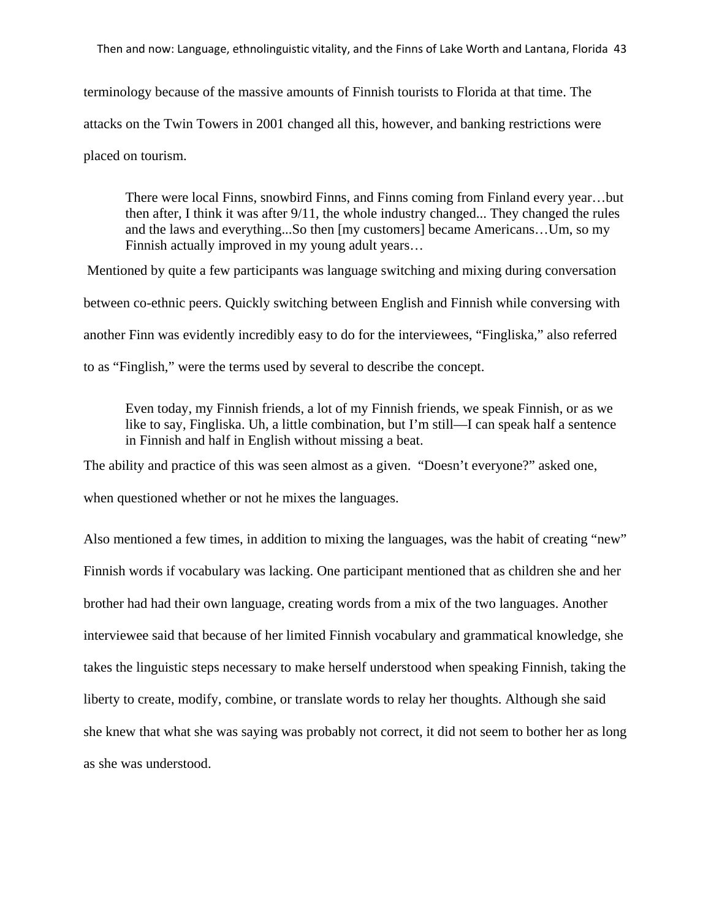terminology because of the massive amounts of Finnish tourists to Florida at that time. The attacks on the Twin Towers in 2001 changed all this, however, and banking restrictions were placed on tourism.

There were local Finns, snowbird Finns, and Finns coming from Finland every year…but then after, I think it was after 9/11, the whole industry changed... They changed the rules and the laws and everything...So then [my customers] became Americans…Um, so my Finnish actually improved in my young adult years…

Mentioned by quite a few participants was language switching and mixing during conversation between co-ethnic peers. Quickly switching between English and Finnish while conversing with another Finn was evidently incredibly easy to do for the interviewees, "Fingliska," also referred to as "Finglish," were the terms used by several to describe the concept.

Even today, my Finnish friends, a lot of my Finnish friends, we speak Finnish, or as we like to say, Fingliska. Uh, a little combination, but I'm still—I can speak half a sentence in Finnish and half in English without missing a beat.

The ability and practice of this was seen almost as a given. "Doesn't everyone?" asked one,

when questioned whether or not he mixes the languages.

Also mentioned a few times, in addition to mixing the languages, was the habit of creating "new" Finnish words if vocabulary was lacking. One participant mentioned that as children she and her brother had had their own language, creating words from a mix of the two languages. Another interviewee said that because of her limited Finnish vocabulary and grammatical knowledge, she takes the linguistic steps necessary to make herself understood when speaking Finnish, taking the liberty to create, modify, combine, or translate words to relay her thoughts. Although she said she knew that what she was saying was probably not correct, it did not seem to bother her as long as she was understood.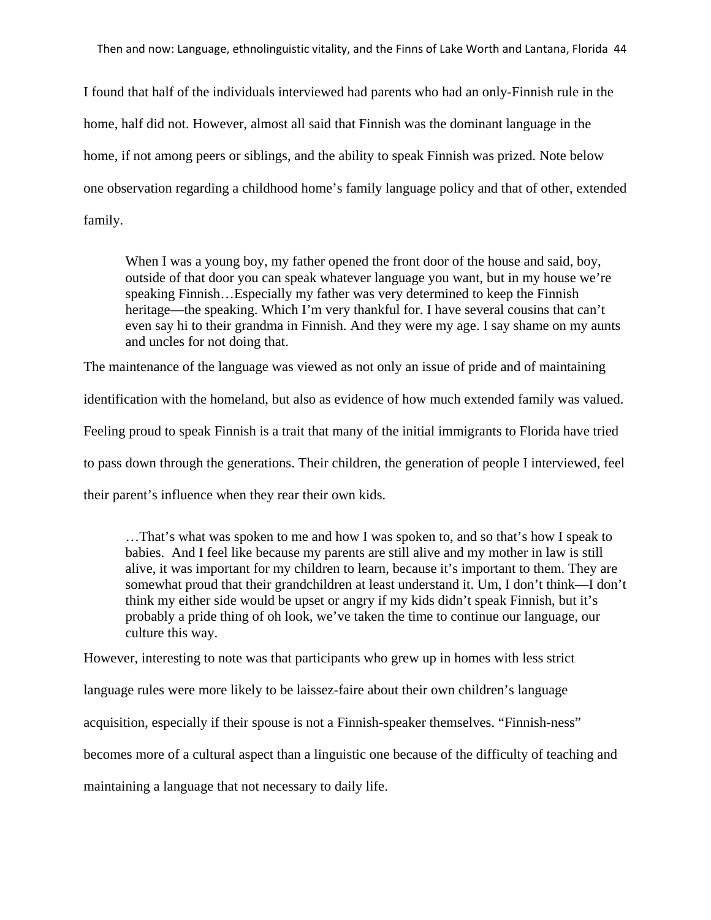Then and now: Language, ethnolinguistic vitality, and the Finns of Lake Worth and Lantana, Florida 44

I found that half of the individuals interviewed had parents who had an only-Finnish rule in the home, half did not. However, almost all said that Finnish was the dominant language in the home, if not among peers or siblings, and the ability to speak Finnish was prized. Note below one observation regarding a childhood home's family language policy and that of other, extended family.

When I was a young boy, my father opened the front door of the house and said, boy, outside of that door you can speak whatever language you want, but in my house we're speaking Finnish…Especially my father was very determined to keep the Finnish heritage—the speaking. Which I'm very thankful for. I have several cousins that can't even say hi to their grandma in Finnish. And they were my age. I say shame on my aunts and uncles for not doing that.

The maintenance of the language was viewed as not only an issue of pride and of maintaining

identification with the homeland, but also as evidence of how much extended family was valued.

Feeling proud to speak Finnish is a trait that many of the initial immigrants to Florida have tried

to pass down through the generations. Their children, the generation of people I interviewed, feel

their parent's influence when they rear their own kids.

…That's what was spoken to me and how I was spoken to, and so that's how I speak to babies. And I feel like because my parents are still alive and my mother in law is still alive, it was important for my children to learn, because it's important to them. They are somewhat proud that their grandchildren at least understand it. Um, I don't think—I don't think my either side would be upset or angry if my kids didn't speak Finnish, but it's probably a pride thing of oh look, we've taken the time to continue our language, our culture this way.

However, interesting to note was that participants who grew up in homes with less strict language rules were more likely to be laissez-faire about their own children's language acquisition, especially if their spouse is not a Finnish-speaker themselves. "Finnish-ness" becomes more of a cultural aspect than a linguistic one because of the difficulty of teaching and maintaining a language that not necessary to daily life.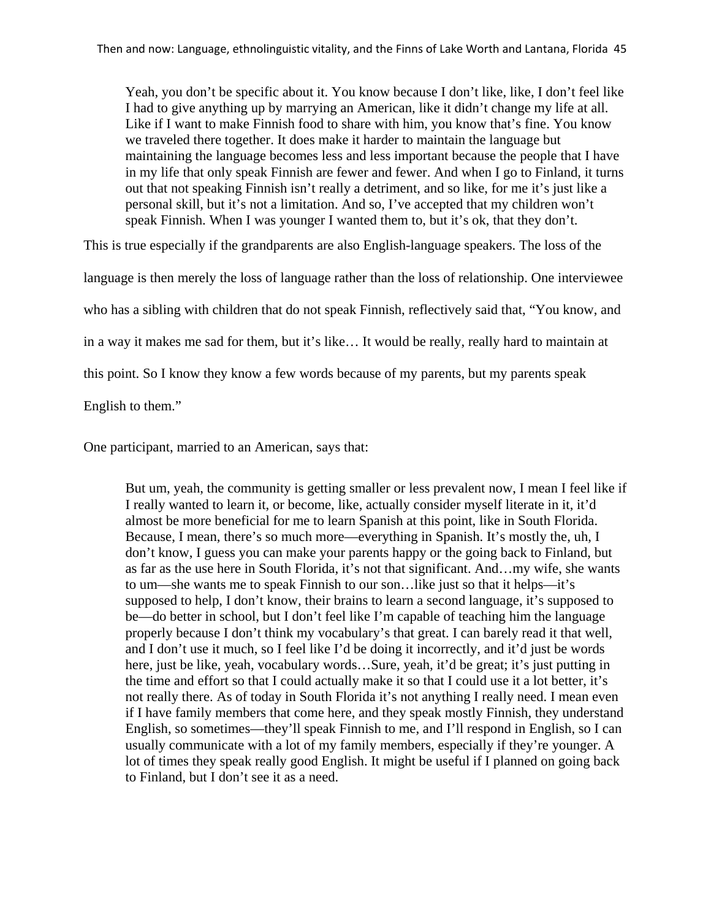Yeah, you don't be specific about it. You know because I don't like, like, I don't feel like I had to give anything up by marrying an American, like it didn't change my life at all. Like if I want to make Finnish food to share with him, you know that's fine. You know we traveled there together. It does make it harder to maintain the language but maintaining the language becomes less and less important because the people that I have in my life that only speak Finnish are fewer and fewer. And when I go to Finland, it turns out that not speaking Finnish isn't really a detriment, and so like, for me it's just like a personal skill, but it's not a limitation. And so, I've accepted that my children won't speak Finnish. When I was younger I wanted them to, but it's ok, that they don't.

This is true especially if the grandparents are also English-language speakers. The loss of the

language is then merely the loss of language rather than the loss of relationship. One interviewee

who has a sibling with children that do not speak Finnish, reflectively said that, "You know, and

in a way it makes me sad for them, but it's like… It would be really, really hard to maintain at

this point. So I know they know a few words because of my parents, but my parents speak

English to them."

One participant, married to an American, says that:

But um, yeah, the community is getting smaller or less prevalent now, I mean I feel like if I really wanted to learn it, or become, like, actually consider myself literate in it, it'd almost be more beneficial for me to learn Spanish at this point, like in South Florida. Because, I mean, there's so much more—everything in Spanish. It's mostly the, uh, I don't know, I guess you can make your parents happy or the going back to Finland, but as far as the use here in South Florida, it's not that significant. And…my wife, she wants to um—she wants me to speak Finnish to our son…like just so that it helps—it's supposed to help, I don't know, their brains to learn a second language, it's supposed to be—do better in school, but I don't feel like I'm capable of teaching him the language properly because I don't think my vocabulary's that great. I can barely read it that well, and I don't use it much, so I feel like I'd be doing it incorrectly, and it'd just be words here, just be like, yeah, vocabulary words…Sure, yeah, it'd be great; it's just putting in the time and effort so that I could actually make it so that I could use it a lot better, it's not really there. As of today in South Florida it's not anything I really need. I mean even if I have family members that come here, and they speak mostly Finnish, they understand English, so sometimes—they'll speak Finnish to me, and I'll respond in English, so I can usually communicate with a lot of my family members, especially if they're younger. A lot of times they speak really good English. It might be useful if I planned on going back to Finland, but I don't see it as a need.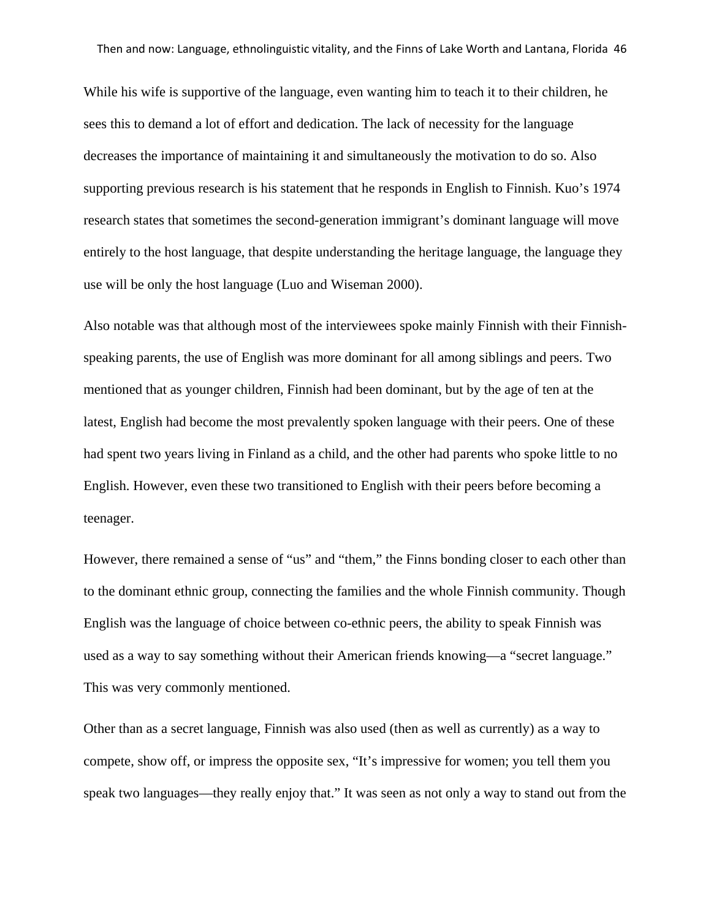While his wife is supportive of the language, even wanting him to teach it to their children, he sees this to demand a lot of effort and dedication. The lack of necessity for the language decreases the importance of maintaining it and simultaneously the motivation to do so. Also supporting previous research is his statement that he responds in English to Finnish. Kuo's 1974 research states that sometimes the second-generation immigrant's dominant language will move entirely to the host language, that despite understanding the heritage language, the language they use will be only the host language (Luo and Wiseman 2000).

Also notable was that although most of the interviewees spoke mainly Finnish with their Finnishspeaking parents, the use of English was more dominant for all among siblings and peers. Two mentioned that as younger children, Finnish had been dominant, but by the age of ten at the latest, English had become the most prevalently spoken language with their peers. One of these had spent two years living in Finland as a child, and the other had parents who spoke little to no English. However, even these two transitioned to English with their peers before becoming a teenager.

However, there remained a sense of "us" and "them," the Finns bonding closer to each other than to the dominant ethnic group, connecting the families and the whole Finnish community. Though English was the language of choice between co-ethnic peers, the ability to speak Finnish was used as a way to say something without their American friends knowing—a "secret language." This was very commonly mentioned.

Other than as a secret language, Finnish was also used (then as well as currently) as a way to compete, show off, or impress the opposite sex, "It's impressive for women; you tell them you speak two languages—they really enjoy that." It was seen as not only a way to stand out from the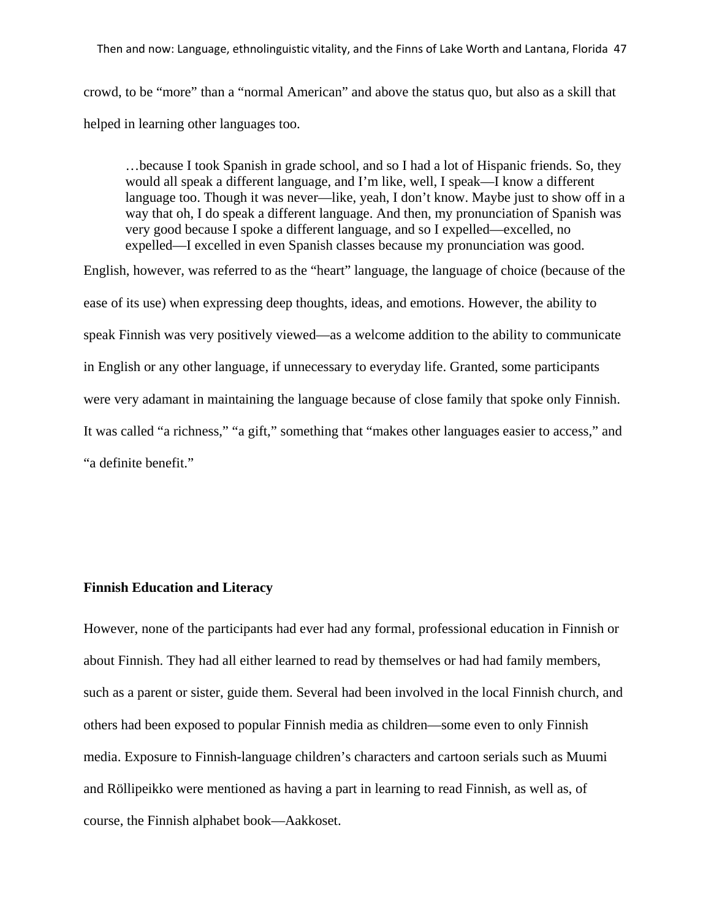Then and now: Language, ethnolinguistic vitality, and the Finns of Lake Worth and Lantana, Florida 47

crowd, to be "more" than a "normal American" and above the status quo, but also as a skill that helped in learning other languages too.

…because I took Spanish in grade school, and so I had a lot of Hispanic friends. So, they would all speak a different language, and I'm like, well, I speak—I know a different language too. Though it was never—like, yeah, I don't know. Maybe just to show off in a way that oh, I do speak a different language. And then, my pronunciation of Spanish was very good because I spoke a different language, and so I expelled—excelled, no expelled—I excelled in even Spanish classes because my pronunciation was good.

English, however, was referred to as the "heart" language, the language of choice (because of the ease of its use) when expressing deep thoughts, ideas, and emotions. However, the ability to speak Finnish was very positively viewed—as a welcome addition to the ability to communicate in English or any other language, if unnecessary to everyday life. Granted, some participants were very adamant in maintaining the language because of close family that spoke only Finnish. It was called "a richness," "a gift," something that "makes other languages easier to access," and "a definite benefit."

#### **Finnish Education and Literacy**

However, none of the participants had ever had any formal, professional education in Finnish or about Finnish. They had all either learned to read by themselves or had had family members, such as a parent or sister, guide them. Several had been involved in the local Finnish church, and others had been exposed to popular Finnish media as children—some even to only Finnish media. Exposure to Finnish-language children's characters and cartoon serials such as Muumi and Röllipeikko were mentioned as having a part in learning to read Finnish, as well as, of course, the Finnish alphabet book—Aakkoset.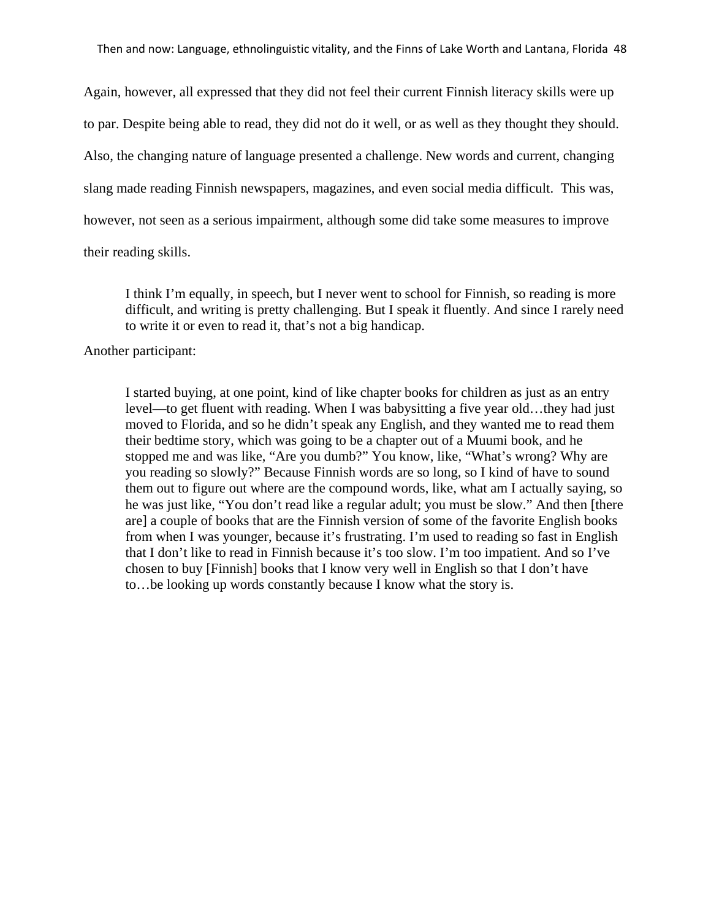Again, however, all expressed that they did not feel their current Finnish literacy skills were up to par. Despite being able to read, they did not do it well, or as well as they thought they should. Also, the changing nature of language presented a challenge. New words and current, changing slang made reading Finnish newspapers, magazines, and even social media difficult. This was, however, not seen as a serious impairment, although some did take some measures to improve

their reading skills.

I think I'm equally, in speech, but I never went to school for Finnish, so reading is more difficult, and writing is pretty challenging. But I speak it fluently. And since I rarely need to write it or even to read it, that's not a big handicap.

Another participant:

I started buying, at one point, kind of like chapter books for children as just as an entry level—to get fluent with reading. When I was babysitting a five year old…they had just moved to Florida, and so he didn't speak any English, and they wanted me to read them their bedtime story, which was going to be a chapter out of a Muumi book, and he stopped me and was like, "Are you dumb?" You know, like, "What's wrong? Why are you reading so slowly?" Because Finnish words are so long, so I kind of have to sound them out to figure out where are the compound words, like, what am I actually saying, so he was just like, "You don't read like a regular adult; you must be slow." And then [there are] a couple of books that are the Finnish version of some of the favorite English books from when I was younger, because it's frustrating. I'm used to reading so fast in English that I don't like to read in Finnish because it's too slow. I'm too impatient. And so I've chosen to buy [Finnish] books that I know very well in English so that I don't have to…be looking up words constantly because I know what the story is.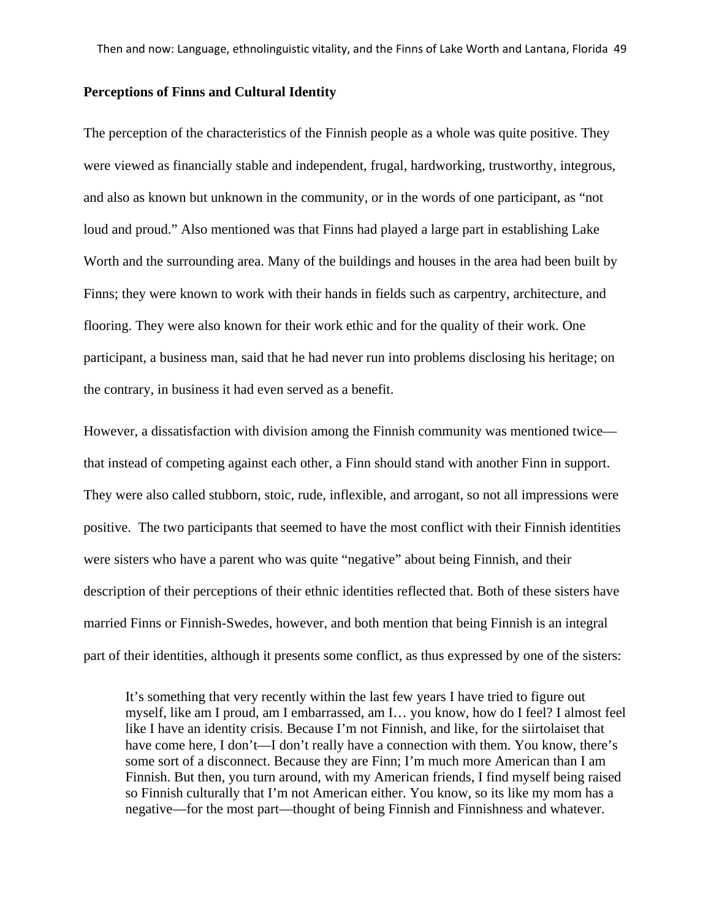#### **Perceptions of Finns and Cultural Identity**

The perception of the characteristics of the Finnish people as a whole was quite positive. They were viewed as financially stable and independent, frugal, hardworking, trustworthy, integrous, and also as known but unknown in the community, or in the words of one participant, as "not loud and proud." Also mentioned was that Finns had played a large part in establishing Lake Worth and the surrounding area. Many of the buildings and houses in the area had been built by Finns; they were known to work with their hands in fields such as carpentry, architecture, and flooring. They were also known for their work ethic and for the quality of their work. One participant, a business man, said that he had never run into problems disclosing his heritage; on the contrary, in business it had even served as a benefit.

However, a dissatisfaction with division among the Finnish community was mentioned twice that instead of competing against each other, a Finn should stand with another Finn in support. They were also called stubborn, stoic, rude, inflexible, and arrogant, so not all impressions were positive. The two participants that seemed to have the most conflict with their Finnish identities were sisters who have a parent who was quite "negative" about being Finnish, and their description of their perceptions of their ethnic identities reflected that. Both of these sisters have married Finns or Finnish-Swedes, however, and both mention that being Finnish is an integral part of their identities, although it presents some conflict, as thus expressed by one of the sisters:

It's something that very recently within the last few years I have tried to figure out myself, like am I proud, am I embarrassed, am I… you know, how do I feel? I almost feel like I have an identity crisis. Because I'm not Finnish, and like, for the siirtolaiset that have come here, I don't—I don't really have a connection with them. You know, there's some sort of a disconnect. Because they are Finn; I'm much more American than I am Finnish. But then, you turn around, with my American friends, I find myself being raised so Finnish culturally that I'm not American either. You know, so its like my mom has a negative—for the most part—thought of being Finnish and Finnishness and whatever.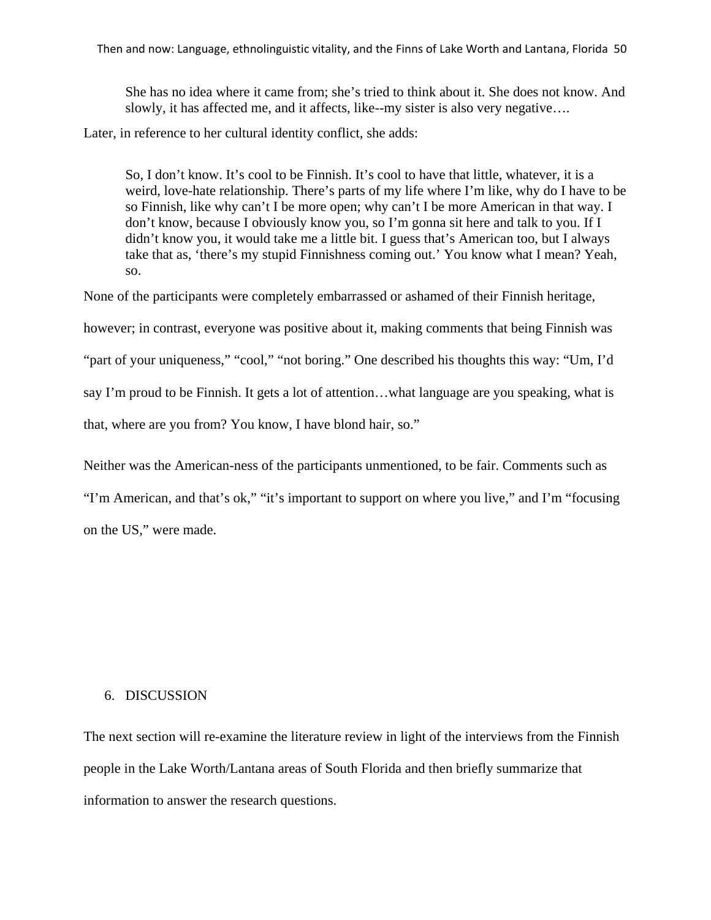She has no idea where it came from; she's tried to think about it. She does not know. And slowly, it has affected me, and it affects, like--my sister is also very negative….

Later, in reference to her cultural identity conflict, she adds:

So, I don't know. It's cool to be Finnish. It's cool to have that little, whatever, it is a weird, love-hate relationship. There's parts of my life where I'm like, why do I have to be so Finnish, like why can't I be more open; why can't I be more American in that way. I don't know, because I obviously know you, so I'm gonna sit here and talk to you. If I didn't know you, it would take me a little bit. I guess that's American too, but I always take that as, 'there's my stupid Finnishness coming out.' You know what I mean? Yeah, so.

None of the participants were completely embarrassed or ashamed of their Finnish heritage,

however; in contrast, everyone was positive about it, making comments that being Finnish was

"part of your uniqueness," "cool," "not boring." One described his thoughts this way: "Um, I'd

say I'm proud to be Finnish. It gets a lot of attention…what language are you speaking, what is

that, where are you from? You know, I have blond hair, so."

Neither was the American-ness of the participants unmentioned, to be fair. Comments such as

"I'm American, and that's ok," "it's important to support on where you live," and I'm "focusing on the US," were made.

# 6. DISCUSSION

The next section will re-examine the literature review in light of the interviews from the Finnish people in the Lake Worth/Lantana areas of South Florida and then briefly summarize that information to answer the research questions.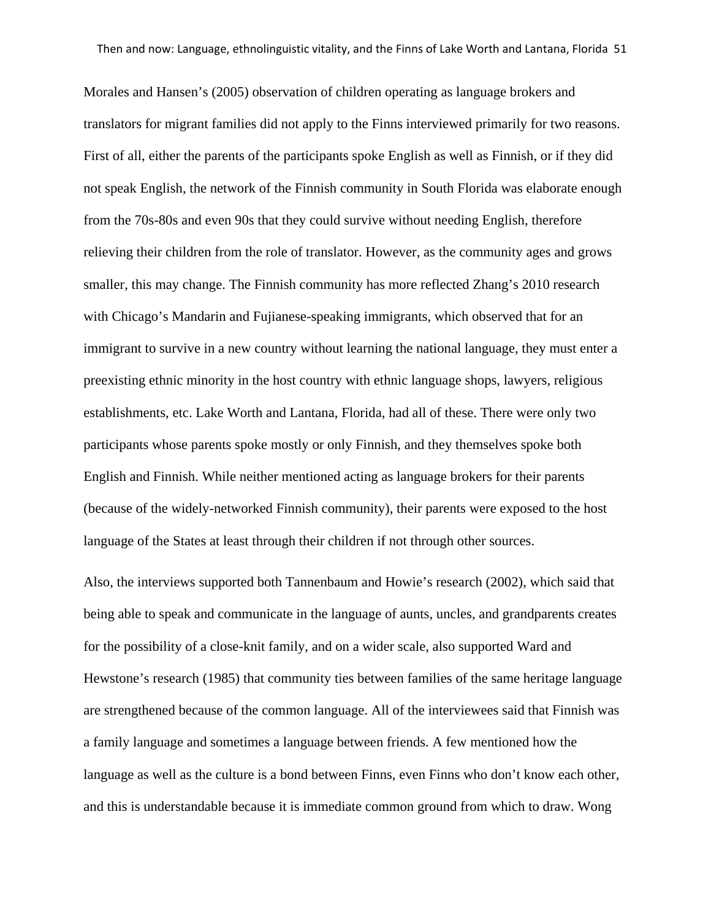Morales and Hansen's (2005) observation of children operating as language brokers and translators for migrant families did not apply to the Finns interviewed primarily for two reasons. First of all, either the parents of the participants spoke English as well as Finnish, or if they did not speak English, the network of the Finnish community in South Florida was elaborate enough from the 70s-80s and even 90s that they could survive without needing English, therefore relieving their children from the role of translator. However, as the community ages and grows smaller, this may change. The Finnish community has more reflected Zhang's 2010 research with Chicago's Mandarin and Fujianese-speaking immigrants, which observed that for an immigrant to survive in a new country without learning the national language, they must enter a preexisting ethnic minority in the host country with ethnic language shops, lawyers, religious establishments, etc. Lake Worth and Lantana, Florida, had all of these. There were only two participants whose parents spoke mostly or only Finnish, and they themselves spoke both English and Finnish. While neither mentioned acting as language brokers for their parents (because of the widely-networked Finnish community), their parents were exposed to the host language of the States at least through their children if not through other sources.

Also, the interviews supported both Tannenbaum and Howie's research (2002), which said that being able to speak and communicate in the language of aunts, uncles, and grandparents creates for the possibility of a close-knit family, and on a wider scale, also supported Ward and Hewstone's research (1985) that community ties between families of the same heritage language are strengthened because of the common language. All of the interviewees said that Finnish was a family language and sometimes a language between friends. A few mentioned how the language as well as the culture is a bond between Finns, even Finns who don't know each other, and this is understandable because it is immediate common ground from which to draw. Wong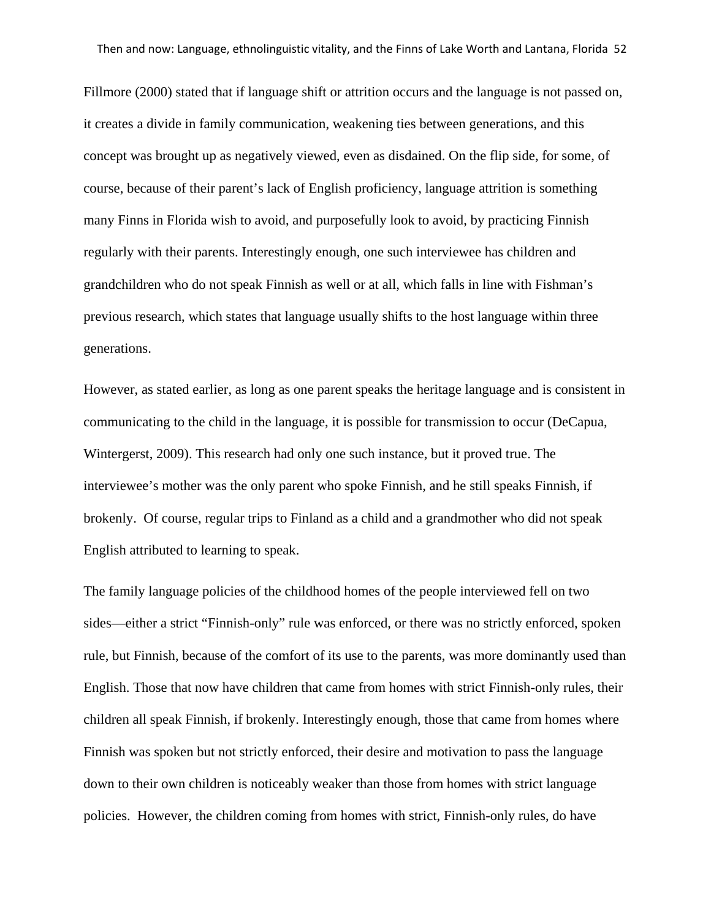Fillmore (2000) stated that if language shift or attrition occurs and the language is not passed on, it creates a divide in family communication, weakening ties between generations, and this concept was brought up as negatively viewed, even as disdained. On the flip side, for some, of course, because of their parent's lack of English proficiency, language attrition is something many Finns in Florida wish to avoid, and purposefully look to avoid, by practicing Finnish regularly with their parents. Interestingly enough, one such interviewee has children and grandchildren who do not speak Finnish as well or at all, which falls in line with Fishman's previous research, which states that language usually shifts to the host language within three generations.

However, as stated earlier, as long as one parent speaks the heritage language and is consistent in communicating to the child in the language, it is possible for transmission to occur (DeCapua, Wintergerst, 2009). This research had only one such instance, but it proved true. The interviewee's mother was the only parent who spoke Finnish, and he still speaks Finnish, if brokenly. Of course, regular trips to Finland as a child and a grandmother who did not speak English attributed to learning to speak.

The family language policies of the childhood homes of the people interviewed fell on two sides—either a strict "Finnish-only" rule was enforced, or there was no strictly enforced, spoken rule, but Finnish, because of the comfort of its use to the parents, was more dominantly used than English. Those that now have children that came from homes with strict Finnish-only rules, their children all speak Finnish, if brokenly. Interestingly enough, those that came from homes where Finnish was spoken but not strictly enforced, their desire and motivation to pass the language down to their own children is noticeably weaker than those from homes with strict language policies. However, the children coming from homes with strict, Finnish-only rules, do have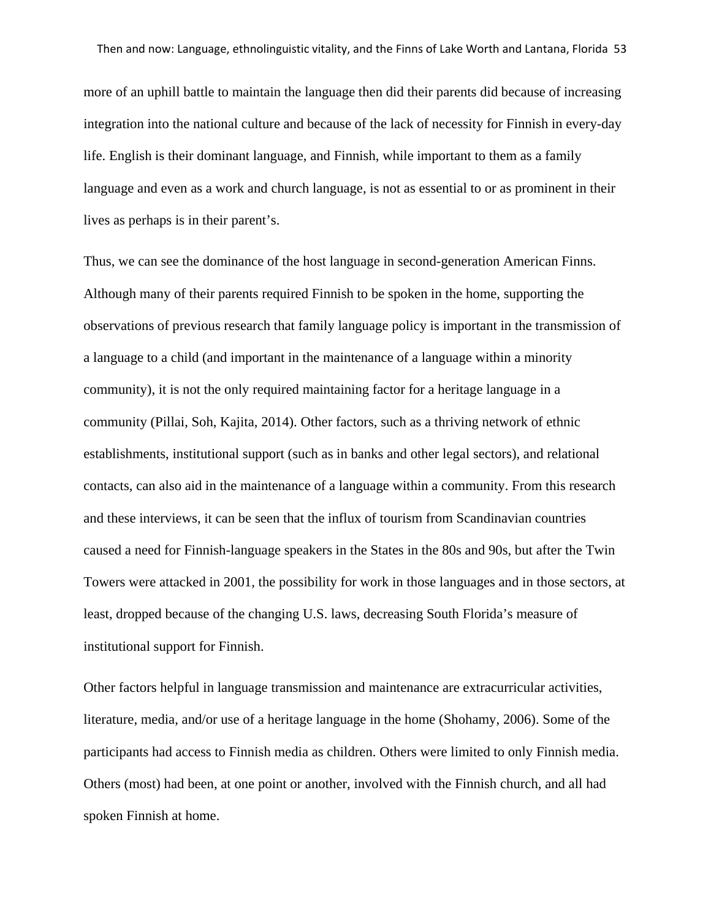more of an uphill battle to maintain the language then did their parents did because of increasing integration into the national culture and because of the lack of necessity for Finnish in every-day life. English is their dominant language, and Finnish, while important to them as a family language and even as a work and church language, is not as essential to or as prominent in their lives as perhaps is in their parent's.

Thus, we can see the dominance of the host language in second-generation American Finns. Although many of their parents required Finnish to be spoken in the home, supporting the observations of previous research that family language policy is important in the transmission of a language to a child (and important in the maintenance of a language within a minority community), it is not the only required maintaining factor for a heritage language in a community (Pillai, Soh, Kajita, 2014). Other factors, such as a thriving network of ethnic establishments, institutional support (such as in banks and other legal sectors), and relational contacts, can also aid in the maintenance of a language within a community. From this research and these interviews, it can be seen that the influx of tourism from Scandinavian countries caused a need for Finnish-language speakers in the States in the 80s and 90s, but after the Twin Towers were attacked in 2001, the possibility for work in those languages and in those sectors, at least, dropped because of the changing U.S. laws, decreasing South Florida's measure of institutional support for Finnish.

Other factors helpful in language transmission and maintenance are extracurricular activities, literature, media, and/or use of a heritage language in the home (Shohamy, 2006). Some of the participants had access to Finnish media as children. Others were limited to only Finnish media. Others (most) had been, at one point or another, involved with the Finnish church, and all had spoken Finnish at home.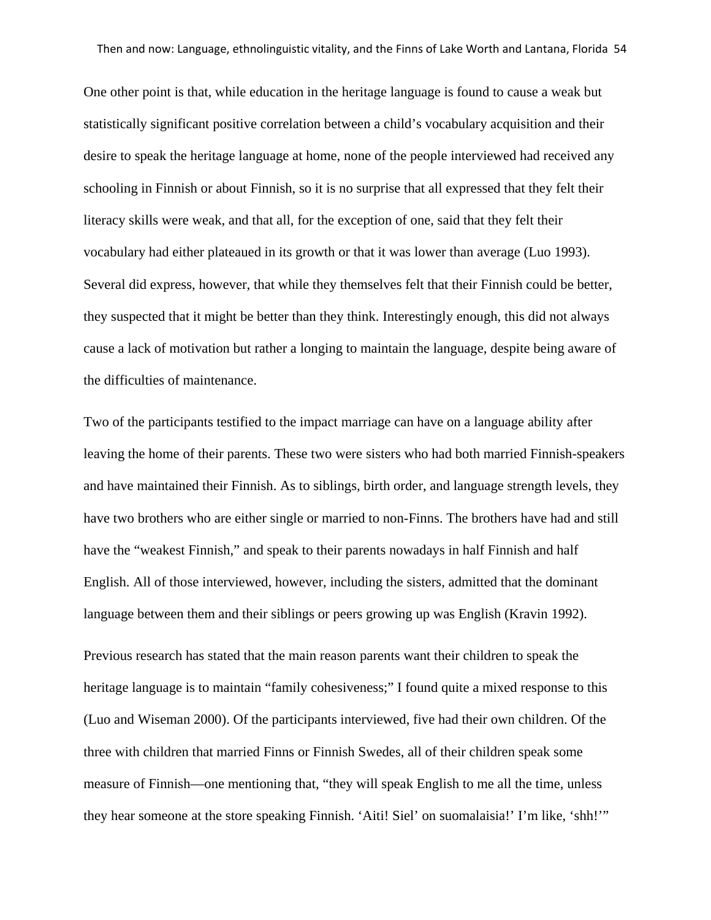One other point is that, while education in the heritage language is found to cause a weak but statistically significant positive correlation between a child's vocabulary acquisition and their desire to speak the heritage language at home, none of the people interviewed had received any schooling in Finnish or about Finnish, so it is no surprise that all expressed that they felt their literacy skills were weak, and that all, for the exception of one, said that they felt their vocabulary had either plateaued in its growth or that it was lower than average (Luo 1993). Several did express, however, that while they themselves felt that their Finnish could be better, they suspected that it might be better than they think. Interestingly enough, this did not always cause a lack of motivation but rather a longing to maintain the language, despite being aware of the difficulties of maintenance.

Two of the participants testified to the impact marriage can have on a language ability after leaving the home of their parents. These two were sisters who had both married Finnish-speakers and have maintained their Finnish. As to siblings, birth order, and language strength levels, they have two brothers who are either single or married to non-Finns. The brothers have had and still have the "weakest Finnish," and speak to their parents nowadays in half Finnish and half English. All of those interviewed, however, including the sisters, admitted that the dominant language between them and their siblings or peers growing up was English (Kravin 1992).

Previous research has stated that the main reason parents want their children to speak the heritage language is to maintain "family cohesiveness;" I found quite a mixed response to this (Luo and Wiseman 2000). Of the participants interviewed, five had their own children. Of the three with children that married Finns or Finnish Swedes, all of their children speak some measure of Finnish—one mentioning that, "they will speak English to me all the time, unless they hear someone at the store speaking Finnish. 'Aiti! Siel' on suomalaisia!' I'm like, 'shh!'"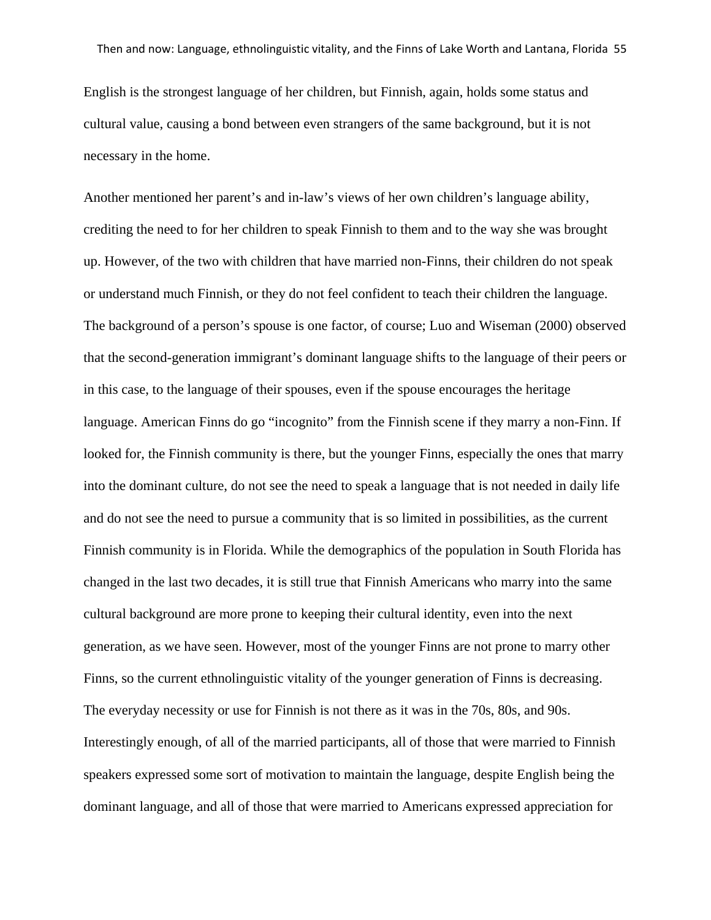English is the strongest language of her children, but Finnish, again, holds some status and cultural value, causing a bond between even strangers of the same background, but it is not necessary in the home.

Another mentioned her parent's and in-law's views of her own children's language ability, crediting the need to for her children to speak Finnish to them and to the way she was brought up. However, of the two with children that have married non-Finns, their children do not speak or understand much Finnish, or they do not feel confident to teach their children the language. The background of a person's spouse is one factor, of course; Luo and Wiseman (2000) observed that the second-generation immigrant's dominant language shifts to the language of their peers or in this case, to the language of their spouses, even if the spouse encourages the heritage language. American Finns do go "incognito" from the Finnish scene if they marry a non-Finn. If looked for, the Finnish community is there, but the younger Finns, especially the ones that marry into the dominant culture, do not see the need to speak a language that is not needed in daily life and do not see the need to pursue a community that is so limited in possibilities, as the current Finnish community is in Florida. While the demographics of the population in South Florida has changed in the last two decades, it is still true that Finnish Americans who marry into the same cultural background are more prone to keeping their cultural identity, even into the next generation, as we have seen. However, most of the younger Finns are not prone to marry other Finns, so the current ethnolinguistic vitality of the younger generation of Finns is decreasing. The everyday necessity or use for Finnish is not there as it was in the 70s, 80s, and 90s. Interestingly enough, of all of the married participants, all of those that were married to Finnish speakers expressed some sort of motivation to maintain the language, despite English being the dominant language, and all of those that were married to Americans expressed appreciation for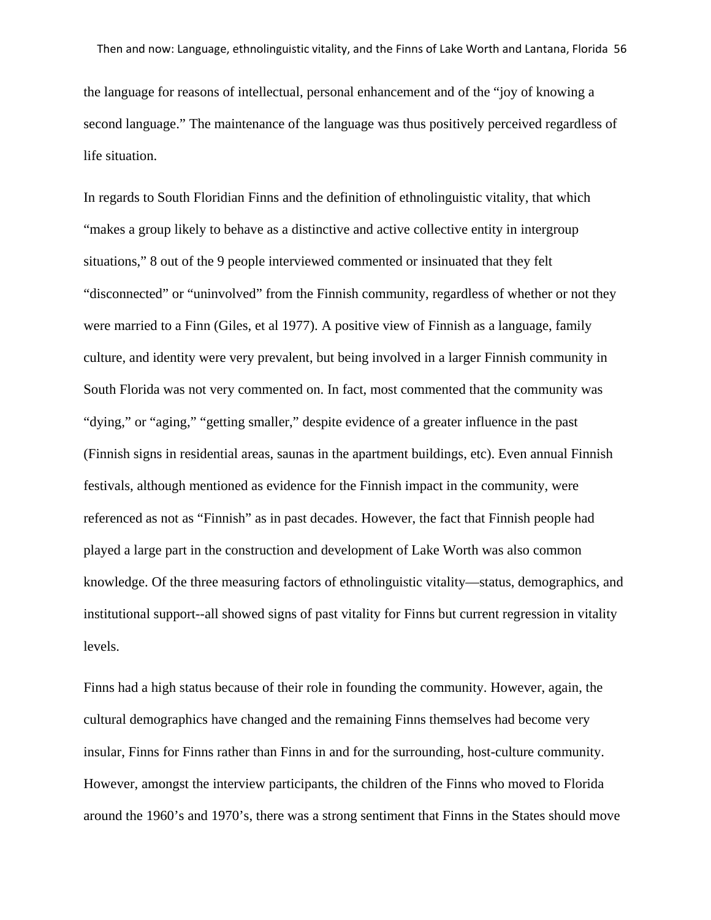the language for reasons of intellectual, personal enhancement and of the "joy of knowing a second language." The maintenance of the language was thus positively perceived regardless of life situation.

In regards to South Floridian Finns and the definition of ethnolinguistic vitality, that which "makes a group likely to behave as a distinctive and active collective entity in intergroup situations," 8 out of the 9 people interviewed commented or insinuated that they felt "disconnected" or "uninvolved" from the Finnish community, regardless of whether or not they were married to a Finn (Giles, et al 1977). A positive view of Finnish as a language, family culture, and identity were very prevalent, but being involved in a larger Finnish community in South Florida was not very commented on. In fact, most commented that the community was "dying," or "aging," "getting smaller," despite evidence of a greater influence in the past (Finnish signs in residential areas, saunas in the apartment buildings, etc). Even annual Finnish festivals, although mentioned as evidence for the Finnish impact in the community, were referenced as not as "Finnish" as in past decades. However, the fact that Finnish people had played a large part in the construction and development of Lake Worth was also common knowledge. Of the three measuring factors of ethnolinguistic vitality—status, demographics, and institutional support--all showed signs of past vitality for Finns but current regression in vitality levels.

Finns had a high status because of their role in founding the community. However, again, the cultural demographics have changed and the remaining Finns themselves had become very insular, Finns for Finns rather than Finns in and for the surrounding, host-culture community. However, amongst the interview participants, the children of the Finns who moved to Florida around the 1960's and 1970's, there was a strong sentiment that Finns in the States should move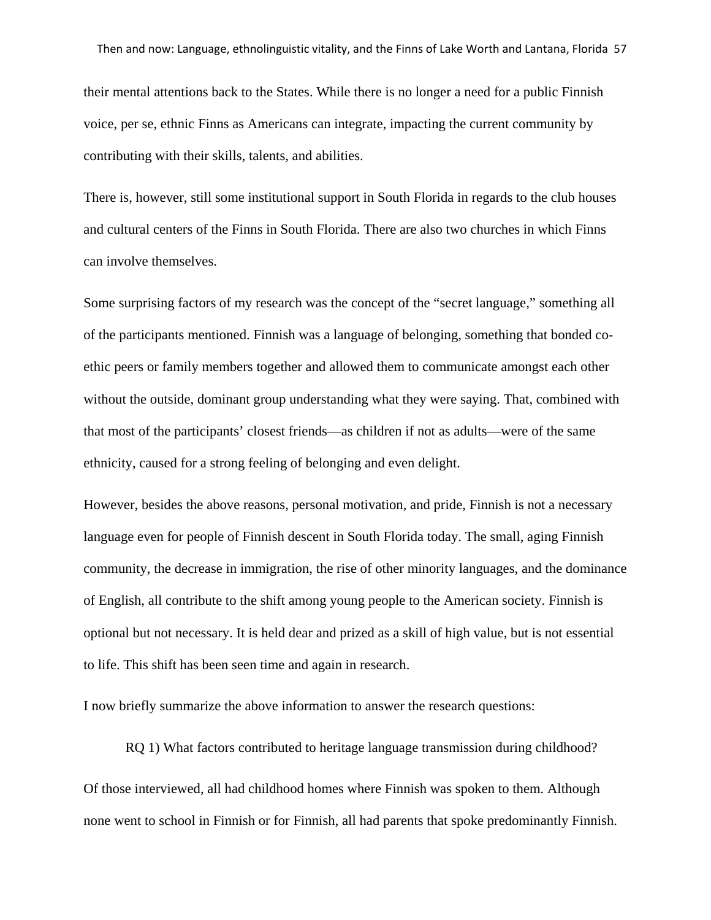their mental attentions back to the States. While there is no longer a need for a public Finnish voice, per se, ethnic Finns as Americans can integrate, impacting the current community by contributing with their skills, talents, and abilities.

There is, however, still some institutional support in South Florida in regards to the club houses and cultural centers of the Finns in South Florida. There are also two churches in which Finns can involve themselves.

Some surprising factors of my research was the concept of the "secret language," something all of the participants mentioned. Finnish was a language of belonging, something that bonded coethic peers or family members together and allowed them to communicate amongst each other without the outside, dominant group understanding what they were saying. That, combined with that most of the participants' closest friends—as children if not as adults—were of the same ethnicity, caused for a strong feeling of belonging and even delight.

However, besides the above reasons, personal motivation, and pride, Finnish is not a necessary language even for people of Finnish descent in South Florida today. The small, aging Finnish community, the decrease in immigration, the rise of other minority languages, and the dominance of English, all contribute to the shift among young people to the American society. Finnish is optional but not necessary. It is held dear and prized as a skill of high value, but is not essential to life. This shift has been seen time and again in research.

I now briefly summarize the above information to answer the research questions:

RQ 1) What factors contributed to heritage language transmission during childhood? Of those interviewed, all had childhood homes where Finnish was spoken to them. Although none went to school in Finnish or for Finnish, all had parents that spoke predominantly Finnish.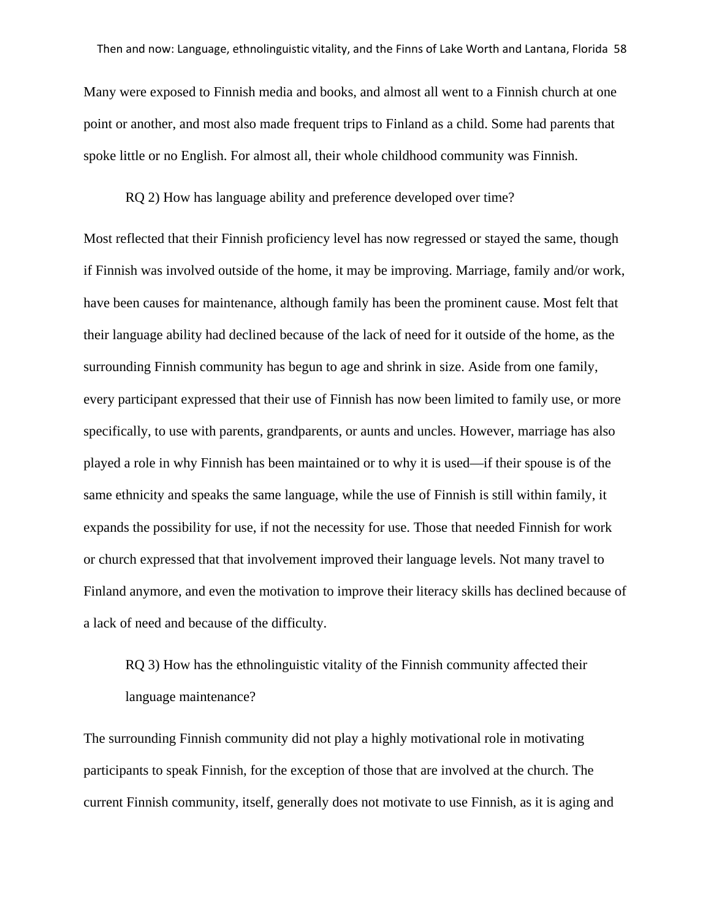Many were exposed to Finnish media and books, and almost all went to a Finnish church at one point or another, and most also made frequent trips to Finland as a child. Some had parents that spoke little or no English. For almost all, their whole childhood community was Finnish.

RQ 2) How has language ability and preference developed over time?

Most reflected that their Finnish proficiency level has now regressed or stayed the same, though if Finnish was involved outside of the home, it may be improving. Marriage, family and/or work, have been causes for maintenance, although family has been the prominent cause. Most felt that their language ability had declined because of the lack of need for it outside of the home, as the surrounding Finnish community has begun to age and shrink in size. Aside from one family, every participant expressed that their use of Finnish has now been limited to family use, or more specifically, to use with parents, grandparents, or aunts and uncles. However, marriage has also played a role in why Finnish has been maintained or to why it is used—if their spouse is of the same ethnicity and speaks the same language, while the use of Finnish is still within family, it expands the possibility for use, if not the necessity for use. Those that needed Finnish for work or church expressed that that involvement improved their language levels. Not many travel to Finland anymore, and even the motivation to improve their literacy skills has declined because of a lack of need and because of the difficulty.

RQ 3) How has the ethnolinguistic vitality of the Finnish community affected their language maintenance?

The surrounding Finnish community did not play a highly motivational role in motivating participants to speak Finnish, for the exception of those that are involved at the church. The current Finnish community, itself, generally does not motivate to use Finnish, as it is aging and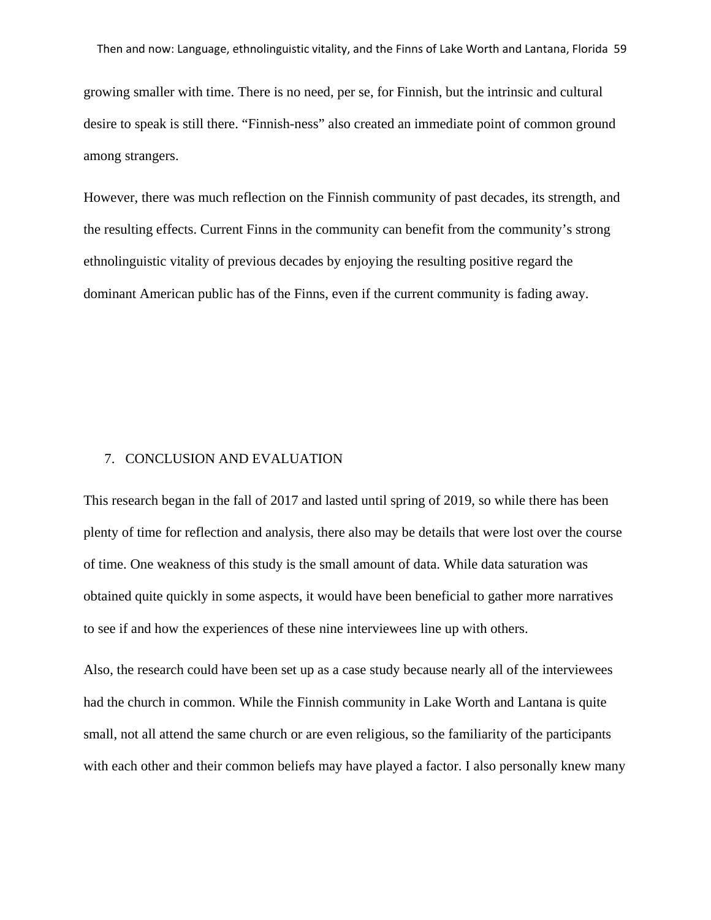growing smaller with time. There is no need, per se, for Finnish, but the intrinsic and cultural desire to speak is still there. "Finnish-ness" also created an immediate point of common ground among strangers.

However, there was much reflection on the Finnish community of past decades, its strength, and the resulting effects. Current Finns in the community can benefit from the community's strong ethnolinguistic vitality of previous decades by enjoying the resulting positive regard the dominant American public has of the Finns, even if the current community is fading away.

#### 7. CONCLUSION AND EVALUATION

This research began in the fall of 2017 and lasted until spring of 2019, so while there has been plenty of time for reflection and analysis, there also may be details that were lost over the course of time. One weakness of this study is the small amount of data. While data saturation was obtained quite quickly in some aspects, it would have been beneficial to gather more narratives to see if and how the experiences of these nine interviewees line up with others.

Also, the research could have been set up as a case study because nearly all of the interviewees had the church in common. While the Finnish community in Lake Worth and Lantana is quite small, not all attend the same church or are even religious, so the familiarity of the participants with each other and their common beliefs may have played a factor. I also personally knew many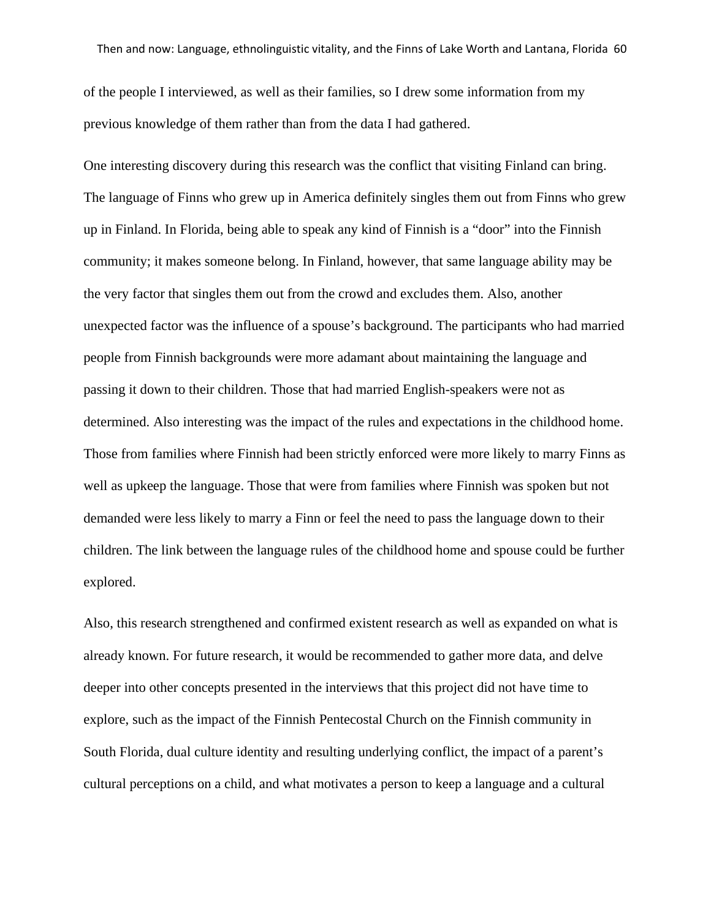of the people I interviewed, as well as their families, so I drew some information from my previous knowledge of them rather than from the data I had gathered.

One interesting discovery during this research was the conflict that visiting Finland can bring. The language of Finns who grew up in America definitely singles them out from Finns who grew up in Finland. In Florida, being able to speak any kind of Finnish is a "door" into the Finnish community; it makes someone belong. In Finland, however, that same language ability may be the very factor that singles them out from the crowd and excludes them. Also, another unexpected factor was the influence of a spouse's background. The participants who had married people from Finnish backgrounds were more adamant about maintaining the language and passing it down to their children. Those that had married English-speakers were not as determined. Also interesting was the impact of the rules and expectations in the childhood home. Those from families where Finnish had been strictly enforced were more likely to marry Finns as well as upkeep the language. Those that were from families where Finnish was spoken but not demanded were less likely to marry a Finn or feel the need to pass the language down to their children. The link between the language rules of the childhood home and spouse could be further explored.

Also, this research strengthened and confirmed existent research as well as expanded on what is already known. For future research, it would be recommended to gather more data, and delve deeper into other concepts presented in the interviews that this project did not have time to explore, such as the impact of the Finnish Pentecostal Church on the Finnish community in South Florida, dual culture identity and resulting underlying conflict, the impact of a parent's cultural perceptions on a child, and what motivates a person to keep a language and a cultural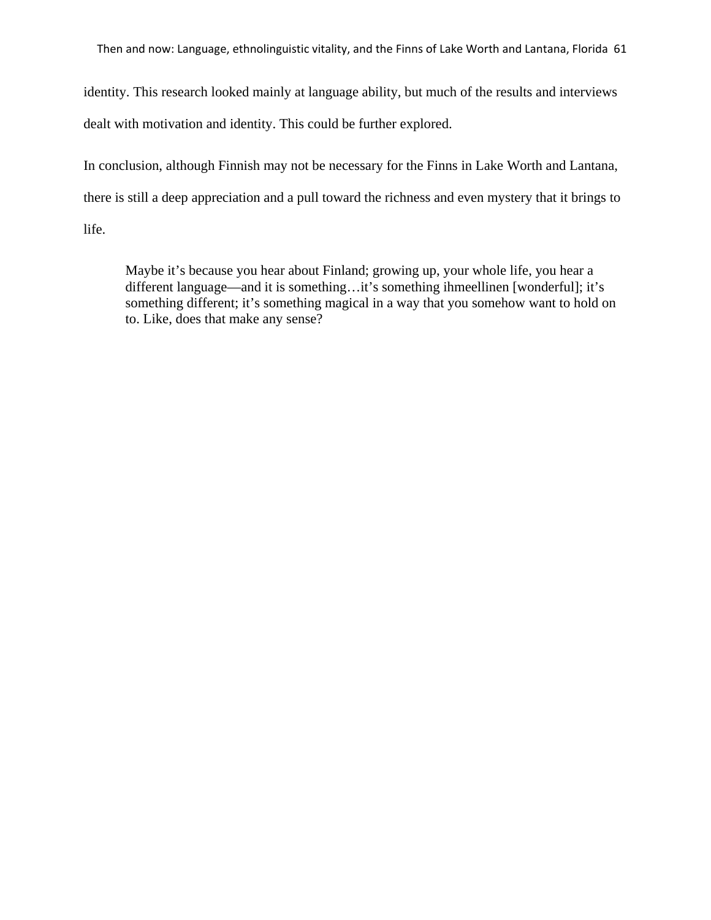Then and now: Language, ethnolinguistic vitality, and the Finns of Lake Worth and Lantana, Florida 61

identity. This research looked mainly at language ability, but much of the results and interviews dealt with motivation and identity. This could be further explored.

In conclusion, although Finnish may not be necessary for the Finns in Lake Worth and Lantana, there is still a deep appreciation and a pull toward the richness and even mystery that it brings to life.

Maybe it's because you hear about Finland; growing up, your whole life, you hear a different language—and it is something…it's something ihmeellinen [wonderful]; it's something different; it's something magical in a way that you somehow want to hold on to. Like, does that make any sense?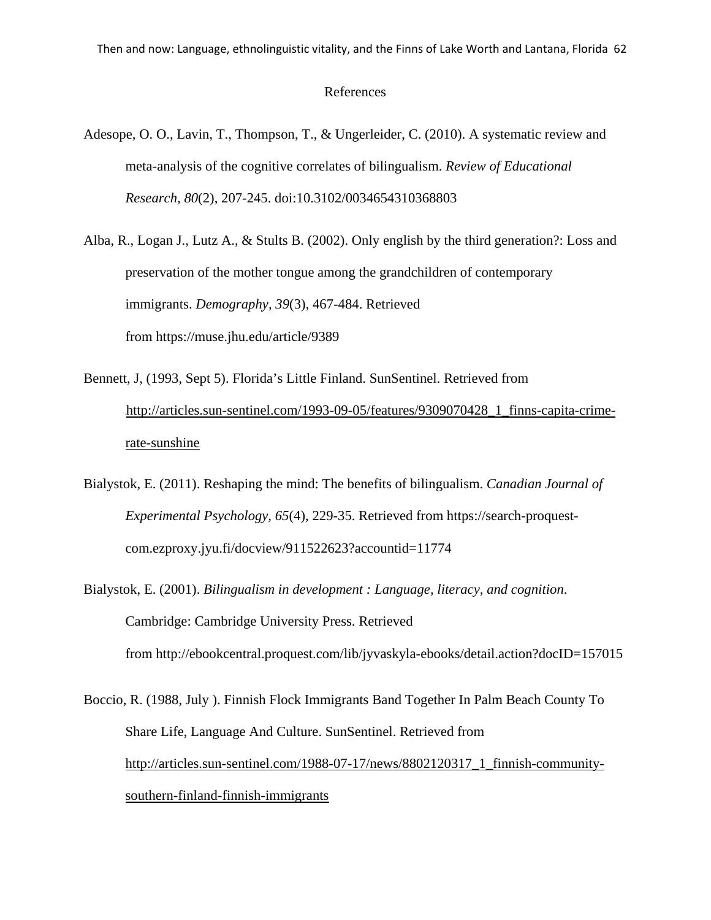#### References

- Adesope, O. O., Lavin, T., Thompson, T., & Ungerleider, C. (2010). A systematic review and meta-analysis of the cognitive correlates of bilingualism. *Review of Educational Research, 80*(2), 207-245. doi:10.3102/0034654310368803
- Alba, R., Logan J., Lutz A., & Stults B. (2002). Only english by the third generation?: Loss and preservation of the mother tongue among the grandchildren of contemporary immigrants. *Demography, 39*(3), 467-484. Retrieved from <https://muse.jhu.edu/article/9389>
- Bennett, J, (1993, Sept 5). Florida's Little Finland. SunSentinel. Retrieved from **U**[http://articles.sun-sentinel.com/1993-09-05/features/9309070428\\_1\\_finns-capita-crime](http://articles.sun-sentinel.com/1993-09-05/features/9309070428_1_finns-capita-crime-rate-sunshine)[rate-sunshine](http://articles.sun-sentinel.com/1993-09-05/features/9309070428_1_finns-capita-crime-rate-sunshine).
- Bialystok, E. (2011). Reshaping the mind: The benefits of bilingualism. *Canadian Journal of Experimental Psychology, 65*(4), 229-35. Retrieved from https://search-proquestcom.ezproxy.jyu.fi/docview/911522623?accountid=11774
- Bialystok, E. (2001). *Bilingualism in development : Language, literacy, and cognition*. Cambridge: Cambridge University Press. Retrieved from <http://ebookcentral.proquest.com/lib/jyvaskyla-ebooks/detail.action?docID=157015>

Boccio, R. (1988, July ). Finnish Flock Immigrants Band Together In Palm Beach County To Share Life, Language And Culture. SunSentinel. Retrieved from [http://articles.sun-sentinel.com/1988-07-17/news/8802120317\\_1\\_finnish-community](http://articles.sun-sentinel.com/1988-07-17/news/8802120317_1_finnish-community-southern-finland-finnish-immigrants)[southern-finland-finnish-immigrants](http://articles.sun-sentinel.com/1988-07-17/news/8802120317_1_finnish-community-southern-finland-finnish-immigrants)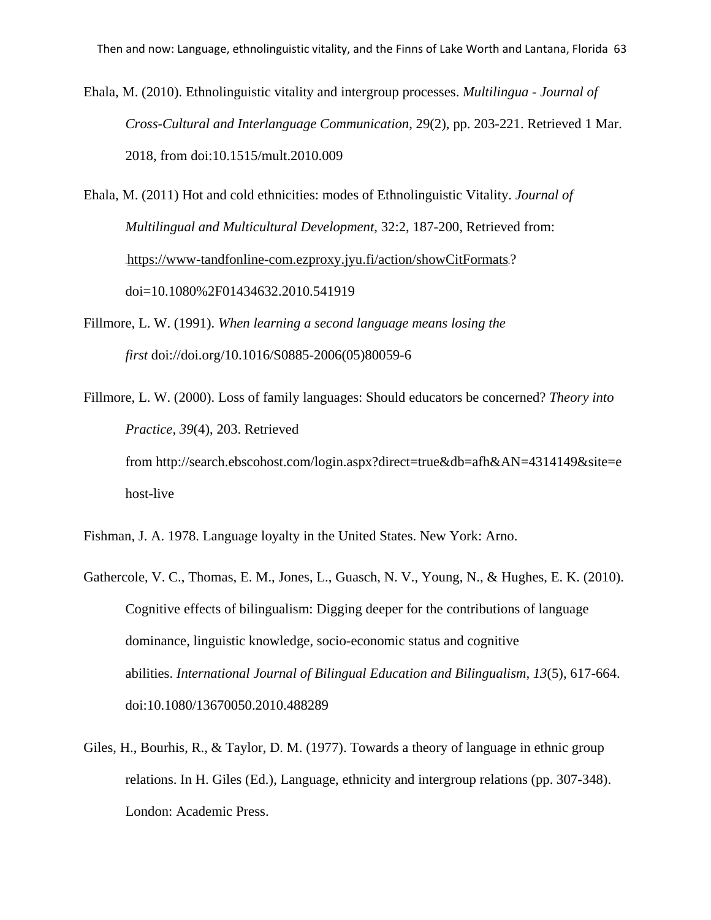Ehala, M. (2010). Ethnolinguistic vitality and intergroup processes. *Multilingua - Journal of Cross-Cultural and Interlanguage Communication*, 29(2), pp. 203-221. Retrieved 1 Mar. 2018, from doi:10.1515/mult.2010.009

Ehala, M. (2011) Hot and cold ethnicities: modes of Ethnolinguistic Vitality. *Journal of Multilingual and Multicultural Development*, 32:2, 187-200, Retrieved from: **32T**<https://www-tandfonline-com.ezproxy.jyu.fi/action/showCitFormats>**32T**? doi=10.1080%2F01434632.2010.541919

Fillmore, L. W. (1991). *When learning a second language means losing the first* doi://doi.org/10.1016/S0885-2006(05)80059-6

Fillmore, L. W. (2000). Loss of family languages: Should educators be concerned? *Theory into Practice, 39*(4), 203. Retrieved from [http://search.ebscohost.com/login.aspx?direct=true&db=afh&AN=4314149&site=e](http://search.ebscohost.com/login.aspx?direct=true&db=afh&AN=4314149&site=ehost-live) [host-live](http://search.ebscohost.com/login.aspx?direct=true&db=afh&AN=4314149&site=ehost-live)

- Fishman, J. A. 1978. Language loyalty in the United States. New York: Arno.
- Gathercole, V. C., Thomas, E. M., Jones, L., Guasch, N. V., Young, N., & Hughes, E. K. (2010). Cognitive effects of bilingualism: Digging deeper for the contributions of language dominance, linguistic knowledge, socio-economic status and cognitive abilities. *International Journal of Bilingual Education and Bilingualism, 13*(5), 617-664. doi:10.1080/13670050.2010.488289
- Giles, H., Bourhis, R., & Taylor, D. M. (1977). Towards a theory of language in ethnic group relations. In H. Giles (Ed.), Language, ethnicity and intergroup relations (pp. 307-348). London: Academic Press.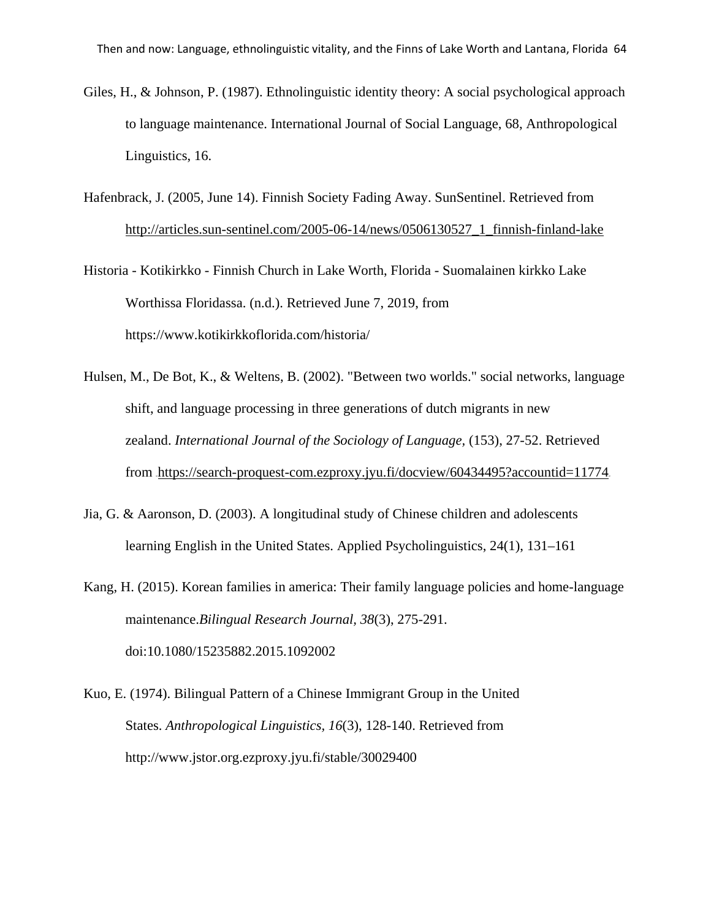- Giles, H., & Johnson, P. (1987). Ethnolinguistic identity theory: A social psychological approach to language maintenance. International Journal of Social Language, 68, Anthropological Linguistics, 16.
- Hafenbrack, J. (2005, June 14). Finnish Society Fading Away. SunSentinel. Retrieved from [http://articles.sun-sentinel.com/2005-06-14/news/0506130527\\_1\\_finnish-finland-lake](http://articles.sun-sentinel.com/2005-06-14/news/0506130527_1_finnish-finland-lake)
- Historia Kotikirkko Finnish Church in Lake Worth, Florida Suomalainen kirkko Lake Worthissa Floridassa. (n.d.). Retrieved June 7, 2019, from https://www.kotikirkkoflorida.com/historia/
- Hulsen, M., De Bot, K., & Weltens, B. (2002). "Between two worlds." social networks, language shift, and language processing in three generations of dutch migrants in new zealand. *International Journal of the Sociology of Language,* (153), 27-52. Retrieved from <https://search-proquest-com.ezproxy.jyu.fi/docview/60434495?accountid=11774>.
- Jia, G. & Aaronson, D. (2003). A longitudinal study of Chinese children and adolescents learning English in the United States. Applied Psycholinguistics, 24(1), 131–161
- Kang, H. (2015). Korean families in america: Their family language policies and home-language maintenance.*Bilingual Research Journal, 38*(3), 275-291. doi:10.1080/15235882.2015.1092002
- Kuo, E. (1974). Bilingual Pattern of a Chinese Immigrant Group in the United States. *Anthropological Linguistics, 16*(3), 128-140. Retrieved from http://www.jstor.org.ezproxy.jyu.fi/stable/30029400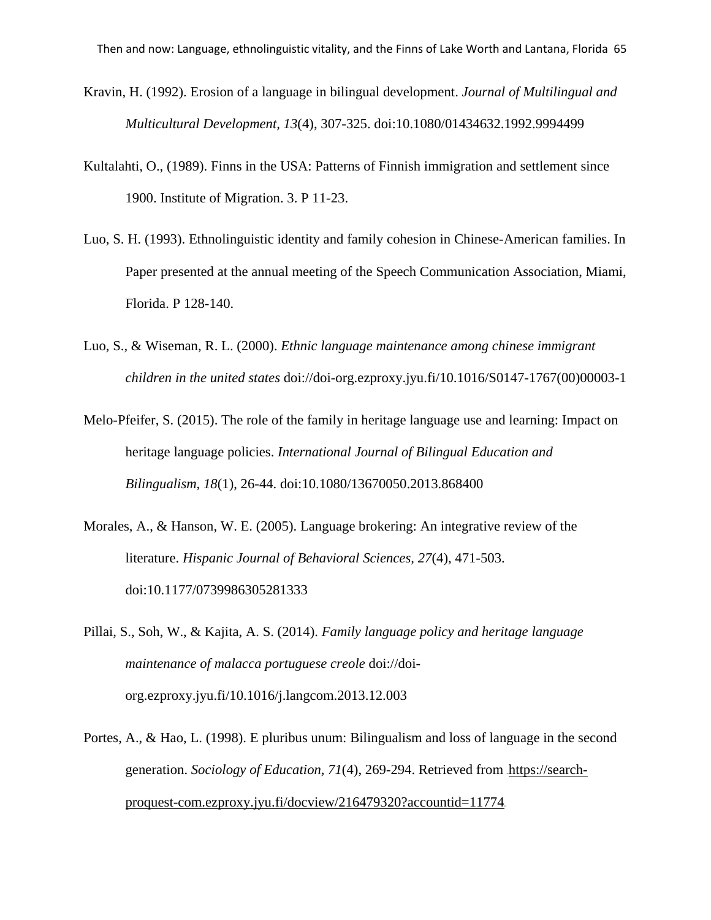- Kravin, H. (1992). Erosion of a language in bilingual development. *Journal of Multilingual and Multicultural Development, 13*(4), 307-325. doi:10.1080/01434632.1992.9994499
- Kultalahti, O., (1989). Finns in the USA: Patterns of Finnish immigration and settlement since 1900. Institute of Migration. 3. P 11-23.
- Luo, S. H. (1993). Ethnolinguistic identity and family cohesion in Chinese-American families. In Paper presented at the annual meeting of the Speech Communication Association, Miami, Florida. P 128-140.
- Luo, S., & Wiseman, R. L. (2000). *Ethnic language maintenance among chinese immigrant children in the united states* doi://doi-org.ezproxy.jyu.fi/10.1016/S0147-1767(00)00003-1
- Melo-Pfeifer, S. (2015). The role of the family in heritage language use and learning: Impact on heritage language policies. *International Journal of Bilingual Education and Bilingualism, 18*(1), 26-44. doi:10.1080/13670050.2013.868400
- Morales, A., & Hanson, W. E. (2005). Language brokering: An integrative review of the literature. *Hispanic Journal of Behavioral Sciences, 27*(4), 471-503. doi:10.1177/0739986305281333
- Pillai, S., Soh, W., & Kajita, A. S. (2014). *Family language policy and heritage language maintenance of malacca portuguese creole* doi://doiorg.ezproxy.jyu.fi/10.1016/j.langcom.2013.12.003
- Portes, A., & Hao, L. (1998). E pluribus unum: Bilingualism and loss of language in the second generation. *Sociology of Education, 71(4), 269-294*. Retrieved from [https://search](https://search-proquest-com.ezproxy.jyu.fi/docview/216479320?accountid=11774)[proquest-com.ezproxy.jyu.fi/docview/216479320?accountid=11774](https://search-proquest-com.ezproxy.jyu.fi/docview/216479320?accountid=11774).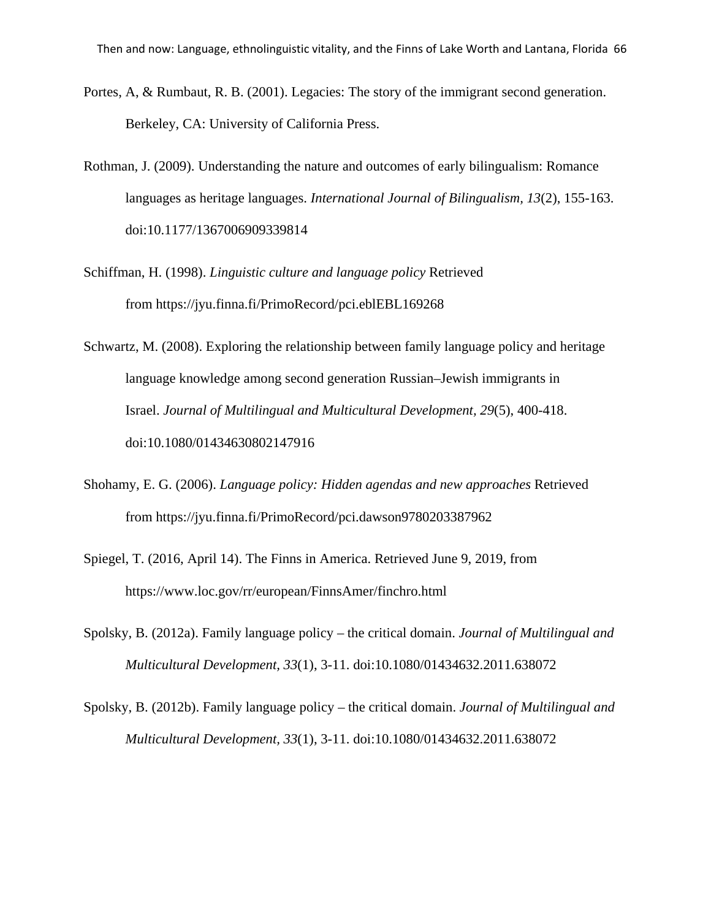- Portes, A, & Rumbaut, R. B. (2001). Legacies: The story of the immigrant second generation. Berkeley, CA: University of California Press.
- Rothman, J. (2009). Understanding the nature and outcomes of early bilingualism: Romance languages as heritage languages. *International Journal of Bilingualism, 13*(2), 155-163. doi:10.1177/1367006909339814
- Schiffman, H. (1998). *Linguistic culture and language policy* Retrieved from <https://jyu.finna.fi/PrimoRecord/pci.eblEBL169268>
- Schwartz, M. (2008). Exploring the relationship between family language policy and heritage language knowledge among second generation Russian–Jewish immigrants in Israel. *Journal of Multilingual and Multicultural Development, 29*(5), 400-418. doi:10.1080/01434630802147916
- Shohamy, E. G. (2006). *Language policy: Hidden agendas and new approaches* Retrieved from <https://jyu.finna.fi/PrimoRecord/pci.dawson9780203387962>
- Spiegel, T. (2016, April 14). The Finns in America. Retrieved June 9, 2019, from https://www.loc.gov/rr/european/FinnsAmer/finchro.html
- Spolsky, B. (2012a). Family language policy the critical domain. *Journal of Multilingual and Multicultural Development, 33*(1), 3-11. doi:10.1080/01434632.2011.638072
- Spolsky, B. (2012b). Family language policy the critical domain. *Journal of Multilingual and Multicultural Development, 33*(1), 3-11. doi:10.1080/01434632.2011.638072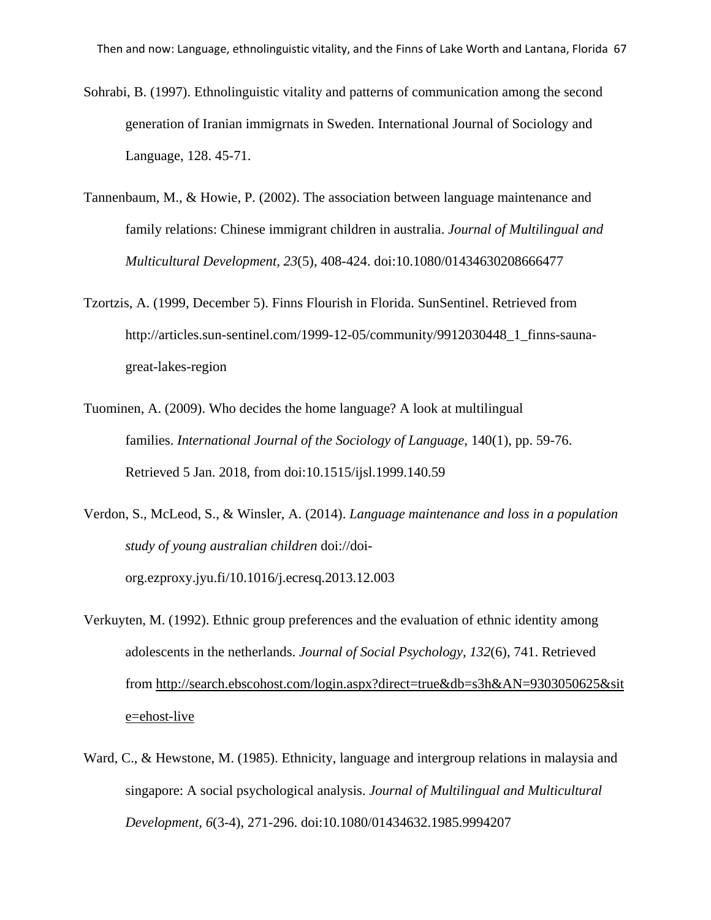- Sohrabi, B. (1997). Ethnolinguistic vitality and patterns of communication among the second generation of Iranian immigrnats in Sweden. International Journal of Sociology and Language, 128. 45-71.
- Tannenbaum, M., & Howie, P. (2002). The association between language maintenance and family relations: Chinese immigrant children in australia. *Journal of Multilingual and Multicultural Development, 23*(5), 408-424. doi:10.1080/01434630208666477
- Tzortzis, A. (1999, December 5). Finns Flourish in Florida. SunSentinel. Retrieved from http://articles.sun-sentinel.com/1999-12-05/community/9912030448\_1\_finns-saunagreat-lakes-region
- Tuominen, A. (2009). Who decides the home language? A look at multilingual families. *International Journal of the Sociology of Language*, 140(1), pp. 59-76. Retrieved 5 Jan. 2018, from doi:10.1515/ijsl.1999.140.59
- Verdon, S., McLeod, S., & Winsler, A. (2014). *Language maintenance and loss in a population study of young australian children* doi://doiorg.ezproxy.jyu.fi/10.1016/j.ecresq.2013.12.003
- Verkuyten, M. (1992). Ethnic group preferences and the evaluation of ethnic identity among adolescents in the netherlands. *Journal of Social Psychology, 132*(6), 741. Retrieved from [http://search.ebscohost.com/login.aspx?direct=true&db=s3h&AN=9303050625&sit](http://search.ebscohost.com/login.aspx?direct=true&db=s3h&AN=9303050625&site=ehost-live) [e=ehost-live](http://search.ebscohost.com/login.aspx?direct=true&db=s3h&AN=9303050625&site=ehost-live)
- Ward, C., & Hewstone, M. (1985). Ethnicity, language and intergroup relations in malaysia and singapore: A social psychological analysis. *Journal of Multilingual and Multicultural Development, 6*(3-4), 271-296. doi:10.1080/01434632.1985.9994207